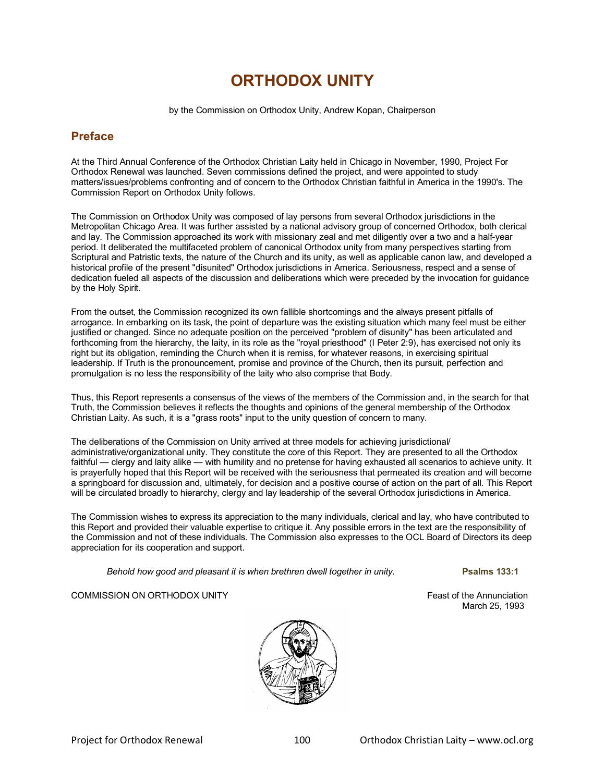# **ORTHODOX UNITY**

by the Commission on Orthodox Unity, Andrew Kopan, Chairperson

## **Preface**

At the Third Annual Conference of the Orthodox Christian Laity held in Chicago in November, 1990, Project For Orthodox Renewal was launched. Seven commissions defined the project, and were appointed to study matters/issues/problems confronting and of concern to the Orthodox Christian faithful in America in the 1990's. The Commission Report on Orthodox Unity follows.

The Commission on Orthodox Unity was composed of lay persons from several Orthodox jurisdictions in the Metropolitan Chicago Area. It was further assisted by a national advisory group of concerned Orthodox, both clerical and lay. The Commission approached its work with missionary zeal and met diligently over a two and a half-year period. It deliberated the multifaceted problem of canonical Orthodox unity from many perspectives starting from Scriptural and Patristic texts, the nature of the Church and its unity, as well as applicable canon law, and developed a historical profile of the present "disunited" Orthodox jurisdictions in America. Seriousness, respect and a sense of dedication fueled all aspects of the discussion and deliberations which were preceded by the invocation for guidance by the Holy Spirit.

From the outset, the Commission recognized its own fallible shortcomings and the always present pitfalls of arrogance. In embarking on its task, the point of departure was the existing situation which many feel must be either justified or changed. Since no adequate position on the perceived "problem of disunity" has been articulated and forthcoming from the hierarchy, the laity, in its role as the "royal priesthood" (I Peter 2:9), has exercised not only its right but its obligation, reminding the Church when it is remiss, for whatever reasons, in exercising spiritual leadership. If Truth is the pronouncement, promise and province of the Church, then its pursuit, perfection and promulgation is no less the responsibility of the laity who also comprise that Body.

Thus, this Report represents a consensus of the views of the members of the Commission and, in the search for that Truth, the Commission believes it reflects the thoughts and opinions of the general membership of the Orthodox Christian Laity. As such, it is a "grass roots" input to the unity question of concern to many.

The deliberations of the Commission on Unity arrived at three models for achieving jurisdictional/ administrative/organizational unity. They constitute the core of this Report. They are presented to all the Orthodox faithful — clergy and laity alike — with humility and no pretense for having exhausted all scenarios to achieve unity. It is prayerfully hoped that this Report will be received with the seriousness that permeated its creation and will become a springboard for discussion and, ultimately, for decision and a positive course of action on the part of all. This Report will be circulated broadly to hierarchy, clergy and lay leadership of the several Orthodox jurisdictions in America.

The Commission wishes to express its appreciation to the many individuals, clerical and lay, who have contributed to this Report and provided their valuable expertise to critique it. Any possible errors in the text are the responsibility of the Commission and not of these individuals. The Commission also expresses to the OCL Board of Directors its deep appreciation for its cooperation and support.

*Behold how good and pleasant it is when brethren dwell together in unity.* **Psalms 133:1**

March 25, 1993

## COMMISSION ON ORTHODOX UNITY **EXAMPLE 20 INCREASE AND ANNOUNT ACCOMMISSION** ON ORTHODOX UNITY

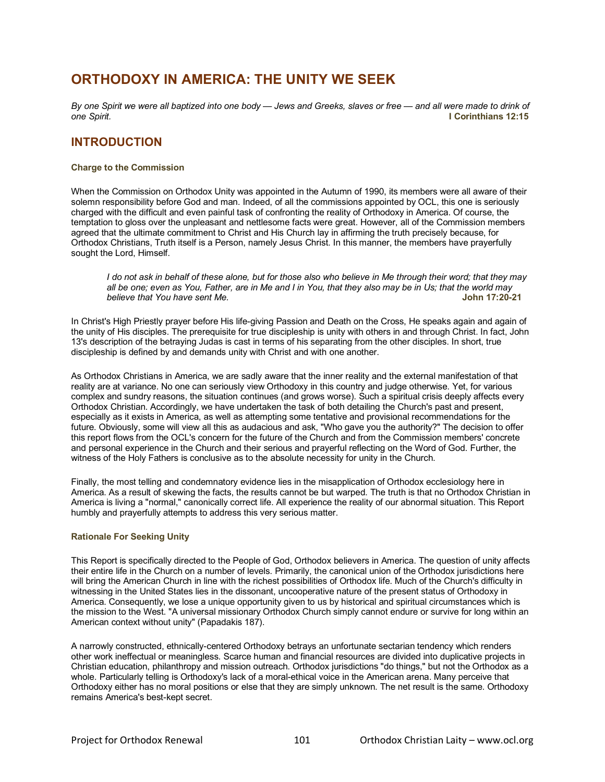# **ORTHODOXY IN AMERICA: THE UNITY WE SEEK**

*By one Spirit we were all baptized into one body — Jews and Greeks, slaves or free — and all were made to drink of one Spirit.* **I Corinthians 12:15**

## **INTRODUCTION**

## **Charge to the Commission**

When the Commission on Orthodox Unity was appointed in the Autumn of 1990, its members were all aware of their solemn responsibility before God and man. Indeed, of all the commissions appointed by OCL, this one is seriously charged with the difficult and even painful task of confronting the reality of Orthodoxy in America. Of course, the temptation to gloss over the unpleasant and nettlesome facts were great. However, all of the Commission members agreed that the ultimate commitment to Christ and His Church lay in affirming the truth precisely because, for Orthodox Christians, Truth itself is a Person, namely Jesus Christ. In this manner, the members have prayerfully sought the Lord, Himself.

*I do not ask in behalf of these alone, but for those also who believe in Me through their word; that they may all be one; even as You, Father, are in Me and I in You, that they also may be in Us; that the world may believe that You have sent Me.* 

In Christ's High Priestly prayer before His life-giving Passion and Death on the Cross, He speaks again and again of the unity of His disciples. The prerequisite for true discipleship is unity with others in and through Christ. In fact, John 13's description of the betraying Judas is cast in terms of his separating from the other disciples. In short, true discipleship is defined by and demands unity with Christ and with one another.

As Orthodox Christians in America, we are sadly aware that the inner reality and the external manifestation of that reality are at variance. No one can seriously view Orthodoxy in this country and judge otherwise. Yet, for various complex and sundry reasons, the situation continues (and grows worse). Such a spiritual crisis deeply affects every Orthodox Christian. Accordingly, we have undertaken the task of both detailing the Church's past and present, especially as it exists in America, as well as attempting some tentative and provisional recommendations for the future. Obviously, some will view all this as audacious and ask, "Who gave you the authority?" The decision to offer this report flows from the OCL's concern for the future of the Church and from the Commission members' concrete and personal experience in the Church and their serious and prayerful reflecting on the Word of God. Further, the witness of the Holy Fathers is conclusive as to the absolute necessity for unity in the Church.

Finally, the most telling and condemnatory evidence lies in the misapplication of Orthodox ecclesiology here in America. As a result of skewing the facts, the results cannot be but warped. The truth is that no Orthodox Christian in America is living a "normal," canonically correct life. All experience the reality of our abnormal situation. This Report humbly and prayerfully attempts to address this very serious matter.

## **Rationale For Seeking Unity**

This Report is specifically directed to the People of God, Orthodox believers in America. The question of unity affects their entire life in the Church on a number of levels. Primarily, the canonical union of the Orthodox jurisdictions here will bring the American Church in line with the richest possibilities of Orthodox life. Much of the Church's difficulty in witnessing in the United States lies in the dissonant, uncooperative nature of the present status of Orthodoxy in America. Consequently, we lose a unique opportunity given to us by historical and spiritual circumstances which is the mission to the West. "A universal missionary Orthodox Church simply cannot endure or survive for long within an American context without unity" (Papadakis 187).

A narrowly constructed, ethnically-centered Orthodoxy betrays an unfortunate sectarian tendency which renders other work ineffectual or meaningless. Scarce human and financial resources are divided into duplicative projects in Christian education, philanthropy and mission outreach. Orthodox jurisdictions "do things," but not the Orthodox as a whole. Particularly telling is Orthodoxy's lack of a moral-ethical voice in the American arena. Many perceive that Orthodoxy either has no moral positions or else that they are simply unknown. The net result is the same. Orthodoxy remains America's best-kept secret.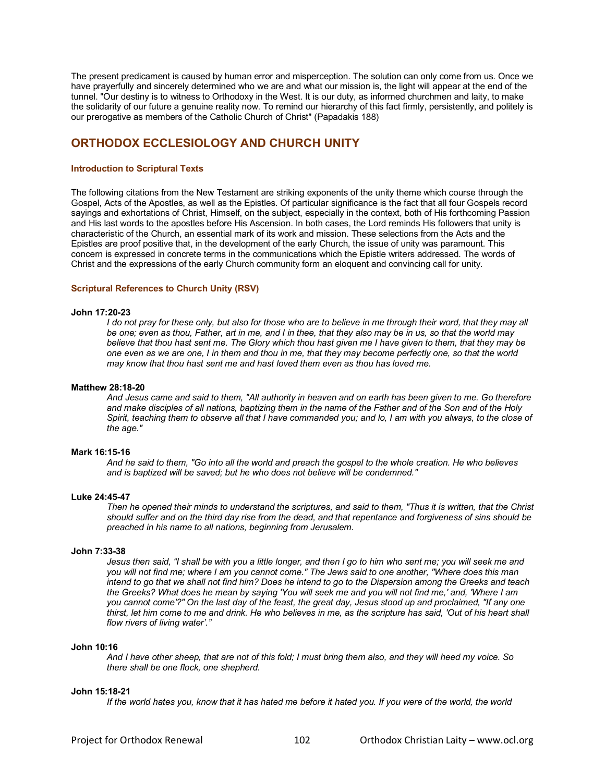The present predicament is caused by human error and misperception. The solution can only come from us. Once we have prayerfully and sincerely determined who we are and what our mission is, the light will appear at the end of the tunnel. "Our destiny is to witness to Orthodoxy in the West. It is our duty, as informed churchmen and laity, to make the solidarity of our future a genuine reality now. To remind our hierarchy of this fact firmly, persistently, and politely is our prerogative as members of the Catholic Church of Christ" (Papadakis 188)

## **ORTHODOX ECCLESIOLOGY AND CHURCH UNITY**

## **[Introduction to Scriptural Texts](http://www.ocl.org/index.cfm?fuseaction=AboutUs.u_scripturaltexts)**

The following citations from the New Testament are striking exponents of the unity theme which course through the Gospel, Acts of the Apostles, as well as the Epistles. Of particular significance is the fact that all four Gospels record sayings and exhortations of Christ, Himself, on the subject, especially in the context, both of His forthcoming Passion and His last words to the apostles before His Ascension. In both cases, the Lord reminds His followers that unity is characteristic of the Church, an essential mark of its work and mission. These selections from the Acts and the Epistles are proof positive that, in the development of the early Church, the issue of unity was paramount. This concern is expressed in concrete terms in the communications which the Epistle writers addressed. The words of Christ and the expressions of the early Church community form an eloquent and convincing call for unity.

### **[Scriptural References to Church Unity](http://www.ocl.org/index.cfm?fuseaction=AboutUs.scripturalreferences) (RSV)**

#### **John 17:20-23**

*I do not pray for these only, but also for those who are to believe in me through their word, that they may all be one; even as thou, Father, art in me, and I in thee, that they also may be in us, so that the world may believe that thou hast sent me. The Glory which thou hast given me I have given to them, that they may be one even as we are one, I in them and thou in me, that they may become perfectly one, so that the world may know that thou hast sent me and hast loved them even as thou has loved me.* 

### **Matthew 28:18-20**

*And Jesus came and said to them, "All authority in heaven and on earth has been given to me. Go therefore and make disciples of all nations, baptizing them in the name of the Father and of the Son and of the Holy Spirit, teaching them to observe all that I have commanded you; and lo, I am with you always, to the close of the age."*

### **Mark 16:15-16**

*And he said to them, "Go into all the world and preach the gospel to the whole creation. He who believes and is baptized will be saved; but he who does not believe will be condemned."*

#### **Luke 24:45-47**

*Then he opened their minds to understand the scriptures, and said to them, "Thus it is written, that the Christ should suffer and on the third day rise from the dead, and that repentance and forgiveness of sins should be preached in his name to all nations, beginning from Jerusalem.* 

### **John 7:33-38**

*Jesus then said, "I shall be with you a little longer, and then I go to him who sent me; you will seek me and you will not find me; where I am you cannot come." The Jews said to one another, "Where does this man intend to go that we shall not find him? Does he intend to go to the Dispersion among the Greeks and teach the Greeks? What does he mean by saying 'You will seek me and you will not find me,' and, 'Where I am you cannot come'?" On the last day of the feast, the great day, Jesus stood up and proclaimed, "If any one thirst, let him come to me and drink. He who believes in me, as the scripture has said, 'Out of his heart shall flow rivers of living water'."* 

#### **John 10:16**

*And I have other sheep, that are not of this fold; I must bring them also, and they will heed my voice. So there shall be one flock, one shepherd*.

#### **John 15:18-21**

*If the world hates you, know that it has hated me before it hated you. If you were of the world, the world*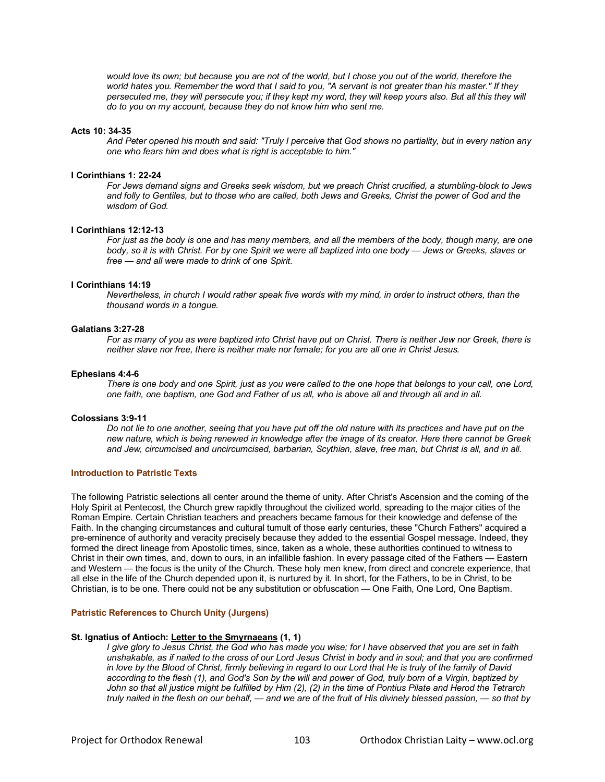*would love its own; but because you are not of the world, but I chose you out of the world, therefore the world hates you. Remember the word that I said to you, "A servant is not greater than his master." If they persecuted me, they will persecute you; if they kept my word, they will keep yours also. But all this they will do to you on my account, because they do not know him who sent me.* 

### **Acts 10: 34-35**

*And Peter opened his mouth and said: "Truly I perceive that God shows no partiality, but in every nation any one who fears him and does what is right is acceptable to him."* 

### **I Corinthians 1: 22-24**

*For Jews demand signs and Greeks seek wisdom, but we preach Christ crucified, a stumbling-block to Jews and folly to Gentiles, but to those who are called, both Jews and Greeks, Christ the power of God and the wisdom of God.*

### **I Corinthians 12:12-13**

*For just as the body is one and has many members, and all the members of the body, though many, are one body, so it is with Christ. For by one Spirit we were all baptized into one body — Jews or Greeks, slaves or free — and all were made to drink of one Spirit.* 

#### **I Corinthians 14:19**

*Nevertheless, in church I would rather speak five words with my mind, in order to instruct others, than the thousand words in a tongue.*

#### **Galatians 3:27-28**

*For as many of you as were baptized into Christ have put on Christ. There is neither Jew nor Greek, there is neither slave nor free, there is neither male nor female; for you are all one in Christ Jesus.*

### **Ephesians 4:4-6**

*There is one body and one Spirit, just as you were called to the one hope that belongs to your call, one Lord, one faith, one baptism, one God and Father of us all, who is above all and through all and in all.*

### **Colossians 3:9-11**

*Do not lie to one another, seeing that you have put off the old nature with its practices and have put on the new nature, which is being renewed in knowledge after the image of its creator. Here there cannot be Greek and Jew, circumcised and uncircumcised, barbarian, Scythian, slave, free man, but Christ is all, and in all.*

## **[Introduction to Patristic Texts](http://www.ocl.org/index.cfm?fuseaction=AboutUs.PatristicTexts)**

The following Patristic selections all center around the theme of unity. After Christ's Ascension and the coming of the Holy Spirit at Pentecost, the Church grew rapidly throughout the civilized world, spreading to the major cities of the Roman Empire. Certain Christian teachers and preachers became famous for their knowledge and defense of the Faith. In the changing circumstances and cultural tumult of those early centuries, these "Church Fathers" acquired a pre-eminence of authority and veracity precisely because they added to the essential Gospel message. Indeed, they formed the direct lineage from Apostolic times, since, taken as a whole, these authorities continued to witness to Christ in their own times, and, down to ours, in an infallible fashion. In every passage cited of the Fathers — Eastern and Western — the focus is the unity of the Church. These holy men knew, from direct and concrete experience, that all else in the life of the Church depended upon it, is nurtured by it. In short, for the Fathers, to be in Christ, to be Christian, is to be one. There could not be any substitution or obfuscation — One Faith, One Lord, One Baptism.

#### **[Patristic References to Church Unity](http://www.ocl.org/index.cfm?fuseaction=AboutUs.PatristicReferences) (Jurgens)**

#### **St. Ignatius of Antioch: Letter to the Smyrnaeans (1, 1)**

*I give glory to Jesus Christ, the God who has made you wise; for I have observed that you are set in faith unshakable, as if nailed to the cross of our Lord Jesus Christ in body and in soul; and that you are confirmed*  in love by the Blood of Christ, firmly believing in regard to our Lord that He is truly of the family of David *according to the flesh (1), and God's Son by the will and power of God, truly born of a Virgin, baptized by John so that all justice might be fulfilled by Him (2), (2) in the time of Pontius Pilate and Herod the Tetrarch truly nailed in the flesh on our behalf, — and we are of the fruit of His divinely blessed passion, — so that by*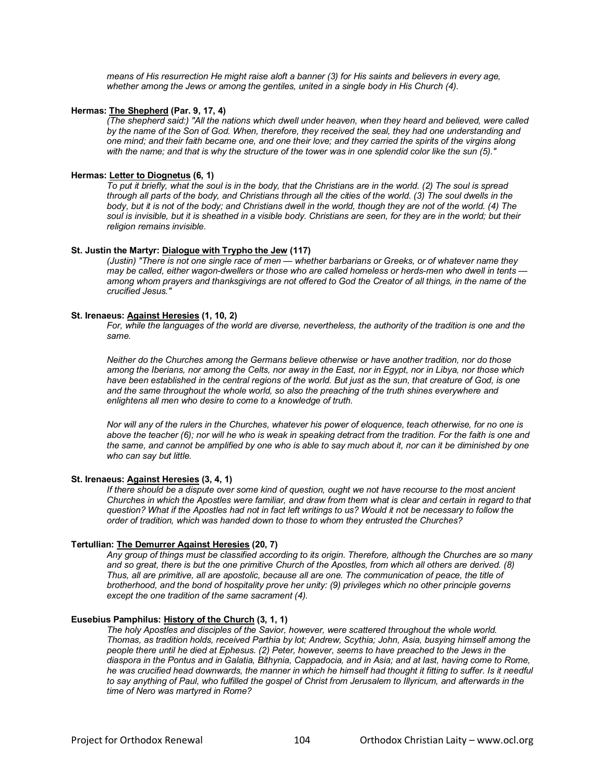*means of His resurrection He might raise aloft a banner (3) for His saints and believers in every age, whether among the Jews or among the gentiles, united in a single body in His Church (4).*

### **Hermas: The Shepherd (Par. 9, 17, 4)**

*(The shepherd said:) "All the nations which dwell under heaven, when they heard and believed, were called by the name of the Son of God. When, therefore, they received the seal, they had one understanding and one mind; and their faith became one, and one their love; and they carried the spirits of the virgins along with the name; and that is why the structure of the tower was in one splendid color like the sun (5)."*

### **Hermas: Letter to Diognetus (6, 1)**

*To put it briefly, what the soul is in the body, that the Christians are in the world. (2) The soul is spread through all parts of the body, and Christians through all the cities of the world. (3) The soul dwells in the body, but it is not of the body; and Christians dwell in the world, though they are not of the world. (4) The soul is invisible, but it is sheathed in a visible body. Christians are seen, for they are in the world; but their religion remains invisible.* 

### **St. Justin the Martyr: Dialogue with Trypho the Jew (117)**

*(Justin) "There is not one single race of men — whether barbarians or Greeks, or of whatever name they may be called, either wagon-dwellers or those who are called homeless or herds-men who dwell in tents among whom prayers and thanksgivings are not offered to God the Creator of all things, in the name of the crucified Jesus."*

### **St. Irenaeus: Against Heresies (1, 10, 2)**

*For, while the languages of the world are diverse, nevertheless, the authority of the tradition is one and the same.*

*Neither do the Churches among the Germans believe otherwise or have another tradition, nor do those among the Iberians, nor among the Celts, nor away in the East, nor in Egypt, nor in Libya, nor those which*  have been established in the central regions of the world. But just as the sun, that creature of God, is one *and the same throughout the whole world, so also the preaching of the truth shines everywhere and enlightens all men who desire to come to a knowledge of truth.*

*Nor will any of the rulers in the Churches, whatever his power of eloquence, teach otherwise, for no one is*  above the teacher (6); nor will he who is weak in speaking detract from the tradition. For the faith is one and *the same, and cannot be amplified by one who is able to say much about it, nor can it be diminished by one who can say but little.*

#### **St. Irenaeus: Against Heresies (3, 4, 1)**

*If there should be a dispute over some kind of question, ought we not have recourse to the most ancient Churches in which the Apostles were familiar, and draw from them what is clear and certain in regard to that question? What if the Apostles had not in fact left writings to us? Would it not be necessary to follow the order of tradition, which was handed down to those to whom they entrusted the Churches?*

#### **Tertullian: The Demurrer Against Heresies (20, 7)**

*Any group of things must be classified according to its origin. Therefore, although the Churches are so many and so great, there is but the one primitive Church of the Apostles, from which all others are derived. (8) Thus, all are primitive, all are apostolic, because all are one. The communication of peace, the title of brotherhood, and the bond of hospitality prove her unity: (9) privileges which no other principle governs except the one tradition of the same sacrament (4).*

## **Eusebius Pamphilus: History of the Church (3, 1, 1)**

*The holy Apostles and disciples of the Savior, however, were scattered throughout the whole world. Thomas, as tradition holds, received Parthia by lot; Andrew, Scythia; John, Asia, busying himself among the people there until he died at Ephesus. (2) Peter, however, seems to have preached to the Jews in the diaspora in the Pontus and in Galatia, Bithynia, Cappadocia, and in Asia; and at last, having come to Rome, he was crucified head downwards, the manner in which he himself had thought it fitting to suffer. Is it needful to say anything of Paul, who fulfilled the gospel of Christ from Jerusalem to Illyricum, and afterwards in the time of Nero was martyred in Rome?*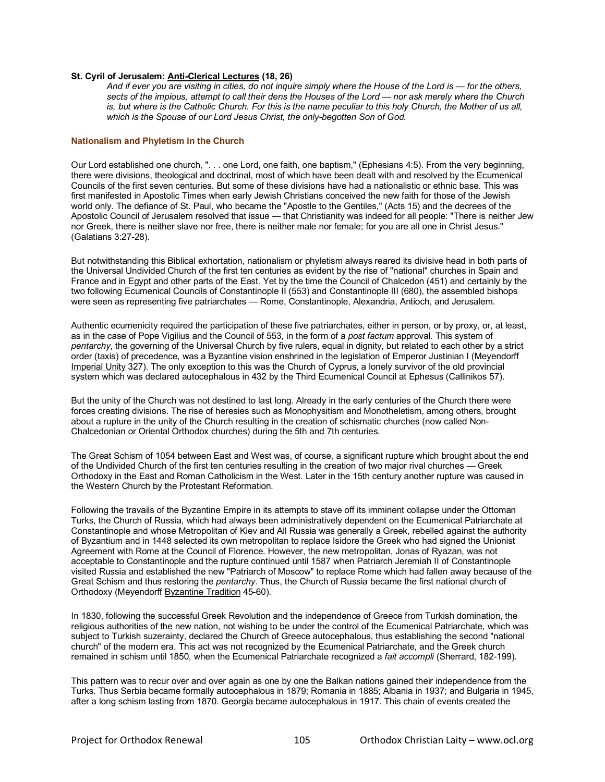## **St. Cyril of Jerusalem: Anti-Clerical Lectures (18, 26)**

*And if ever you are visiting in cities, do not inquire simply where the House of the Lord is — for the others, sects of the impious, attempt to call their dens the Houses of the Lord — nor ask merely where the Church is, but where is the Catholic Church. For this is the name peculiar to this holy Church, the Mother of us all, which is the Spouse of our Lord Jesus Christ, the only-begotten Son of God.*

## **[Nationalism and Phyletism in the Church](http://www.ocl.org/index.cfm?fuseaction=AboutUs.Nationalism_Phyletism)**

Our Lord established one church, ". . . one Lord, one faith, one baptism," (Ephesians 4:5). From the very beginning, there were divisions, theological and doctrinal, most of which have been dealt with and resolved by the Ecumenical Councils of the first seven centuries. But some of these divisions have had a nationalistic or ethnic base. This was first manifested in Apostolic Times when early Jewish Christians conceived the new faith for those of the Jewish world only. The defiance of St. Paul, who became the "Apostle to the Gentiles," (Acts 15) and the decrees of the Apostolic Council of Jerusalem resolved that issue — that Christianity was indeed for all people: "There is neither Jew nor Greek, there is neither slave nor free, there is neither male nor female; for you are all one in Christ Jesus." (Galatians 3:27-28).

But notwithstanding this Biblical exhortation, nationalism or phyletism always reared its divisive head in both parts of the Universal Undivided Church of the first ten centuries as evident by the rise of "national" churches in Spain and France and in Egypt and other parts of the East. Yet by the time the Council of Chalcedon (451) and certainly by the two following Ecumenical Councils of Constantinople II (553) and Constantinople III (680), the assembled bishops were seen as representing five patriarchates — Rome, Constantinople, Alexandria, Antioch, and Jerusalem.

Authentic ecumenicity required the participation of these five patriarchates, either in person, or by proxy, or, at least, as in the case of Pope Vigilius and the Council of 553, in the form of a *post factum* approval. This system of *pentarchy*, the governing of the Universal Church by five rulers, equal in dignity, but related to each other by a strict order (taxis) of precedence, was a Byzantine vision enshrined in the legislation of Emperor Justinian I (Meyendorff Imperial Unity 327). The only exception to this was the Church of Cyprus, a lonely survivor of the old provincial system which was declared autocephalous in 432 by the Third Ecumenical Council at Ephesus (Callinikos 57).

But the unity of the Church was not destined to last long. Already in the early centuries of the Church there were forces creating divisions. The rise of heresies such as Monophysitism and Monotheletism, among others, brought about a rupture in the unity of the Church resulting in the creation of schismatic churches (now called Non-Chalcedonian or Oriental Orthodox churches) during the 5th and 7th centuries.

The Great Schism of 1054 between East and West was, of course, a significant rupture which brought about the end of the Undivided Church of the first ten centuries resulting in the creation of two major rival churches — Greek Orthodoxy in the East and Roman Catholicism in the West. Later in the 15th century another rupture was caused in the Western Church by the Protestant Reformation.

Following the travails of the Byzantine Empire in its attempts to stave off its imminent collapse under the Ottoman Turks, the Church of Russia, which had always been administratively dependent on the Ecumenical Patriarchate at Constantinople and whose Metropolitan of Kiev and All Russia was generally a Greek, rebelled against the authority of Byzantium and in 1448 selected its own metropolitan to replace Isidore the Greek who had signed the Unionist Agreement with Rome at the Council of Florence. However, the new metropolitan, Jonas of Ryazan, was not acceptable to Constantinople and the rupture continued until 1587 when Patriarch Jeremiah II of Constantinople visited Russia and established the new "Patriarch of Moscow" to replace Rome which had fallen away because of the Great Schism and thus restoring the *pentarchy*. Thus, the Church of Russia became the first national church of Orthodoxy (Meyendorff Byzantine Tradition 45-60).

In 1830, following the successful Greek Revolution and the independence of Greece from Turkish domination, the religious authorities of the new nation, not wishing to be under the control of the Ecumenical Patriarchate, which was subject to Turkish suzerainty, declared the Church of Greece autocephalous, thus establishing the second "national church" of the modern era. This act was not recognized by the Ecumenical Patriarchate, and the Greek church remained in schism until 1850, when the Ecumenical Patriarchate recognized a *fait accompli* (Sherrard, 182-199).

This pattern was to recur over and over again as one by one the Balkan nations gained their independence from the Turks. Thus Serbia became formally autocephalous in 1879; Romania in 1885; Albania in 1937; and Bulgaria in 1945, after a long schism lasting from 1870. Georgia became autocephalous in 1917. This chain of events created the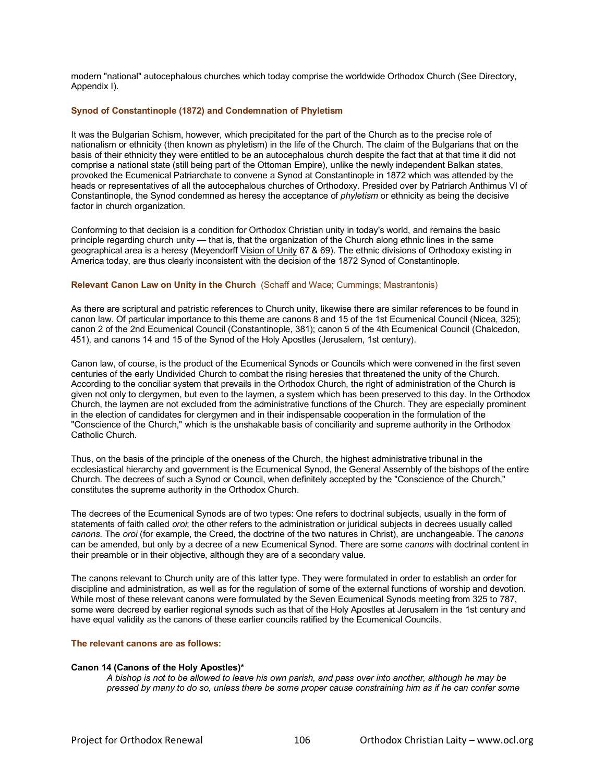modern "national" autocephalous churches which today comprise the worldwide Orthodox Church (See Directory, Appendix I).

### **[Synod of Constantinople \(1872\) and Condemnation of Phyletism](http://www.ocl.org/index.cfm?fuseaction=AboutUs.Synod_Constantinople)**

It was the Bulgarian Schism, however, which precipitated for the part of the Church as to the precise role of nationalism or ethnicity (then known as phyletism) in the life of the Church. The claim of the Bulgarians that on the basis of their ethnicity they were entitled to be an autocephalous church despite the fact that at that time it did not comprise a national state (still being part of the Ottoman Empire), unlike the newly independent Balkan states, provoked the Ecumenical Patriarchate to convene a Synod at Constantinople in 1872 which was attended by the heads or representatives of all the autocephalous churches of Orthodoxy. Presided over by Patriarch Anthimus VI of Constantinople, the Synod condemned as heresy the acceptance of *phyletism* or ethnicity as being the decisive factor in church organization.

Conforming to that decision is a condition for Orthodox Christian unity in today's world, and remains the basic principle regarding church unity — that is, that the organization of the Church along ethnic lines in the same geographical area is a heresy (Meyendorff Vision of Unity 67 & 69). The ethnic divisions of Orthodoxy existing in America today, are thus clearly inconsistent with the decision of the 1872 Synod of Constantinople.

## **[Relevant Canon Law on Unity in the Church](http://www.ocl.org/index.cfm?fuseaction=AboutUs.Relevant_Canon_Law)** (Schaff and Wace; Cummings; Mastrantonis)

As there are scriptural and patristic references to Church unity, likewise there are similar references to be found in canon law. Of particular importance to this theme are canons 8 and 15 of the 1st Ecumenical Council (Nicea, 325); canon 2 of the 2nd Ecumenical Council (Constantinople, 381); canon 5 of the 4th Ecumenical Council (Chalcedon, 451), and canons 14 and 15 of the Synod of the Holy Apostles (Jerusalem, 1st century).

Canon law, of course, is the product of the Ecumenical Synods or Councils which were convened in the first seven centuries of the early Undivided Church to combat the rising heresies that threatened the unity of the Church. According to the conciliar system that prevails in the Orthodox Church, the right of administration of the Church is given not only to clergymen, but even to the laymen, a system which has been preserved to this day. In the Orthodox Church, the laymen are not excluded from the administrative functions of the Church. They are especially prominent in the election of candidates for clergymen and in their indispensable cooperation in the formulation of the "Conscience of the Church," which is the unshakable basis of conciliarity and supreme authority in the Orthodox Catholic Church.

Thus, on the basis of the principle of the oneness of the Church, the highest administrative tribunal in the ecclesiastical hierarchy and government is the Ecumenical Synod, the General Assembly of the bishops of the entire Church. The decrees of such a Synod or Council, when definitely accepted by the "Conscience of the Church," constitutes the supreme authority in the Orthodox Church.

The decrees of the Ecumenical Synods are of two types: One refers to doctrinal subjects, usually in the form of statements of faith called *oroi*; the other refers to the administration or juridical subjects in decrees usually called *canons*. The *oroi* (for example, the Creed, the doctrine of the two natures in Christ), are unchangeable. The *canons* can be amended, but only by a decree of a new Ecumenical Synod. There are some *canons* with doctrinal content in their preamble or in their objective, although they are of a secondary value.

The canons relevant to Church unity are of this latter type. They were formulated in order to establish an order for discipline and administration, as well as for the regulation of some of the external functions of worship and devotion. While most of these relevant canons were formulated by the Seven Ecumenical Synods meeting from 325 to 787, some were decreed by earlier regional synods such as that of the Holy Apostles at Jerusalem in the 1st century and have equal validity as the canons of these earlier councils ratified by the Ecumenical Councils.

### **The relevant canons are as follows:**

### **Canon 14 (Canons of the Holy Apostles)\***

*A bishop is not to be allowed to leave his own parish, and pass over into another, although he may be pressed by many to do so, unless there be some proper cause constraining him as if he can confer some*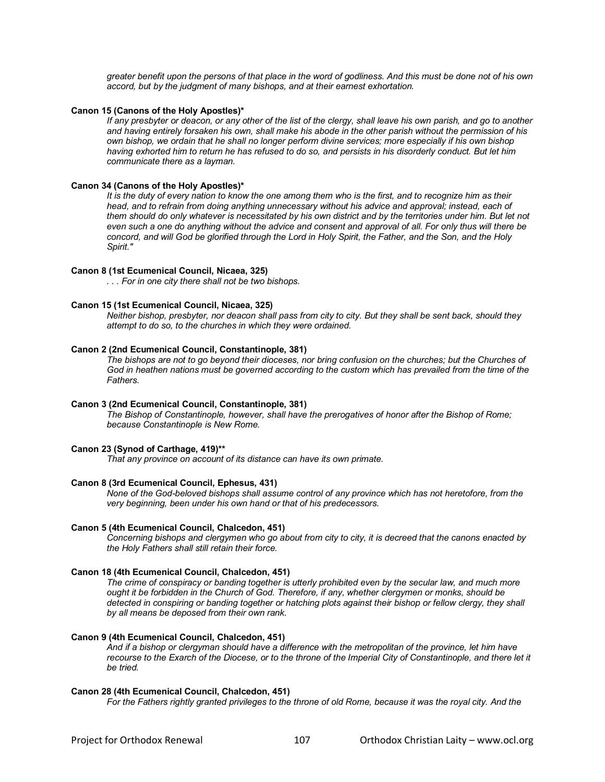*greater benefit upon the persons of that place in the word of godliness. And this must be done not of his own accord, but by the judgment of many bishops, and at their earnest exhortation.* 

#### **Canon 15 (Canons of the Holy Apostles)\***

*If any presbyter or deacon, or any other of the list of the clergy, shall leave his own parish, and go to another and having entirely forsaken his own, shall make his abode in the other parish without the permission of his own bishop, we ordain that he shall no longer perform divine services; more especially if his own bishop having exhorted him to return he has refused to do so, and persists in his disorderly conduct. But let him communicate there as a layman.* 

### **Canon 34 (Canons of the Holy Apostles)\***

*It is the duty of every nation to know the one among them who is the first, and to recognize him as their*  head, and to refrain from doing anything unnecessary without his advice and approval; instead, each of *them should do only whatever is necessitated by his own district and by the territories under him. But let not even such a one do anything without the advice and consent and approval of all. For only thus will there be concord, and will God be glorified through the Lord in Holy Spirit, the Father, and the Son, and the Holy Spirit."*

#### **Canon 8 (1st Ecumenical Council, Nicaea, 325)**

*. . . For in one city there shall not be two bishops.*

### **Canon 15 (1st Ecumenical Council, Nicaea, 325)**

*Neither bishop, presbyter, nor deacon shall pass from city to city. But they shall be sent back, should they attempt to do so, to the churches in which they were ordained.*

#### **Canon 2 (2nd Ecumenical Council, Constantinople, 381)**

*The bishops are not to go beyond their dioceses, nor bring confusion on the churches; but the Churches of God in heathen nations must be governed according to the custom which has prevailed from the time of the Fathers.*

## **Canon 3 (2nd Ecumenical Council, Constantinople, 381)**

*The Bishop of Constantinople, however, shall have the prerogatives of honor after the Bishop of Rome; because Constantinople is New Rome.* 

## **Canon 23 (Synod of Carthage, 419)\*\***

*That any province on account of its distance can have its own primate.*

### **Canon 8 (3rd Ecumenical Council, Ephesus, 431)**

*None of the God-beloved bishops shall assume control of any province which has not heretofore, from the very beginning, been under his own hand or that of his predecessors.*

#### **Canon 5 (4th Ecumenical Council, Chalcedon, 451)**

*Concerning bishops and clergymen who go about from city to city, it is decreed that the canons enacted by the Holy Fathers shall still retain their force.* 

### **Canon 18 (4th Ecumenical Council, Chalcedon, 451)**

*The crime of conspiracy or banding together is utterly prohibited even by the secular law, and much more ought it be forbidden in the Church of God. Therefore, if any, whether clergymen or monks, should be detected in conspiring or banding together or hatching plots against their bishop or fellow clergy, they shall by all means be deposed from their own rank.* 

### **Canon 9 (4th Ecumenical Council, Chalcedon, 451)**

*And if a bishop or clergyman should have a difference with the metropolitan of the province, let him have*  recourse to the Exarch of the Diocese, or to the throne of the Imperial City of Constantinople, and there let it *be tried.*

#### **Canon 28 (4th Ecumenical Council, Chalcedon, 451)**

*For the Fathers rightly granted privileges to the throne of old Rome, because it was the royal city. And the*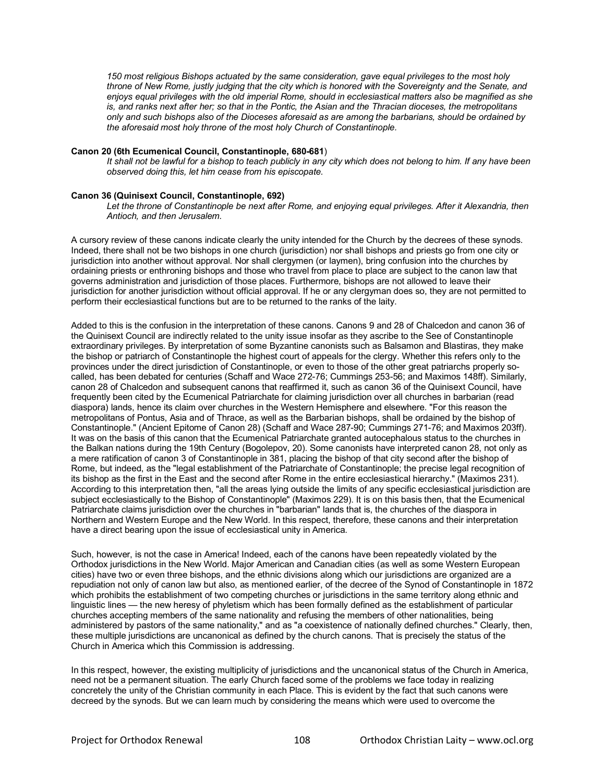*150 most religious Bishops actuated by the same consideration, gave equal privileges to the most holy throne of New Rome, justly judging that the city which is honored with the Sovereignty and the Senate, and enjoys equal privileges with the old imperial Rome, should in ecclesiastical matters also be magnified as she is, and ranks next after her; so that in the Pontic, the Asian and the Thracian dioceses, the metropolitans only and such bishops also of the Dioceses aforesaid as are among the barbarians, should be ordained by the aforesaid most holy throne of the most holy Church of Constantinople.* 

### **Canon 20 (6th Ecumenical Council, Constantinople, 680-681**)

*It shall not be lawful for a bishop to teach publicly in any city which does not belong to him. If any have been observed doing this, let him cease from his episcopate.*

## **Canon 36 (Quinisext Council, Constantinople, 692)**

Let the throne of Constantinople be next after Rome, and enjoying equal privileges. After it Alexandria, then *Antioch, and then Jerusalem.* 

A cursory review of these canons indicate clearly the unity intended for the Church by the decrees of these synods. Indeed, there shall not be two bishops in one church (jurisdiction) nor shall bishops and priests go from one city or jurisdiction into another without approval. Nor shall clergymen (or laymen), bring confusion into the churches by ordaining priests or enthroning bishops and those who travel from place to place are subject to the canon law that governs administration and jurisdiction of those places. Furthermore, bishops are not allowed to leave their jurisdiction for another jurisdiction without official approval. If he or any clergyman does so, they are not permitted to perform their ecclesiastical functions but are to be returned to the ranks of the laity.

Added to this is the confusion in the interpretation of these canons. Canons 9 and 28 of Chalcedon and canon 36 of the Quinisext Council are indirectly related to the unity issue insofar as they ascribe to the See of Constantinople extraordinary privileges. By interpretation of some Byzantine canonists such as Balsamon and Blastiras, they make the bishop or patriarch of Constantinople the highest court of appeals for the clergy. Whether this refers only to the provinces under the direct jurisdiction of Constantinople, or even to those of the other great patriarchs properly socalled, has been debated for centuries (Schaff and Wace 272-76; Cummings 253-56; and Maximos 148ff). Similarly, canon 28 of Chalcedon and subsequent canons that reaffirmed it, such as canon 36 of the Quinisext Council, have frequently been cited by the Ecumenical Patriarchate for claiming jurisdiction over all churches in barbarian (read diaspora) lands, hence its claim over churches in the Western Hemisphere and elsewhere. "For this reason the metropolitans of Pontus, Asia and of Thrace, as well as the Barbarian bishops, shall be ordained by the bishop of Constantinople." (Ancient Epitome of Canon 28) (Schaff and Wace 287-90; Cummings 271-76; and Maximos 203ff). It was on the basis of this canon that the Ecumenical Patriarchate granted autocephalous status to the churches in the Balkan nations during the 19th Century (Bogolepov, 20). Some canonists have interpreted canon 28, not only as a mere ratification of canon 3 of Constantinople in 381, placing the bishop of that city second after the bishop of Rome, but indeed, as the "legal establishment of the Patriarchate of Constantinople; the precise legal recognition of its bishop as the first in the East and the second after Rome in the entire ecclesiastical hierarchy." (Maximos 231). According to this interpretation then, "all the areas lying outside the limits of any specific ecclesiastical jurisdiction are subject ecclesiastically to the Bishop of Constantinople" (Maximos 229). It is on this basis then, that the Ecumenical Patriarchate claims jurisdiction over the churches in "barbarian" lands that is, the churches of the diaspora in Northern and Western Europe and the New World. In this respect, therefore, these canons and their interpretation have a direct bearing upon the issue of ecclesiastical unity in America.

Such, however, is not the case in America! Indeed, each of the canons have been repeatedly violated by the Orthodox jurisdictions in the New World. Major American and Canadian cities (as well as some Western European cities) have two or even three bishops, and the ethnic divisions along which our jurisdictions are organized are a repudiation not only of canon law but also, as mentioned earlier, of the decree of the Synod of Constantinople in 1872 which prohibits the establishment of two competing churches or jurisdictions in the same territory along ethnic and linguistic lines — the new heresy of phyletism which has been formally defined as the establishment of particular churches accepting members of the same nationality and refusing the members of other nationalities, being administered by pastors of the same nationality," and as "a coexistence of nationally defined churches." Clearly, then, these multiple jurisdictions are uncanonical as defined by the church canons. That is precisely the status of the Church in America which this Commission is addressing.

In this respect, however, the existing multiplicity of jurisdictions and the uncanonical status of the Church in America, need not be a permanent situation. The early Church faced some of the problems we face today in realizing concretely the unity of the Christian community in each Place. This is evident by the fact that such canons were decreed by the synods. But we can learn much by considering the means which were used to overcome the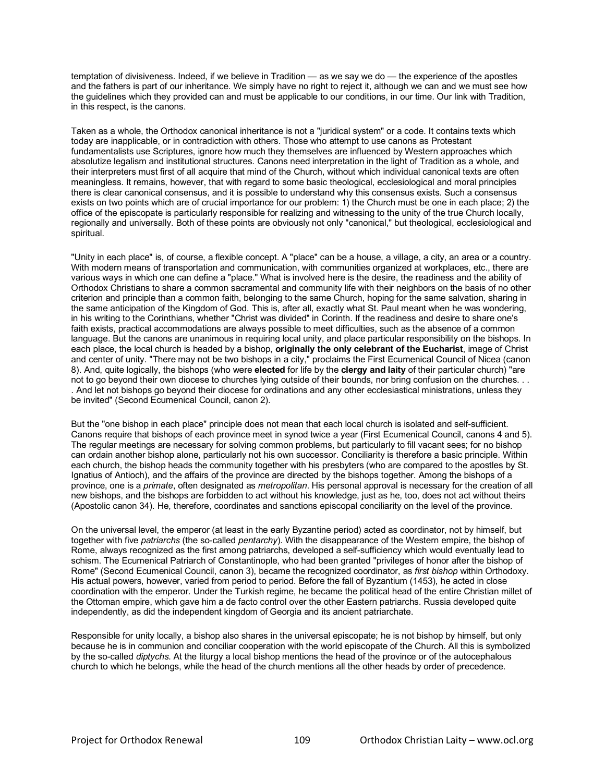temptation of divisiveness. Indeed, if we believe in Tradition — as we say we do — the experience of the apostles and the fathers is part of our inheritance. We simply have no right to reject it, although we can and we must see how the guidelines which they provided can and must be applicable to our conditions, in our time. Our link with Tradition, in this respect, is the canons.

Taken as a whole, the Orthodox canonical inheritance is not a "juridical system" or a code. It contains texts which today are inapplicable, or in contradiction with others. Those who attempt to use canons as Protestant fundamentalists use Scriptures, ignore how much they themselves are influenced by Western approaches which absolutize legalism and institutional structures. Canons need interpretation in the light of Tradition as a whole, and their interpreters must first of all acquire that mind of the Church, without which individual canonical texts are often meaningless. It remains, however, that with regard to some basic theological, ecclesiological and moral principles there is clear canonical consensus, and it is possible to understand why this consensus exists. Such a consensus exists on two points which are of crucial importance for our problem: 1) the Church must be one in each place; 2) the office of the episcopate is particularly responsible for realizing and witnessing to the unity of the true Church locally, regionally and universally. Both of these points are obviously not only "canonical," but theological, ecclesiological and spiritual.

"Unity in each place" is, of course, a flexible concept. A "place" can be a house, a village, a city, an area or a country. With modern means of transportation and communication, with communities organized at workplaces, etc., there are various ways in which one can define a "place." What is involved here is the desire, the readiness and the ability of Orthodox Christians to share a common sacramental and community life with their neighbors on the basis of no other criterion and principle than a common faith, belonging to the same Church, hoping for the same salvation, sharing in the same anticipation of the Kingdom of God. This is, after all, exactly what St. Paul meant when he was wondering, in his writing to the Corinthians, whether "Christ was divided" in Corinth. If the readiness and desire to share one's faith exists, practical accommodations are always possible to meet difficulties, such as the absence of a common language. But the canons are unanimous in requiring local unity, and place particular responsibility on the bishops. In each place, the local church is headed by a bishop, **originally the only celebrant of the Eucharist**, image of Christ and center of unity. "There may not be two bishops in a city," proclaims the First Ecumenical Council of Nicea (canon 8). And, quite logically, the bishops (who were **elected** for life by the **clergy and laity** of their particular church) "are not to go beyond their own diocese to churches lying outside of their bounds, nor bring confusion on the churches. . . . And let not bishops go beyond their diocese for ordinations and any other ecclesiastical ministrations, unless they be invited" (Second Ecumenical Council, canon 2).

But the "one bishop in each place" principle does not mean that each local church is isolated and self-sufficient. Canons require that bishops of each province meet in synod twice a year (First Ecumenical Council, canons 4 and 5). The regular meetings are necessary for solving common problems, but particularly to fill vacant sees; for no bishop can ordain another bishop alone, particularly not his own successor. Conciliarity is therefore a basic principle. Within each church, the bishop heads the community together with his presbyters (who are compared to the apostles by St. Ignatius of Antioch), and the affairs of the province are directed by the bishops together. Among the bishops of a province, one is a *primate*, often designated as *metropolitan*. His personal approval is necessary for the creation of all new bishops, and the bishops are forbidden to act without his knowledge, just as he, too, does not act without theirs (Apostolic canon 34). He, therefore, coordinates and sanctions episcopal conciliarity on the level of the province.

On the universal level, the emperor (at least in the early Byzantine period) acted as coordinator, not by himself, but together with five *patriarchs* (the so-called *pentarchy*). With the disappearance of the Western empire, the bishop of Rome, always recognized as the first among patriarchs, developed a self-sufficiency which would eventually lead to schism. The Ecumenical Patriarch of Constantinople, who had been granted "privileges of honor after the bishop of Rome" (Second Ecumenical Council, canon 3), became the recognized coordinator, as *first bishop* within Orthodoxy. His actual powers, however, varied from period to period. Before the fall of Byzantium (1453), he acted in close coordination with the emperor. Under the Turkish regime, he became the political head of the entire Christian millet of the Ottoman empire, which gave him a de facto control over the other Eastern patriarchs. Russia developed quite independently, as did the independent kingdom of Georgia and its ancient patriarchate.

Responsible for unity locally, a bishop also shares in the universal episcopate; he is not bishop by himself, but only because he is in communion and conciliar cooperation with the world episcopate of the Church. All this is symbolized by the so-called *diptychs*. At the liturgy a local bishop mentions the head of the province or of the autocephalous church to which he belongs, while the head of the church mentions all the other heads by order of precedence.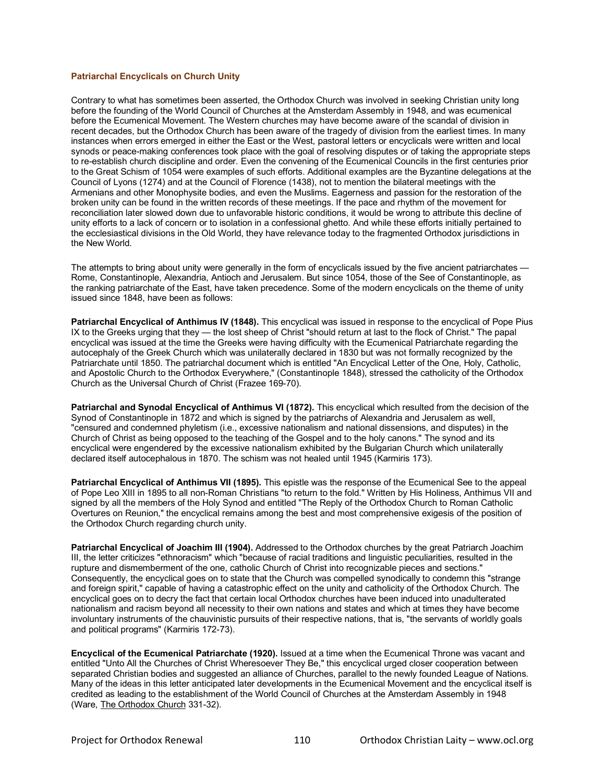## **[Patriarchal Encyclicals on Church Unity](http://www.ocl.org/index.cfm?fuseaction=AboutUs.Patriarchal_Encyclicals)**

Contrary to what has sometimes been asserted, the Orthodox Church was involved in seeking Christian unity long before the founding of the World Council of Churches at the Amsterdam Assembly in 1948, and was ecumenical before the Ecumenical Movement. The Western churches may have become aware of the scandal of division in recent decades, but the Orthodox Church has been aware of the tragedy of division from the earliest times. In many instances when errors emerged in either the East or the West, pastoral letters or encyclicals were written and local synods or peace-making conferences took place with the goal of resolving disputes or of taking the appropriate steps to re-establish church discipline and order. Even the convening of the Ecumenical Councils in the first centuries prior to the Great Schism of 1054 were examples of such efforts. Additional examples are the Byzantine delegations at the Council of Lyons (1274) and at the Council of Florence (1438), not to mention the bilateral meetings with the Armenians and other Monophysite bodies, and even the Muslims. Eagerness and passion for the restoration of the broken unity can be found in the written records of these meetings. If the pace and rhythm of the movement for reconciliation later slowed down due to unfavorable historic conditions, it would be wrong to attribute this decline of unity efforts to a lack of concern or to isolation in a confessional ghetto. And while these efforts initially pertained to the ecclesiastical divisions in the Old World, they have relevance today to the fragmented Orthodox jurisdictions in the New World.

The attempts to bring about unity were generally in the form of encyclicals issued by the five ancient patriarchates — Rome, Constantinople, Alexandria, Antioch and Jerusalem. But since 1054, those of the See of Constantinople, as the ranking patriarchate of the East, have taken precedence. Some of the modern encyclicals on the theme of unity issued since 1848, have been as follows:

**Patriarchal Encyclical of Anthimus IV (1848).** This encyclical was issued in response to the encyclical of Pope Pius IX to the Greeks urging that they — the lost sheep of Christ "should return at last to the flock of Christ." The papal encyclical was issued at the time the Greeks were having difficulty with the Ecumenical Patriarchate regarding the autocephaly of the Greek Church which was unilaterally declared in 1830 but was not formally recognized by the Patriarchate until 1850. The patriarchal document which is entitled "An Encyclical Letter of the One, Holy, Catholic, and Apostolic Church to the Orthodox Everywhere," (Constantinople 1848), stressed the catholicity of the Orthodox Church as the Universal Church of Christ (Frazee 169-70).

**Patriarchal and Synodal Encyclical of Anthimus VI (1872).** This encyclical which resulted from the decision of the Synod of Constantinople in 1872 and which is signed by the patriarchs of Alexandria and Jerusalem as well, "censured and condemned phyletism (i.e., excessive nationalism and national dissensions, and disputes) in the Church of Christ as being opposed to the teaching of the Gospel and to the holy canons." The synod and its encyclical were engendered by the excessive nationalism exhibited by the Bulgarian Church which unilaterally declared itself autocephalous in 1870. The schism was not healed until 1945 (Karmiris 173).

**Patriarchal Encyclical of Anthimus VII (1895).** This epistle was the response of the Ecumenical See to the appeal of Pope Leo XIII in 1895 to all non-Roman Christians "to return to the fold." Written by His Holiness, Anthimus VII and signed by all the members of the Holy Synod and entitled "The Reply of the Orthodox Church to Roman Catholic Overtures on Reunion," the encyclical remains among the best and most comprehensive exigesis of the position of the Orthodox Church regarding church unity.

**Patriarchal Encyclical of Joachim III (1904).** Addressed to the Orthodox churches by the great Patriarch Joachim III, the letter criticizes "ethnoracism" which "because of racial traditions and linguistic peculiarities, resulted in the rupture and dismemberment of the one, catholic Church of Christ into recognizable pieces and sections." Consequently, the encyclical goes on to state that the Church was compelled synodically to condemn this "strange and foreign spirit," capable of having a catastrophic effect on the unity and catholicity of the Orthodox Church. The encyclical goes on to decry the fact that certain local Orthodox churches have been induced into unadulterated nationalism and racism beyond all necessity to their own nations and states and which at times they have become involuntary instruments of the chauvinistic pursuits of their respective nations, that is, "the servants of worldly goals and political programs" (Karmiris 172-73).

**Encyclical of the Ecumenical Patriarchate (1920).** Issued at a time when the Ecumenical Throne was vacant and entitled "Unto All the Churches of Christ Wheresoever They Be," this encyclical urged closer cooperation between separated Christian bodies and suggested an alliance of Churches, parallel to the newly founded League of Nations. Many of the ideas in this letter anticipated later developments in the Ecumenical Movement and the encyclical itself is credited as leading to the establishment of the World Council of Churches at the Amsterdam Assembly in 1948 (Ware, The Orthodox Church 331-32).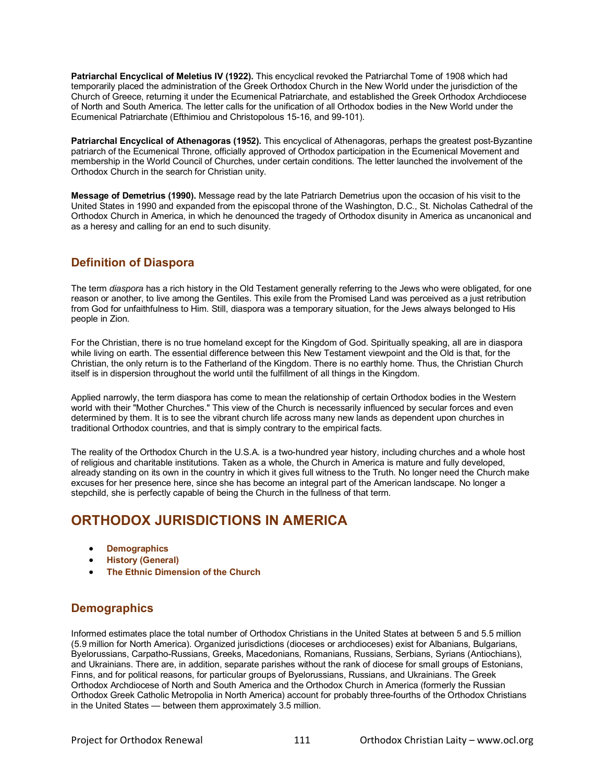**Patriarchal Encyclical of Meletius IV (1922).** This encyclical revoked the Patriarchal Tome of 1908 which had temporarily placed the administration of the Greek Orthodox Church in the New World under the jurisdiction of the Church of Greece, returning it under the Ecumenical Patriarchate, and established the Greek Orthodox Archdiocese of North and South America. The letter calls for the unification of all Orthodox bodies in the New World under the Ecumenical Patriarchate (Efthimiou and Christopolous 15-16, and 99-101).

**Patriarchal Encyclical of Athenagoras (1952).** This encyclical of Athenagoras, perhaps the greatest post-Byzantine patriarch of the Ecumenical Throne, officially approved of Orthodox participation in the Ecumenical Movement and membership in the World Council of Churches, under certain conditions. The letter launched the involvement of the Orthodox Church in the search for Christian unity.

**Message of Demetrius (1990).** Message read by the late Patriarch Demetrius upon the occasion of his visit to the United States in 1990 and expanded from the episcopal throne of the Washington, D.C., St. Nicholas Cathedral of the Orthodox Church in America, in which he denounced the tragedy of Orthodox disunity in America as uncanonical and as a heresy and calling for an end to such disunity.

# **[Definition of Diaspora](http://www.ocl.org/index.cfm?fuseaction=AboutUs.Definition_Diaspora)**

The term *diaspora* has a rich history in the Old Testament generally referring to the Jews who were obligated, for one reason or another, to live among the Gentiles. This exile from the Promised Land was perceived as a just retribution from God for unfaithfulness to Him. Still, diaspora was a temporary situation, for the Jews always belonged to His people in Zion.

For the Christian, there is no true homeland except for the Kingdom of God. Spiritually speaking, all are in diaspora while living on earth. The essential difference between this New Testament viewpoint and the Old is that, for the Christian, the only return is to the Fatherland of the Kingdom. There is no earthly home. Thus, the Christian Church itself is in dispersion throughout the world until the fulfillment of all things in the Kingdom.

Applied narrowly, the term diaspora has come to mean the relationship of certain Orthodox bodies in the Western world with their "Mother Churches." This view of the Church is necessarily influenced by secular forces and even determined by them. It is to see the vibrant church life across many new lands as dependent upon churches in traditional Orthodox countries, and that is simply contrary to the empirical facts.

The reality of the Orthodox Church in the U.S.A. is a two-hundred year history, including churches and a whole host of religious and charitable institutions. Taken as a whole, the Church in America is mature and fully developed, already standing on its own in the country in which it gives full witness to the Truth. No longer need the Church make excuses for her presence here, since she has become an integral part of the American landscape. No longer a stepchild, she is perfectly capable of being the Church in the fullness of that term.

# **ORTHODOX JURISDICTIONS IN AMERICA**

- **Demographics**
- **History (General)**
- **The Ethnic Dimension of the Church**

# **Demographics**

Informed estimates place the total number of Orthodox Christians in the United States at between 5 and 5.5 million (5.9 million for North America). Organized jurisdictions (dioceses or archdioceses) exist for Albanians, Bulgarians, Byelorussians, Carpatho-Russians, Greeks, Macedonians, Romanians, Russians, Serbians, Syrians (Antiochians), and Ukrainians. There are, in addition, separate parishes without the rank of diocese for small groups of Estonians, Finns, and for political reasons, for particular groups of Byelorussians, Russians, and Ukrainians. The Greek Orthodox Archdiocese of North and South America and the Orthodox Church in America (formerly the Russian Orthodox Greek Catholic Metropolia in North America) account for probably three-fourths of the Orthodox Christians in the United States — between them approximately 3.5 million.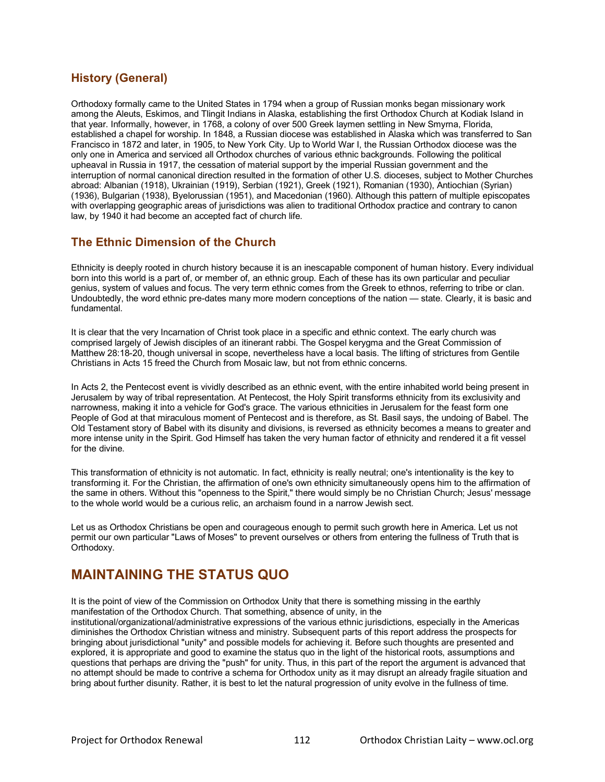# **History (General)**

Orthodoxy formally came to the United States in 1794 when a group of Russian monks began missionary work among the Aleuts, Eskimos, and Tlingit Indians in Alaska, establishing the first Orthodox Church at Kodiak Island in that year. Informally, however, in 1768, a colony of over 500 Greek laymen settling in New Smyrna, Florida, established a chapel for worship. In 1848, a Russian diocese was established in Alaska which was transferred to San Francisco in 1872 and later, in 1905, to New York City. Up to World War I, the Russian Orthodox diocese was the only one in America and serviced all Orthodox churches of various ethnic backgrounds. Following the political upheaval in Russia in 1917, the cessation of material support by the imperial Russian government and the interruption of normal canonical direction resulted in the formation of other U.S. dioceses, subject to Mother Churches abroad: Albanian (1918), Ukrainian (1919), Serbian (1921), Greek (1921), Romanian (1930), Antiochian (Syrian) (1936), Bulgarian (1938), Byelorussian (1951), and Macedonian (1960). Although this pattern of multiple episcopates with overlapping geographic areas of jurisdictions was alien to traditional Orthodox practice and contrary to canon law, by 1940 it had become an accepted fact of church life.

# **The Ethnic Dimension of the Church**

Ethnicity is deeply rooted in church history because it is an inescapable component of human history. Every individual born into this world is a part of, or member of, an ethnic group. Each of these has its own particular and peculiar genius, system of values and focus. The very term ethnic comes from the Greek to ethnos, referring to tribe or clan. Undoubtedly, the word ethnic pre-dates many more modern conceptions of the nation — state. Clearly, it is basic and fundamental.

It is clear that the very Incarnation of Christ took place in a specific and ethnic context. The early church was comprised largely of Jewish disciples of an itinerant rabbi. The Gospel kerygma and the Great Commission of Matthew 28:18-20, though universal in scope, nevertheless have a local basis. The lifting of strictures from Gentile Christians in Acts 15 freed the Church from Mosaic law, but not from ethnic concerns.

In Acts 2, the Pentecost event is vividly described as an ethnic event, with the entire inhabited world being present in Jerusalem by way of tribal representation. At Pentecost, the Holy Spirit transforms ethnicity from its exclusivity and narrowness, making it into a vehicle for God's grace. The various ethnicities in Jerusalem for the feast form one People of God at that miraculous moment of Pentecost and is therefore, as St. Basil says, the undoing of Babel. The Old Testament story of Babel with its disunity and divisions, is reversed as ethnicity becomes a means to greater and more intense unity in the Spirit. God Himself has taken the very human factor of ethnicity and rendered it a fit vessel for the divine.

This transformation of ethnicity is not automatic. In fact, ethnicity is really neutral; one's intentionality is the key to transforming it. For the Christian, the affirmation of one's own ethnicity simultaneously opens him to the affirmation of the same in others. Without this "openness to the Spirit," there would simply be no Christian Church; Jesus' message to the whole world would be a curious relic, an archaism found in a narrow Jewish sect.

Let us as Orthodox Christians be open and courageous enough to permit such growth here in America. Let us not permit our own particular "Laws of Moses" to prevent ourselves or others from entering the fullness of Truth that is Orthodoxy.

# **MAINTAINING THE STATUS QUO**

It is the point of view of the Commission on Orthodox Unity that there is something missing in the earthly manifestation of the Orthodox Church. That something, absence of unity, in the

institutional/organizational/administrative expressions of the various ethnic jurisdictions, especially in the Americas diminishes the Orthodox Christian witness and ministry. Subsequent parts of this report address the prospects for bringing about jurisdictional "unity" and possible models for achieving it. Before such thoughts are presented and explored, it is appropriate and good to examine the status quo in the light of the historical roots, assumptions and questions that perhaps are driving the "push" for unity. Thus, in this part of the report the argument is advanced that no attempt should be made to contrive a schema for Orthodox unity as it may disrupt an already fragile situation and bring about further disunity. Rather, it is best to let the natural progression of unity evolve in the fullness of time.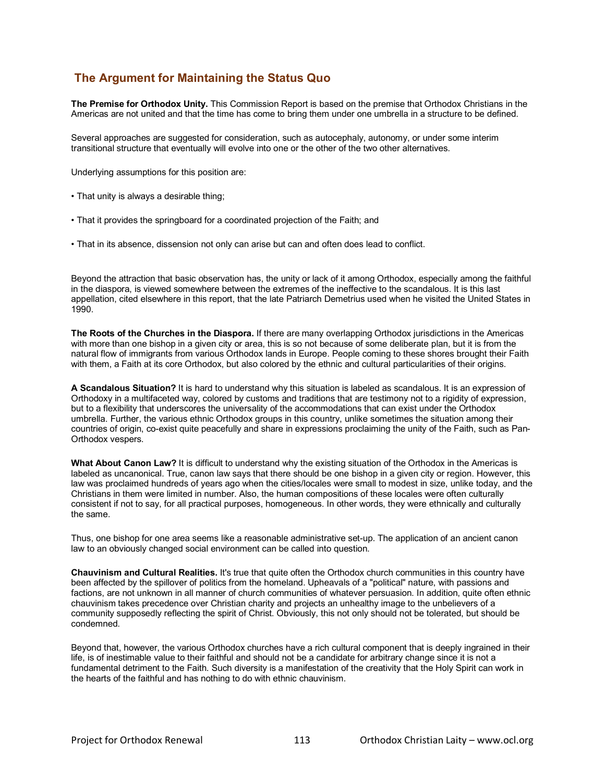# **The Argument for Maintaining the Status Quo**

**The Premise for Orthodox Unity.** This Commission Report is based on the premise that Orthodox Christians in the Americas are not united and that the time has come to bring them under one umbrella in a structure to be defined.

Several approaches are suggested for consideration, such as autocephaly, autonomy, or under some interim transitional structure that eventually will evolve into one or the other of the two other alternatives.

Underlying assumptions for this position are:

- That unity is always a desirable thing;
- That it provides the springboard for a coordinated projection of the Faith; and
- That in its absence, dissension not only can arise but can and often does lead to conflict.

Beyond the attraction that basic observation has, the unity or lack of it among Orthodox, especially among the faithful in the diaspora, is viewed somewhere between the extremes of the ineffective to the scandalous. It is this last appellation, cited elsewhere in this report, that the late Patriarch Demetrius used when he visited the United States in 1990.

**The Roots of the Churches in the Diaspora.** If there are many overlapping Orthodox jurisdictions in the Americas with more than one bishop in a given city or area, this is so not because of some deliberate plan, but it is from the natural flow of immigrants from various Orthodox lands in Europe. People coming to these shores brought their Faith with them, a Faith at its core Orthodox, but also colored by the ethnic and cultural particularities of their origins.

**A Scandalous Situation?** It is hard to understand why this situation is labeled as scandalous. It is an expression of Orthodoxy in a multifaceted way, colored by customs and traditions that are testimony not to a rigidity of expression, but to a flexibility that underscores the universality of the accommodations that can exist under the Orthodox umbrella. Further, the various ethnic Orthodox groups in this country, unlike sometimes the situation among their countries of origin, co-exist quite peacefully and share in expressions proclaiming the unity of the Faith, such as Pan-Orthodox vespers.

**What About Canon Law?** It is difficult to understand why the existing situation of the Orthodox in the Americas is labeled as uncanonical. True, canon law says that there should be one bishop in a given city or region. However, this law was proclaimed hundreds of years ago when the cities/locales were small to modest in size, unlike today, and the Christians in them were limited in number. Also, the human compositions of these locales were often culturally consistent if not to say, for all practical purposes, homogeneous. In other words, they were ethnically and culturally the same.

Thus, one bishop for one area seems like a reasonable administrative set-up. The application of an ancient canon law to an obviously changed social environment can be called into question.

**Chauvinism and Cultural Realities.** It's true that quite often the Orthodox church communities in this country have been affected by the spillover of politics from the homeland. Upheavals of a "political" nature, with passions and factions, are not unknown in all manner of church communities of whatever persuasion. In addition, quite often ethnic chauvinism takes precedence over Christian charity and projects an unhealthy image to the unbelievers of a community supposedly reflecting the spirit of Christ. Obviously, this not only should not be tolerated, but should be condemned.

Beyond that, however, the various Orthodox churches have a rich cultural component that is deeply ingrained in their life, is of inestimable value to their faithful and should not be a candidate for arbitrary change since it is not a fundamental detriment to the Faith. Such diversity is a manifestation of the creativity that the Holy Spirit can work in the hearts of the faithful and has nothing to do with ethnic chauvinism.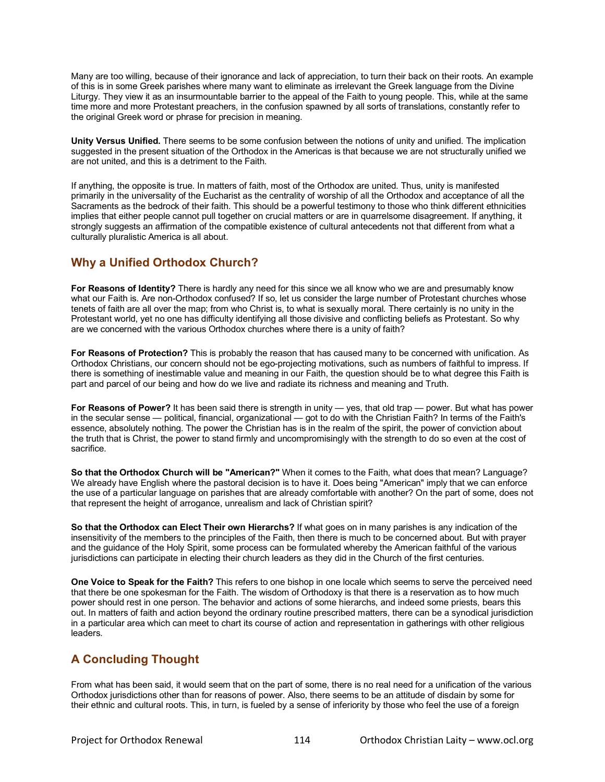Many are too willing, because of their ignorance and lack of appreciation, to turn their back on their roots. An example of this is in some Greek parishes where many want to eliminate as irrelevant the Greek language from the Divine Liturgy. They view it as an insurmountable barrier to the appeal of the Faith to young people. This, while at the same time more and more Protestant preachers, in the confusion spawned by all sorts of translations, constantly refer to the original Greek word or phrase for precision in meaning.

**Unity Versus Unified.** There seems to be some confusion between the notions of unity and unified. The implication suggested in the present situation of the Orthodox in the Americas is that because we are not structurally unified we are not united, and this is a detriment to the Faith.

If anything, the opposite is true. In matters of faith, most of the Orthodox are united. Thus, unity is manifested primarily in the universality of the Eucharist as the centrality of worship of all the Orthodox and acceptance of all the Sacraments as the bedrock of their faith. This should be a powerful testimony to those who think different ethnicities implies that either people cannot pull together on crucial matters or are in quarrelsome disagreement. If anything, it strongly suggests an affirmation of the compatible existence of cultural antecedents not that different from what a culturally pluralistic America is all about.

# **Why a Unified Orthodox Church?**

**For Reasons of Identity?** There is hardly any need for this since we all know who we are and presumably know what our Faith is. Are non-Orthodox confused? If so, let us consider the large number of Protestant churches whose tenets of faith are all over the map; from who Christ is, to what is sexually moral. There certainly is no unity in the Protestant world, yet no one has difficulty identifying all those divisive and conflicting beliefs as Protestant. So why are we concerned with the various Orthodox churches where there is a unity of faith?

**For Reasons of Protection?** This is probably the reason that has caused many to be concerned with unification. As Orthodox Christians, our concern should not be ego-projecting motivations, such as numbers of faithful to impress. If there is something of inestimable value and meaning in our Faith, the question should be to what degree this Faith is part and parcel of our being and how do we live and radiate its richness and meaning and Truth.

**For Reasons of Power?** It has been said there is strength in unity — yes, that old trap — power. But what has power in the secular sense — political, financial, organizational — got to do with the Christian Faith? In terms of the Faith's essence, absolutely nothing. The power the Christian has is in the realm of the spirit, the power of conviction about the truth that is Christ, the power to stand firmly and uncompromisingly with the strength to do so even at the cost of sacrifice.

**So that the Orthodox Church will be "American?"** When it comes to the Faith, what does that mean? Language? We already have English where the pastoral decision is to have it. Does being "American" imply that we can enforce the use of a particular language on parishes that are already comfortable with another? On the part of some, does not that represent the height of arrogance, unrealism and lack of Christian spirit?

**So that the Orthodox can Elect Their own Hierarchs?** If what goes on in many parishes is any indication of the insensitivity of the members to the principles of the Faith, then there is much to be concerned about. But with prayer and the guidance of the Holy Spirit, some process can be formulated whereby the American faithful of the various jurisdictions can participate in electing their church leaders as they did in the Church of the first centuries.

**One Voice to Speak for the Faith?** This refers to one bishop in one locale which seems to serve the perceived need that there be one spokesman for the Faith. The wisdom of Orthodoxy is that there is a reservation as to how much power should rest in one person. The behavior and actions of some hierarchs, and indeed some priests, bears this out. In matters of faith and action beyond the ordinary routine prescribed matters, there can be a synodical jurisdiction in a particular area which can meet to chart its course of action and representation in gatherings with other religious leaders.

# **A Concluding Thought**

From what has been said, it would seem that on the part of some, there is no real need for a unification of the various Orthodox jurisdictions other than for reasons of power. Also, there seems to be an attitude of disdain by some for their ethnic and cultural roots. This, in turn, is fueled by a sense of inferiority by those who feel the use of a foreign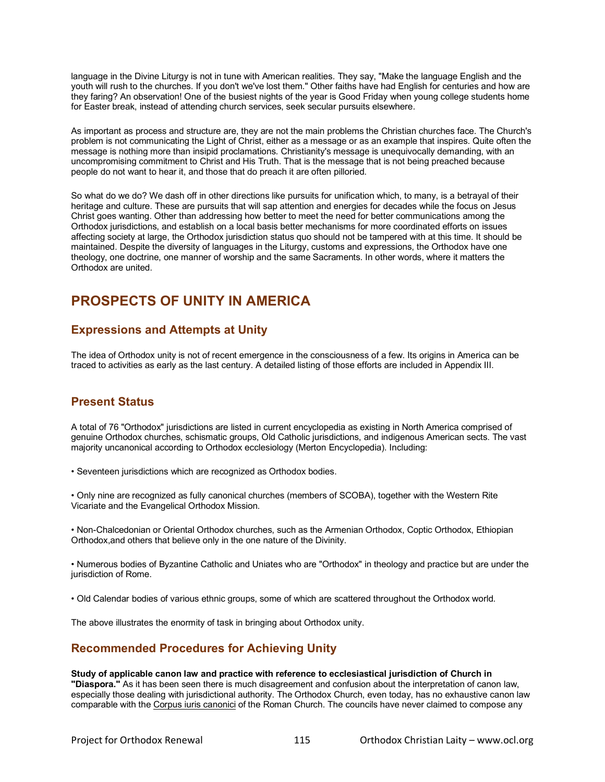language in the Divine Liturgy is not in tune with American realities. They say, "Make the language English and the youth will rush to the churches. If you don't we've lost them." Other faiths have had English for centuries and how are they faring? An observation! One of the busiest nights of the year is Good Friday when young college students home for Easter break, instead of attending church services, seek secular pursuits elsewhere.

As important as process and structure are, they are not the main problems the Christian churches face. The Church's problem is not communicating the Light of Christ, either as a message or as an example that inspires. Quite often the message is nothing more than insipid proclamations. Christianity's message is unequivocally demanding, with an uncompromising commitment to Christ and His Truth. That is the message that is not being preached because people do not want to hear it, and those that do preach it are often pilloried.

So what do we do? We dash off in other directions like pursuits for unification which, to many, is a betrayal of their heritage and culture. These are pursuits that will sap attention and energies for decades while the focus on Jesus Christ goes wanting. Other than addressing how better to meet the need for better communications among the Orthodox jurisdictions, and establish on a local basis better mechanisms for more coordinated efforts on issues affecting society at large, the Orthodox jurisdiction status quo should not be tampered with at this time. It should be maintained. Despite the diversity of languages in the Liturgy, customs and expressions, the Orthodox have one theology, one doctrine, one manner of worship and the same Sacraments. In other words, where it matters the Orthodox are united.

# **PROSPECTS OF UNITY IN AMERICA**

# **Expressions and Attempts at Unity**

The idea of Orthodox unity is not of recent emergence in the consciousness of a few. Its origins in America can be traced to activities as early as the last century. A detailed listing of those efforts are included in Appendix III.

# **Present Status**

A total of 76 "Orthodox" jurisdictions are listed in current encyclopedia as existing in North America comprised of genuine Orthodox churches, schismatic groups, Old Catholic jurisdictions, and indigenous American sects. The vast majority uncanonical according to Orthodox ecclesiology (Merton Encyclopedia). Including:

• Seventeen jurisdictions which are recognized as Orthodox bodies.

• Only nine are recognized as fully canonical churches (members of SCOBA), together with the Western Rite Vicariate and the Evangelical Orthodox Mission.

• Non-Chalcedonian or Oriental Orthodox churches, such as the Armenian Orthodox, Coptic Orthodox, Ethiopian Orthodox,and others that believe only in the one nature of the Divinity.

• Numerous bodies of Byzantine Catholic and Uniates who are "Orthodox" in theology and practice but are under the jurisdiction of Rome.

• Old Calendar bodies of various ethnic groups, some of which are scattered throughout the Orthodox world.

The above illustrates the enormity of task in bringing about Orthodox unity.

# **Recommended Procedures for Achieving Unity**

## **Study of applicable canon law and practice with reference to ecclesiastical jurisdiction of Church in**

**"Diaspora."** As it has been seen there is much disagreement and confusion about the interpretation of canon law, especially those dealing with jurisdictional authority. The Orthodox Church, even today, has no exhaustive canon law comparable with the Corpus iuris canonici of the Roman Church. The councils have never claimed to compose any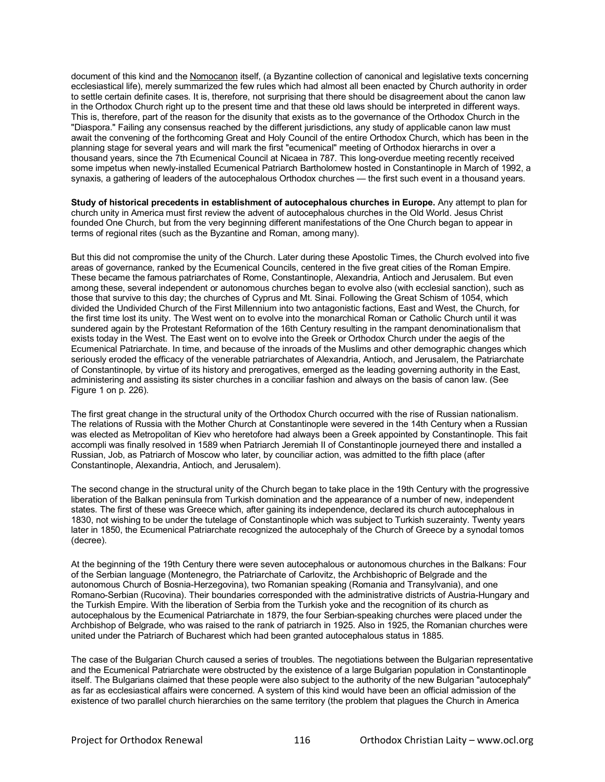document of this kind and the Nomocanon itself, (a Byzantine collection of canonical and legislative texts concerning ecclesiastical life), merely summarized the few rules which had almost all been enacted by Church authority in order to settle certain definite cases. It is, therefore, not surprising that there should be disagreement about the canon law in the Orthodox Church right up to the present time and that these old laws should be interpreted in different ways. This is, therefore, part of the reason for the disunity that exists as to the governance of the Orthodox Church in the "Diaspora." Failing any consensus reached by the different jurisdictions, any study of applicable canon law must await the convening of the forthcoming Great and Holy Council of the entire Orthodox Church, which has been in the planning stage for several years and will mark the first "ecumenical" meeting of Orthodox hierarchs in over a thousand years, since the 7th Ecumenical Council at Nicaea in 787. This long-overdue meeting recently received some impetus when newly-installed Ecumenical Patriarch Bartholomew hosted in Constantinople in March of 1992, a synaxis, a gathering of leaders of the autocephalous Orthodox churches — the first such event in a thousand years.

**Study of historical precedents in establishment of autocephalous churches in Europe.** Any attempt to plan for church unity in America must first review the advent of autocephalous churches in the Old World. Jesus Christ founded One Church, but from the very beginning different manifestations of the One Church began to appear in terms of regional rites (such as the Byzantine and Roman, among many).

But this did not compromise the unity of the Church. Later during these Apostolic Times, the Church evolved into five areas of governance, ranked by the Ecumenical Councils, centered in the five great cities of the Roman Empire. These became the famous patriarchates of Rome, Constantinople, Alexandria, Antioch and Jerusalem. But even among these, several independent or autonomous churches began to evolve also (with ecclesial sanction), such as those that survive to this day; the churches of Cyprus and Mt. Sinai. Following the Great Schism of 1054, which divided the Undivided Church of the First Millennium into two antagonistic factions, East and West, the Church, for the first time lost its unity. The West went on to evolve into the monarchical Roman or Catholic Church until it was sundered again by the Protestant Reformation of the 16th Century resulting in the rampant denominationalism that exists today in the West. The East went on to evolve into the Greek or Orthodox Church under the aegis of the Ecumenical Patriarchate. In time, and because of the inroads of the Muslims and other demographic changes which seriously eroded the efficacy of the venerable patriarchates of Alexandria, Antioch, and Jerusalem, the Patriarchate of Constantinople, by virtue of its history and prerogatives, emerged as the leading governing authority in the East, administering and assisting its sister churches in a conciliar fashion and always on the basis of canon law. (See Figure 1 on p. 226).

The first great change in the structural unity of the Orthodox Church occurred with the rise of Russian nationalism. The relations of Russia with the Mother Church at Constantinople were severed in the 14th Century when a Russian was elected as Metropolitan of Kiev who heretofore had always been a Greek appointed by Constantinople. This fait accompli was finally resolved in 1589 when Patriarch Jeremiah II of Constantinople journeyed there and installed a Russian, Job, as Patriarch of Moscow who later, by counciliar action, was admitted to the fifth place (after Constantinople, Alexandria, Antioch, and Jerusalem).

The second change in the structural unity of the Church began to take place in the 19th Century with the progressive liberation of the Balkan peninsula from Turkish domination and the appearance of a number of new, independent states. The first of these was Greece which, after gaining its independence, declared its church autocephalous in 1830, not wishing to be under the tutelage of Constantinople which was subject to Turkish suzerainty. Twenty years later in 1850, the Ecumenical Patriarchate recognized the autocephaly of the Church of Greece by a synodal tomos (decree).

At the beginning of the 19th Century there were seven autocephalous or autonomous churches in the Balkans: Four of the Serbian language (Montenegro, the Patriarchate of Carlovitz, the Archbishopric of Belgrade and the autonomous Church of Bosnia-Herzegovina), two Romanian speaking (Romania and Transylvania), and one Romano-Serbian (Rucovina). Their boundaries corresponded with the administrative districts of Austria-Hungary and the Turkish Empire. With the liberation of Serbia from the Turkish yoke and the recognition of its church as autocephalous by the Ecumenical Patriarchate in 1879, the four Serbian-speaking churches were placed under the Archbishop of Belgrade, who was raised to the rank of patriarch in 1925. Also in 1925, the Romanian churches were united under the Patriarch of Bucharest which had been granted autocephalous status in 1885.

The case of the Bulgarian Church caused a series of troubles. The negotiations between the Bulgarian representative and the Ecumenical Patriarchate were obstructed by the existence of a large Bulgarian population in Constantinople itself. The Bulgarians claimed that these people were also subject to the authority of the new Bulgarian "autocephaly" as far as ecclesiastical affairs were concerned. A system of this kind would have been an official admission of the existence of two parallel church hierarchies on the same territory (the problem that plagues the Church in America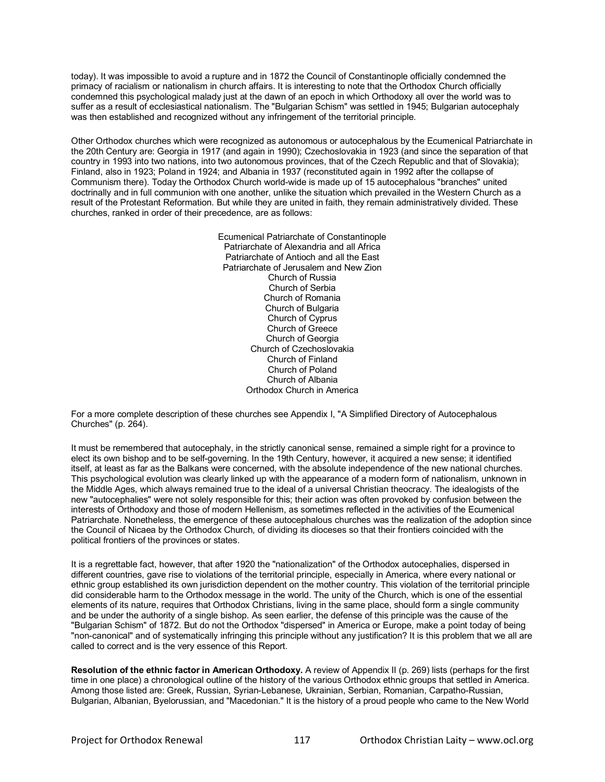today). It was impossible to avoid a rupture and in 1872 the Council of Constantinople officially condemned the primacy of racialism or nationalism in church affairs. It is interesting to note that the Orthodox Church officially condemned this psychological malady just at the dawn of an epoch in which Orthodoxy all over the world was to suffer as a result of ecclesiastical nationalism. The "Bulgarian Schism" was settled in 1945; Bulgarian autocephaly was then established and recognized without any infringement of the territorial principle.

Other Orthodox churches which were recognized as autonomous or autocephalous by the Ecumenical Patriarchate in the 20th Century are: Georgia in 1917 (and again in 1990); Czechoslovakia in 1923 (and since the separation of that country in 1993 into two nations, into two autonomous provinces, that of the Czech Republic and that of Slovakia); Finland, also in 1923; Poland in 1924; and Albania in 1937 (reconstituted again in 1992 after the collapse of Communism there). Today the Orthodox Church world-wide is made up of 15 autocephalous "branches" united doctrinally and in full communion with one another, unlike the situation which prevailed in the Western Church as a result of the Protestant Reformation. But while they are united in faith, they remain administratively divided. These churches, ranked in order of their precedence, are as follows:

> Ecumenical Patriarchate of Constantinople Patriarchate of Alexandria and all Africa Patriarchate of Antioch and all the East Patriarchate of Jerusalem and New Zion Church of Russia Church of Serbia Church of Romania Church of Bulgaria Church of Cyprus Church of Greece Church of Georgia Church of Czechoslovakia Church of Finland Church of Poland Church of Albania Orthodox Church in America

For a more complete description of these churches see Appendix I, "A Simplified Directory of Autocephalous Churches" (p. 264).

It must be remembered that autocephaly, in the strictly canonical sense, remained a simple right for a province to elect its own bishop and to be self-governing. In the 19th Century, however, it acquired a new sense; it identified itself, at least as far as the Balkans were concerned, with the absolute independence of the new national churches. This psychological evolution was clearly linked up with the appearance of a modern form of nationalism, unknown in the Middle Ages, which always remained true to the ideal of a universal Christian theocracy. The idealogists of the new "autocephalies" were not solely responsible for this; their action was often provoked by confusion between the interests of Orthodoxy and those of modern Hellenism, as sometimes reflected in the activities of the Ecumenical Patriarchate. Nonetheless, the emergence of these autocephalous churches was the realization of the adoption since the Council of Nicaea by the Orthodox Church, of dividing its dioceses so that their frontiers coincided with the political frontiers of the provinces or states.

It is a regrettable fact, however, that after 1920 the "nationalization" of the Orthodox autocephalies, dispersed in different countries, gave rise to violations of the territorial principle, especially in America, where every national or ethnic group established its own jurisdiction dependent on the mother country. This violation of the territorial principle did considerable harm to the Orthodox message in the world. The unity of the Church, which is one of the essential elements of its nature, requires that Orthodox Christians, living in the same place, should form a single community and be under the authority of a single bishop. As seen earlier, the defense of this principle was the cause of the "Bulgarian Schism" of 1872. But do not the Orthodox "dispersed" in America or Europe, make a point today of being "non-canonical" and of systematically infringing this principle without any justification? It is this problem that we all are called to correct and is the very essence of this Report.

**Resolution of the ethnic factor in American Orthodoxy.** A review of Appendix II (p. 269) lists (perhaps for the first time in one place) a chronological outline of the history of the various Orthodox ethnic groups that settled in America. Among those listed are: Greek, Russian, Syrian-Lebanese, Ukrainian, Serbian, Romanian, Carpatho-Russian, Bulgarian, Albanian, Byelorussian, and "Macedonian." It is the history of a proud people who came to the New World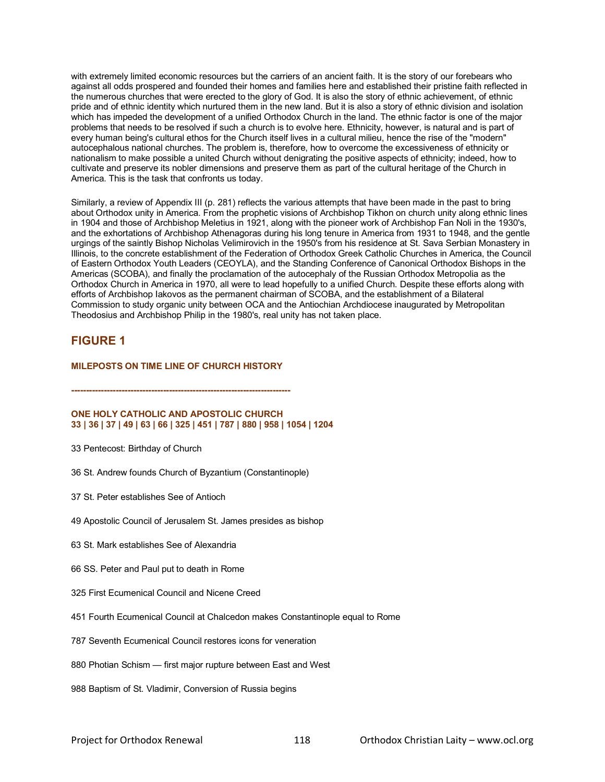with extremely limited economic resources but the carriers of an ancient faith. It is the story of our forebears who against all odds prospered and founded their homes and families here and established their pristine faith reflected in the numerous churches that were erected to the glory of God. It is also the story of ethnic achievement, of ethnic pride and of ethnic identity which nurtured them in the new land. But it is also a story of ethnic division and isolation which has impeded the development of a unified Orthodox Church in the land. The ethnic factor is one of the major problems that needs to be resolved if such a church is to evolve here. Ethnicity, however, is natural and is part of every human being's cultural ethos for the Church itself lives in a cultural milieu, hence the rise of the "modern" autocephalous national churches. The problem is, therefore, how to overcome the excessiveness of ethnicity or nationalism to make possible a united Church without denigrating the positive aspects of ethnicity; indeed, how to cultivate and preserve its nobler dimensions and preserve them as part of the cultural heritage of the Church in America. This is the task that confronts us today.

Similarly, a review of Appendix III (p. 281) reflects the various attempts that have been made in the past to bring about Orthodox unity in America. From the prophetic visions of Archbishop Tikhon on church unity along ethnic lines in 1904 and those of Archbishop Meletius in 1921, along with the pioneer work of Archbishop Fan Noli in the 1930's, and the exhortations of Archbishop Athenagoras during his long tenure in America from 1931 to 1948, and the gentle urgings of the saintly Bishop Nicholas Velimirovich in the 1950's from his residence at St. Sava Serbian Monastery in Illinois, to the concrete establishment of the Federation of Orthodox Greek Catholic Churches in America, the Council of Eastern Orthodox Youth Leaders (CEOYLA), and the Standing Conference of Canonical Orthodox Bishops in the Americas (SCOBA), and finally the proclamation of the autocephaly of the Russian Orthodox Metropolia as the Orthodox Church in America in 1970, all were to lead hopefully to a unified Church. Despite these efforts along with efforts of Archbishop Iakovos as the permanent chairman of SCOBA, and the establishment of a Bilateral Commission to study organic unity between OCA and the Antiochian Archdiocese inaugurated by Metropolitan Theodosius and Archbishop Philip in the 1980's, real unity has not taken place.

## **FIGURE 1**

## **MILEPOSTS ON TIME LINE OF CHURCH HISTORY**

**--------------------------------------------------------------------------**

## **ONE HOLY CATHOLIC AND APOSTOLIC CHURCH 33 | 36 | 37 | 49 | 63 | 66 | 325 | 451 | 787 | 880 | 958 | 1054 | 1204**

- 33 Pentecost: Birthday of Church
- 36 St. Andrew founds Church of Byzantium (Constantinople)
- 37 St. Peter establishes See of Antioch
- 49 Apostolic Council of Jerusalem St. James presides as bishop
- 63 St. Mark establishes See of Alexandria
- 66 SS. Peter and Paul put to death in Rome
- 325 First Ecumenical Council and Nicene Creed
- 451 Fourth Ecumenical Council at Chalcedon makes Constantinople equal to Rome
- 787 Seventh Ecumenical Council restores icons for veneration
- 880 Photian Schism first major rupture between East and West
- 988 Baptism of St. Vladimir, Conversion of Russia begins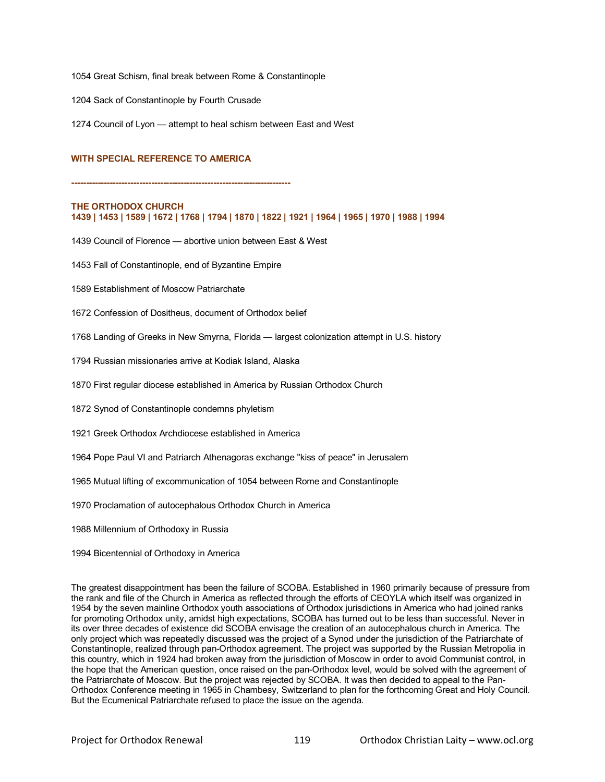1054 Great Schism, final break between Rome & Constantinople

1204 Sack of Constantinople by Fourth Crusade

1274 Council of Lyon — attempt to heal schism between East and West

## **WITH SPECIAL REFERENCE TO AMERICA**

**--------------------------------------------------------------------------**

### **THE ORTHODOX CHURCH 1439 | 1453 | 1589 | 1672 | 1768 | 1794 | 1870 | 1822 | 1921 | 1964 | 1965 | 1970 | 1988 | 1994**

1439 Council of Florence — abortive union between East & West

1453 Fall of Constantinople, end of Byzantine Empire

1589 Establishment of Moscow Patriarchate

1672 Confession of Dositheus, document of Orthodox belief

1768 Landing of Greeks in New Smyrna, Florida — largest colonization attempt in U.S. history

1794 Russian missionaries arrive at Kodiak Island, Alaska

1870 First regular diocese established in America by Russian Orthodox Church

1872 Synod of Constantinople condemns phyletism

1921 Greek Orthodox Archdiocese established in America

1964 Pope Paul VI and Patriarch Athenagoras exchange "kiss of peace" in Jerusalem

1965 Mutual lifting of excommunication of 1054 between Rome and Constantinople

1970 Proclamation of autocephalous Orthodox Church in America

1988 Millennium of Orthodoxy in Russia

1994 Bicentennial of Orthodoxy in America

The greatest disappointment has been the failure of SCOBA. Established in 1960 primarily because of pressure from the rank and file of the Church in America as reflected through the efforts of CEOYLA which itself was organized in 1954 by the seven mainline Orthodox youth associations of Orthodox jurisdictions in America who had joined ranks for promoting Orthodox unity, amidst high expectations, SCOBA has turned out to be less than successful. Never in its over three decades of existence did SCOBA envisage the creation of an autocephalous church in America. The only project which was repeatedly discussed was the project of a Synod under the jurisdiction of the Patriarchate of Constantinople, realized through pan-Orthodox agreement. The project was supported by the Russian Metropolia in this country, which in 1924 had broken away from the jurisdiction of Moscow in order to avoid Communist control, in the hope that the American question, once raised on the pan-Orthodox level, would be solved with the agreement of the Patriarchate of Moscow. But the project was rejected by SCOBA. It was then decided to appeal to the Pan-Orthodox Conference meeting in 1965 in Chambesy, Switzerland to plan for the forthcoming Great and Holy Council. But the Ecumenical Patriarchate refused to place the issue on the agenda.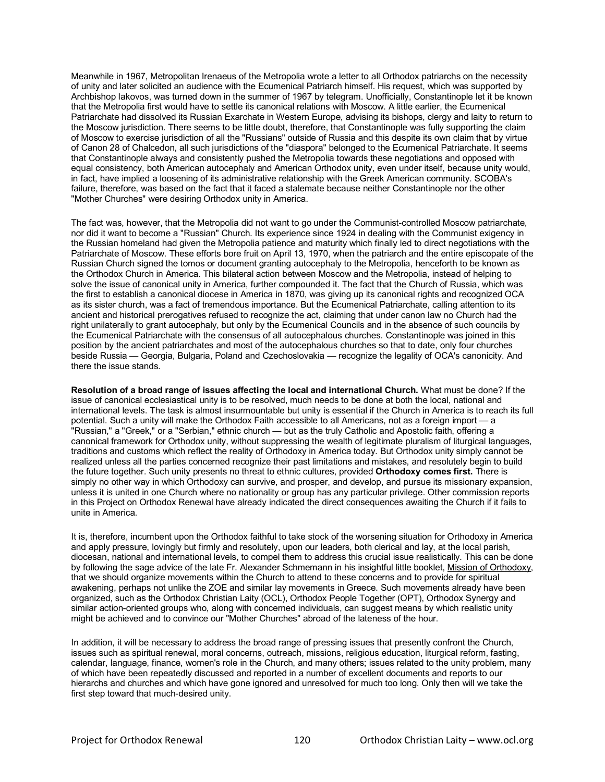Meanwhile in 1967, Metropolitan Irenaeus of the Metropolia wrote a letter to all Orthodox patriarchs on the necessity of unity and later solicited an audience with the Ecumenical Patriarch himself. His request, which was supported by Archbishop Iakovos, was turned down in the summer of 1967 by telegram. Unofficially, Constantinople let it be known that the Metropolia first would have to settle its canonical relations with Moscow. A little earlier, the Ecumenical Patriarchate had dissolved its Russian Exarchate in Western Europe, advising its bishops, clergy and laity to return to the Moscow jurisdiction. There seems to be little doubt, therefore, that Constantinople was fully supporting the claim of Moscow to exercise jurisdiction of all the "Russians" outside of Russia and this despite its own claim that by virtue of Canon 28 of Chalcedon, all such jurisdictions of the "diaspora" belonged to the Ecumenical Patriarchate. It seems that Constantinople always and consistently pushed the Metropolia towards these negotiations and opposed with equal consistency, both American autocephaly and American Orthodox unity, even under itself, because unity would, in fact, have implied a loosening of its administrative relationship with the Greek American community. SCOBA's failure, therefore, was based on the fact that it faced a stalemate because neither Constantinople nor the other "Mother Churches" were desiring Orthodox unity in America.

The fact was, however, that the Metropolia did not want to go under the Communist-controlled Moscow patriarchate, nor did it want to become a "Russian" Church. Its experience since 1924 in dealing with the Communist exigency in the Russian homeland had given the Metropolia patience and maturity which finally led to direct negotiations with the Patriarchate of Moscow. These efforts bore fruit on April 13, 1970, when the patriarch and the entire episcopate of the Russian Church signed the tomos or document granting autocephaly to the Metropolia, henceforth to be known as the Orthodox Church in America. This bilateral action between Moscow and the Metropolia, instead of helping to solve the issue of canonical unity in America, further compounded it. The fact that the Church of Russia, which was the first to establish a canonical diocese in America in 1870, was giving up its canonical rights and recognized OCA as its sister church, was a fact of tremendous importance. But the Ecumenical Patriarchate, calling attention to its ancient and historical prerogatives refused to recognize the act, claiming that under canon law no Church had the right unilaterally to grant autocephaly, but only by the Ecumenical Councils and in the absence of such councils by the Ecumenical Patriarchate with the consensus of all autocephalous churches. Constantinople was joined in this position by the ancient patriarchates and most of the autocephalous churches so that to date, only four churches beside Russia — Georgia, Bulgaria, Poland and Czechoslovakia — recognize the legality of OCA's canonicity. And there the issue stands.

**Resolution of a broad range of issues affecting the local and international Church.** What must be done? If the issue of canonical ecclesiastical unity is to be resolved, much needs to be done at both the local, national and international levels. The task is almost insurmountable but unity is essential if the Church in America is to reach its full potential. Such a unity will make the Orthodox Faith accessible to all Americans, not as a foreign import — a "Russian," a "Greek," or a "Serbian," ethnic church — but as the truly Catholic and Apostolic faith, offering a canonical framework for Orthodox unity, without suppressing the wealth of legitimate pluralism of liturgical languages, traditions and customs which reflect the reality of Orthodoxy in America today. But Orthodox unity simply cannot be realized unless all the parties concerned recognize their past limitations and mistakes, and resolutely begin to build the future together. Such unity presents no threat to ethnic cultures, provided **Orthodoxy comes first.** There is simply no other way in which Orthodoxy can survive, and prosper, and develop, and pursue its missionary expansion, unless it is united in one Church where no nationality or group has any particular privilege. Other commission reports in this Project on Orthodox Renewal have already indicated the direct consequences awaiting the Church if it fails to unite in America.

It is, therefore, incumbent upon the Orthodox faithful to take stock of the worsening situation for Orthodoxy in America and apply pressure, lovingly but firmly and resolutely, upon our leaders, both clerical and lay, at the local parish, diocesan, national and international levels, to compel them to address this crucial issue realistically. This can be done by following the sage advice of the late Fr. Alexander Schmemann in his insightful little booklet, Mission of Orthodoxy, that we should organize movements within the Church to attend to these concerns and to provide for spiritual awakening, perhaps not unlike the ZOE and similar lay movements in Greece. Such movements already have been organized, such as the Orthodox Christian Laity (OCL), Orthodox People Together (OPT), Orthodox Synergy and similar action-oriented groups who, along with concerned individuals, can suggest means by which realistic unity might be achieved and to convince our "Mother Churches" abroad of the lateness of the hour.

In addition, it will be necessary to address the broad range of pressing issues that presently confront the Church, issues such as spiritual renewal, moral concerns, outreach, missions, religious education, liturgical reform, fasting, calendar, language, finance, women's role in the Church, and many others; issues related to the unity problem, many of which have been repeatedly discussed and reported in a number of excellent documents and reports to our hierarchs and churches and which have gone ignored and unresolved for much too long. Only then will we take the first step toward that much-desired unity.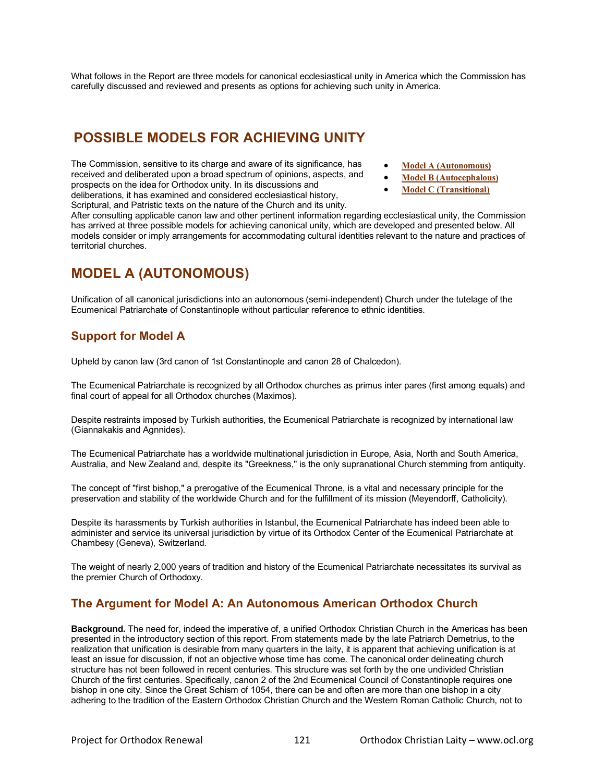What follows in the Report are three models for canonical ecclesiastical unity in America which the Commission has carefully discussed and reviewed and presents as options for achieving such unity in America.

# **POSSIBLE MODELS FOR ACHIEVING UNITY**

The Commission, sensitive to its charge and aware of its significance, has received and deliberated upon a broad spectrum of opinions, aspects, and prospects on the idea for Orthodox unity. In its discussions and deliberations, it has examined and considered ecclesiastical history, Scriptural, and Patristic texts on the nature of the Church and its unity.

- **Model A (Autonomous)**
- **Model B (Autocephalous)**
- **Model C (Transitional)**

After consulting applicable canon law and other pertinent information regarding ecclesiastical unity, the Commission has arrived at three possible models for achieving canonical unity, which are developed and presented below. All models consider or imply arrangements for accommodating cultural identities relevant to the nature and practices of territorial churches.

# **MODEL A (AUTONOMOUS)**

Unification of all canonical jurisdictions into an autonomous (semi-independent) Church under the tutelage of the Ecumenical Patriarchate of Constantinople without particular reference to ethnic identities.

# **Support for Model A**

Upheld by canon law (3rd canon of 1st Constantinople and canon 28 of Chalcedon).

The Ecumenical Patriarchate is recognized by all Orthodox churches as primus inter pares (first among equals) and final court of appeal for all Orthodox churches (Maximos).

Despite restraints imposed by Turkish authorities, the Ecumenical Patriarchate is recognized by international law (Giannakakis and Agnnides).

The Ecumenical Patriarchate has a worldwide multinational jurisdiction in Europe, Asia, North and South America, Australia, and New Zealand and, despite its "Greekness," is the only supranational Church stemming from antiquity.

The concept of "first bishop," a prerogative of the Ecumenical Throne, is a vital and necessary principle for the preservation and stability of the worldwide Church and for the fulfillment of its mission (Meyendorff, Catholicity).

Despite its harassments by Turkish authorities in Istanbul, the Ecumenical Patriarchate has indeed been able to administer and service its universal jurisdiction by virtue of its Orthodox Center of the Ecumenical Patriarchate at Chambesy (Geneva), Switzerland.

The weight of nearly 2,000 years of tradition and history of the Ecumenical Patriarchate necessitates its survival as the premier Church of Orthodoxy.

## **The Argument for Model A: An Autonomous American Orthodox Church**

**Background.** The need for, indeed the imperative of, a unified Orthodox Christian Church in the Americas has been presented in the introductory section of this report. From statements made by the late Patriarch Demetrius, to the realization that unification is desirable from many quarters in the laity, it is apparent that achieving unification is at least an issue for discussion, if not an objective whose time has come. The canonical order delineating church structure has not been followed in recent centuries. This structure was set forth by the one undivided Christian Church of the first centuries. Specifically, canon 2 of the 2nd Ecumenical Council of Constantinople requires one bishop in one city. Since the Great Schism of 1054, there can be and often are more than one bishop in a city adhering to the tradition of the Eastern Orthodox Christian Church and the Western Roman Catholic Church, not to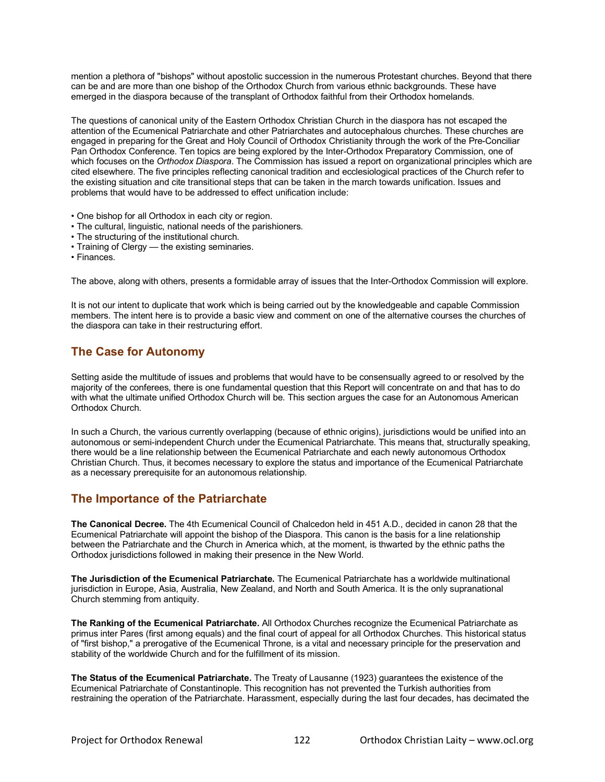mention a plethora of "bishops" without apostolic succession in the numerous Protestant churches. Beyond that there can be and are more than one bishop of the Orthodox Church from various ethnic backgrounds. These have emerged in the diaspora because of the transplant of Orthodox faithful from their Orthodox homelands.

The questions of canonical unity of the Eastern Orthodox Christian Church in the diaspora has not escaped the attention of the Ecumenical Patriarchate and other Patriarchates and autocephalous churches. These churches are engaged in preparing for the Great and Holy Council of Orthodox Christianity through the work of the Pre-Conciliar Pan Orthodox Conference. Ten topics are being explored by the Inter-Orthodox Preparatory Commission, one of which focuses on the *Orthodox Diaspora*. The Commission has issued a report on organizational principles which are cited elsewhere. The five principles reflecting canonical tradition and ecclesiological practices of the Church refer to the existing situation and cite transitional steps that can be taken in the march towards unification. Issues and problems that would have to be addressed to effect unification include:

- One bishop for all Orthodox in each city or region.
- The cultural, linguistic, national needs of the parishioners.
- The structuring of the institutional church.
- Training of Clergy the existing seminaries.
- Finances.

The above, along with others, presents a formidable array of issues that the Inter-Orthodox Commission will explore.

It is not our intent to duplicate that work which is being carried out by the knowledgeable and capable Commission members. The intent here is to provide a basic view and comment on one of the alternative courses the churches of the diaspora can take in their restructuring effort.

# **The Case for Autonomy**

Setting aside the multitude of issues and problems that would have to be consensually agreed to or resolved by the majority of the conferees, there is one fundamental question that this Report will concentrate on and that has to do with what the ultimate unified Orthodox Church will be. This section argues the case for an Autonomous American Orthodox Church.

In such a Church, the various currently overlapping (because of ethnic origins), jurisdictions would be unified into an autonomous or semi-independent Church under the Ecumenical Patriarchate. This means that, structurally speaking, there would be a line relationship between the Ecumenical Patriarchate and each newly autonomous Orthodox Christian Church. Thus, it becomes necessary to explore the status and importance of the Ecumenical Patriarchate as a necessary prerequisite for an autonomous relationship.

## **The Importance of the Patriarchate**

**The Canonical Decree.** The 4th Ecumenical Council of Chalcedon held in 451 A.D., decided in canon 28 that the Ecumenical Patriarchate will appoint the bishop of the Diaspora. This canon is the basis for a line relationship between the Patriarchate and the Church in America which, at the moment, is thwarted by the ethnic paths the Orthodox jurisdictions followed in making their presence in the New World.

**The Jurisdiction of the Ecumenical Patriarchate.** The Ecumenical Patriarchate has a worldwide multinational jurisdiction in Europe, Asia, Australia, New Zealand, and North and South America. It is the only supranational Church stemming from antiquity.

**The Ranking of the Ecumenical Patriarchate.** All Orthodox Churches recognize the Ecumenical Patriarchate as primus inter Pares (first among equals) and the final court of appeal for all Orthodox Churches. This historical status of "first bishop," a prerogative of the Ecumenical Throne, is a vital and necessary principle for the preservation and stability of the worldwide Church and for the fulfillment of its mission.

**The Status of the Ecumenical Patriarchate.** The Treaty of Lausanne (1923) guarantees the existence of the Ecumenical Patriarchate of Constantinople. This recognition has not prevented the Turkish authorities from restraining the operation of the Patriarchate. Harassment, especially during the last four decades, has decimated the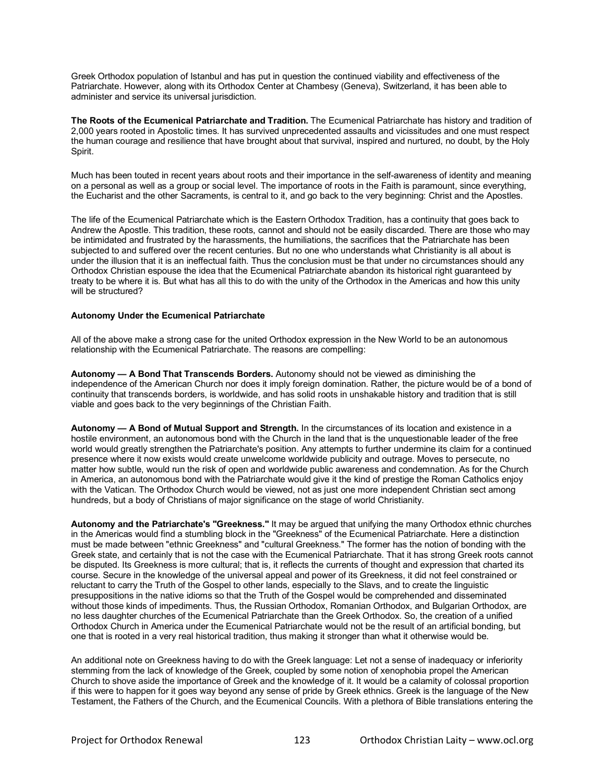Greek Orthodox population of Istanbul and has put in question the continued viability and effectiveness of the Patriarchate. However, along with its Orthodox Center at Chambesy (Geneva), Switzerland, it has been able to administer and service its universal jurisdiction.

**The Roots of the Ecumenical Patriarchate and Tradition.** The Ecumenical Patriarchate has history and tradition of 2,000 years rooted in Apostolic times. It has survived unprecedented assaults and vicissitudes and one must respect the human courage and resilience that have brought about that survival, inspired and nurtured, no doubt, by the Holy Spirit.

Much has been touted in recent years about roots and their importance in the self-awareness of identity and meaning on a personal as well as a group or social level. The importance of roots in the Faith is paramount, since everything, the Eucharist and the other Sacraments, is central to it, and go back to the very beginning: Christ and the Apostles.

The life of the Ecumenical Patriarchate which is the Eastern Orthodox Tradition, has a continuity that goes back to Andrew the Apostle. This tradition, these roots, cannot and should not be easily discarded. There are those who may be intimidated and frustrated by the harassments, the humiliations, the sacrifices that the Patriarchate has been subjected to and suffered over the recent centuries. But no one who understands what Christianity is all about is under the illusion that it is an ineffectual faith. Thus the conclusion must be that under no circumstances should any Orthodox Christian espouse the idea that the Ecumenical Patriarchate abandon its historical right guaranteed by treaty to be where it is. But what has all this to do with the unity of the Orthodox in the Americas and how this unity will be structured?

## **Autonomy Under the Ecumenical Patriarchate**

All of the above make a strong case for the united Orthodox expression in the New World to be an autonomous relationship with the Ecumenical Patriarchate. The reasons are compelling:

**Autonomy — A Bond That Transcends Borders.** Autonomy should not be viewed as diminishing the independence of the American Church nor does it imply foreign domination. Rather, the picture would be of a bond of continuity that transcends borders, is worldwide, and has solid roots in unshakable history and tradition that is still viable and goes back to the very beginnings of the Christian Faith.

**Autonomy — A Bond of Mutual Support and Strength.** In the circumstances of its location and existence in a hostile environment, an autonomous bond with the Church in the land that is the unquestionable leader of the free world would greatly strengthen the Patriarchate's position. Any attempts to further undermine its claim for a continued presence where it now exists would create unwelcome worldwide publicity and outrage. Moves to persecute, no matter how subtle, would run the risk of open and worldwide public awareness and condemnation. As for the Church in America, an autonomous bond with the Patriarchate would give it the kind of prestige the Roman Catholics enjoy with the Vatican. The Orthodox Church would be viewed, not as just one more independent Christian sect among hundreds, but a body of Christians of major significance on the stage of world Christianity.

**Autonomy and the Patriarchate's "Greekness."** It may be argued that unifying the many Orthodox ethnic churches in the Americas would find a stumbling block in the "Greekness" of the Ecumenical Patriarchate. Here a distinction must be made between "ethnic Greekness" and "cultural Greekness." The former has the notion of bonding with the Greek state, and certainly that is not the case with the Ecumenical Patriarchate. That it has strong Greek roots cannot be disputed. Its Greekness is more cultural; that is, it reflects the currents of thought and expression that charted its course. Secure in the knowledge of the universal appeal and power of its Greekness, it did not feel constrained or reluctant to carry the Truth of the Gospel to other lands, especially to the Slavs, and to create the linguistic presuppositions in the native idioms so that the Truth of the Gospel would be comprehended and disseminated without those kinds of impediments. Thus, the Russian Orthodox, Romanian Orthodox, and Bulgarian Orthodox, are no less daughter churches of the Ecumenical Patriarchate than the Greek Orthodox. So, the creation of a unified Orthodox Church in America under the Ecumenical Patriarchate would not be the result of an artificial bonding, but one that is rooted in a very real historical tradition, thus making it stronger than what it otherwise would be.

An additional note on Greekness having to do with the Greek language: Let not a sense of inadequacy or inferiority stemming from the lack of knowledge of the Greek, coupled by some notion of xenophobia propel the American Church to shove aside the importance of Greek and the knowledge of it. It would be a calamity of colossal proportion if this were to happen for it goes way beyond any sense of pride by Greek ethnics. Greek is the language of the New Testament, the Fathers of the Church, and the Ecumenical Councils. With a plethora of Bible translations entering the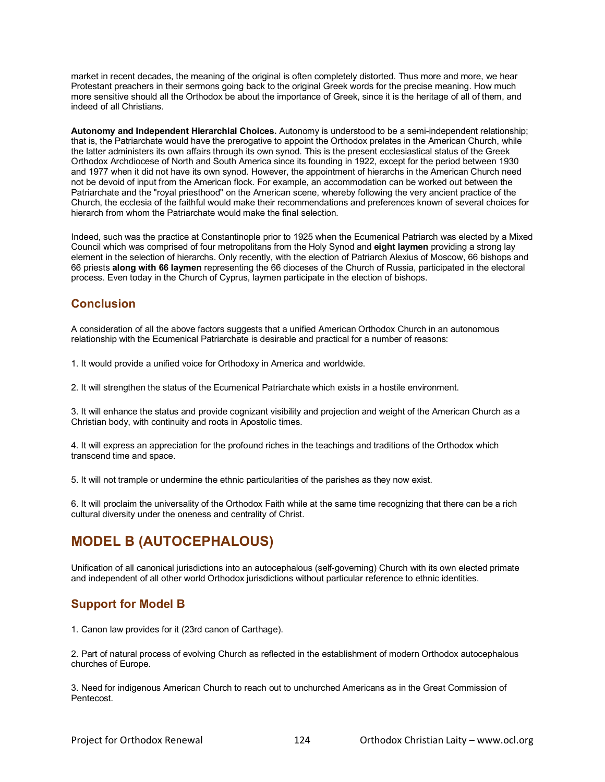market in recent decades, the meaning of the original is often completely distorted. Thus more and more, we hear Protestant preachers in their sermons going back to the original Greek words for the precise meaning. How much more sensitive should all the Orthodox be about the importance of Greek, since it is the heritage of all of them, and indeed of all Christians.

**Autonomy and Independent Hierarchial Choices.** Autonomy is understood to be a semi-independent relationship; that is, the Patriarchate would have the prerogative to appoint the Orthodox prelates in the American Church, while the latter administers its own affairs through its own synod. This is the present ecclesiastical status of the Greek Orthodox Archdiocese of North and South America since its founding in 1922, except for the period between 1930 and 1977 when it did not have its own synod. However, the appointment of hierarchs in the American Church need not be devoid of input from the American flock. For example, an accommodation can be worked out between the Patriarchate and the "royal priesthood" on the American scene, whereby following the very ancient practice of the Church, the ecclesia of the faithful would make their recommendations and preferences known of several choices for hierarch from whom the Patriarchate would make the final selection.

Indeed, such was the practice at Constantinople prior to 1925 when the Ecumenical Patriarch was elected by a Mixed Council which was comprised of four metropolitans from the Holy Synod and **eight laymen** providing a strong lay element in the selection of hierarchs. Only recently, with the election of Patriarch Alexius of Moscow, 66 bishops and 66 priests **along with 66 laymen** representing the 66 dioceses of the Church of Russia, participated in the electoral process. Even today in the Church of Cyprus, laymen participate in the election of bishops.

# **Conclusion**

A consideration of all the above factors suggests that a unified American Orthodox Church in an autonomous relationship with the Ecumenical Patriarchate is desirable and practical for a number of reasons:

1. It would provide a unified voice for Orthodoxy in America and worldwide.

2. It will strengthen the status of the Ecumenical Patriarchate which exists in a hostile environment.

3. It will enhance the status and provide cognizant visibility and projection and weight of the American Church as a Christian body, with continuity and roots in Apostolic times.

4. It will express an appreciation for the profound riches in the teachings and traditions of the Orthodox which transcend time and space.

5. It will not trample or undermine the ethnic particularities of the parishes as they now exist.

6. It will proclaim the universality of the Orthodox Faith while at the same time recognizing that there can be a rich cultural diversity under the oneness and centrality of Christ.

# **MODEL B (AUTOCEPHALOUS)**

Unification of all canonical jurisdictions into an autocephalous (self-governing) Church with its own elected primate and independent of all other world Orthodox jurisdictions without particular reference to ethnic identities.

# **Support for Model B**

1. Canon law provides for it (23rd canon of Carthage).

2. Part of natural process of evolving Church as reflected in the establishment of modern Orthodox autocephalous churches of Europe.

3. Need for indigenous American Church to reach out to unchurched Americans as in the Great Commission of Pentecost.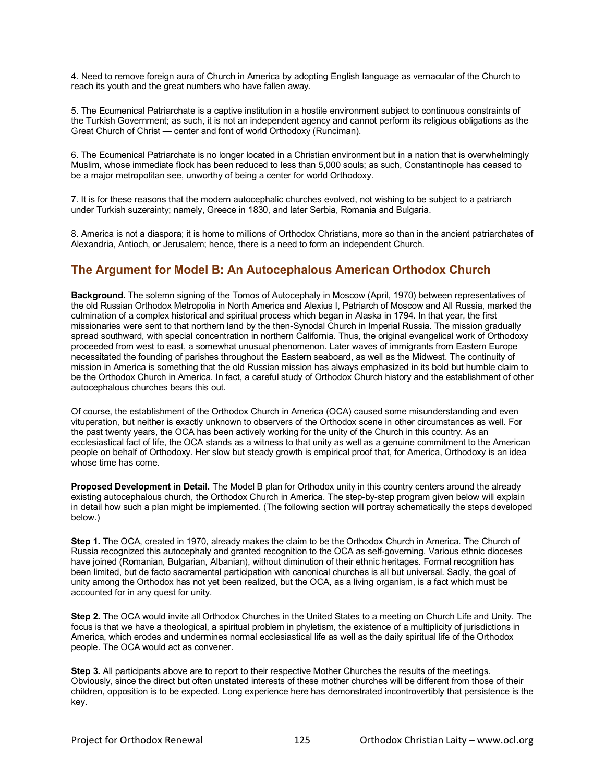4. Need to remove foreign aura of Church in America by adopting English language as vernacular of the Church to reach its youth and the great numbers who have fallen away.

5. The Ecumenical Patriarchate is a captive institution in a hostile environment subject to continuous constraints of the Turkish Government; as such, it is not an independent agency and cannot perform its religious obligations as the Great Church of Christ — center and font of world Orthodoxy (Runciman).

6. The Ecumenical Patriarchate is no longer located in a Christian environment but in a nation that is overwhelmingly Muslim, whose immediate flock has been reduced to less than 5,000 souls; as such, Constantinople has ceased to be a major metropolitan see, unworthy of being a center for world Orthodoxy.

7. It is for these reasons that the modern autocephalic churches evolved, not wishing to be subject to a patriarch under Turkish suzerainty; namely, Greece in 1830, and later Serbia, Romania and Bulgaria.

8. America is not a diaspora; it is home to millions of Orthodox Christians, more so than in the ancient patriarchates of Alexandria, Antioch, or Jerusalem; hence, there is a need to form an independent Church.

# **The Argument for Model B: An Autocephalous American Orthodox Church**

**Background.** The solemn signing of the Tomos of Autocephaly in Moscow (April, 1970) between representatives of the old Russian Orthodox Metropolia in North America and Alexius I, Patriarch of Moscow and All Russia, marked the culmination of a complex historical and spiritual process which began in Alaska in 1794. In that year, the first missionaries were sent to that northern land by the then-Synodal Church in Imperial Russia. The mission gradually spread southward, with special concentration in northern California. Thus, the original evangelical work of Orthodoxy proceeded from west to east, a somewhat unusual phenomenon. Later waves of immigrants from Eastern Europe necessitated the founding of parishes throughout the Eastern seaboard, as well as the Midwest. The continuity of mission in America is something that the old Russian mission has always emphasized in its bold but humble claim to be the Orthodox Church in America. In fact, a careful study of Orthodox Church history and the establishment of other autocephalous churches bears this out.

Of course, the establishment of the Orthodox Church in America (OCA) caused some misunderstanding and even vituperation, but neither is exactly unknown to observers of the Orthodox scene in other circumstances as well. For the past twenty years, the OCA has been actively working for the unity of the Church in this country. As an ecclesiastical fact of life, the OCA stands as a witness to that unity as well as a genuine commitment to the American people on behalf of Orthodoxy. Her slow but steady growth is empirical proof that, for America, Orthodoxy is an idea whose time has come.

**Proposed Development in Detail.** The Model B plan for Orthodox unity in this country centers around the already existing autocephalous church, the Orthodox Church in America. The step-by-step program given below will explain in detail how such a plan might be implemented. (The following section will portray schematically the steps developed below.)

**Step 1.** The OCA, created in 1970, already makes the claim to be the Orthodox Church in America. The Church of Russia recognized this autocephaly and granted recognition to the OCA as self-governing. Various ethnic dioceses have joined (Romanian, Bulgarian, Albanian), without diminution of their ethnic heritages. Formal recognition has been limited, but de facto sacramental participation with canonical churches is all but universal. Sadly, the goal of unity among the Orthodox has not yet been realized, but the OCA, as a living organism, is a fact which must be accounted for in any quest for unity.

**Step 2.** The OCA would invite all Orthodox Churches in the United States to a meeting on Church Life and Unity. The focus is that we have a theological, a spiritual problem in phyletism, the existence of a multiplicity of jurisdictions in America, which erodes and undermines normal ecclesiastical life as well as the daily spiritual life of the Orthodox people. The OCA would act as convener.

**Step 3.** All participants above are to report to their respective Mother Churches the results of the meetings. Obviously, since the direct but often unstated interests of these mother churches will be different from those of their children, opposition is to be expected. Long experience here has demonstrated incontrovertibly that persistence is the key.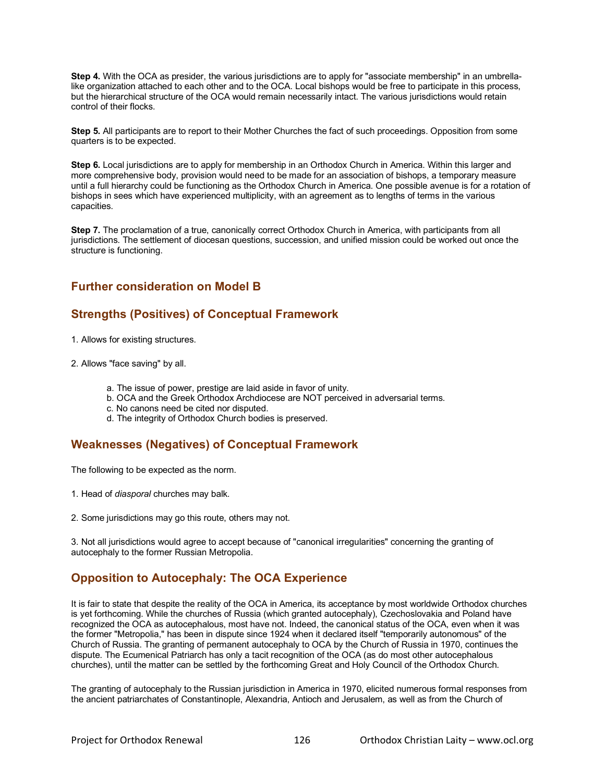**Step 4.** With the OCA as presider, the various jurisdictions are to apply for "associate membership" in an umbrellalike organization attached to each other and to the OCA. Local bishops would be free to participate in this process, but the hierarchical structure of the OCA would remain necessarily intact. The various jurisdictions would retain control of their flocks.

**Step 5.** All participants are to report to their Mother Churches the fact of such proceedings. Opposition from some quarters is to be expected.

**Step 6.** Local jurisdictions are to apply for membership in an Orthodox Church in America. Within this larger and more comprehensive body, provision would need to be made for an association of bishops, a temporary measure until a full hierarchy could be functioning as the Orthodox Church in America. One possible avenue is for a rotation of bishops in sees which have experienced multiplicity, with an agreement as to lengths of terms in the various capacities.

**Step 7.** The proclamation of a true, canonically correct Orthodox Church in America, with participants from all jurisdictions. The settlement of diocesan questions, succession, and unified mission could be worked out once the structure is functioning.

# **Further consideration on Model B**

# **Strengths (Positives) of Conceptual Framework**

- 1. Allows for existing structures.
- 2. Allows "face saving" by all.
	- a. The issue of power, prestige are laid aside in favor of unity.
	- b. OCA and the Greek Orthodox Archdiocese are NOT perceived in adversarial terms.
	- c. No canons need be cited nor disputed.
	- d. The integrity of Orthodox Church bodies is preserved.

# **Weaknesses (Negatives) of Conceptual Framework**

The following to be expected as the norm.

- 1. Head of *diasporal* churches may balk.
- 2. Some jurisdictions may go this route, others may not.

3. Not all jurisdictions would agree to accept because of "canonical irregularities" concerning the granting of autocephaly to the former Russian Metropolia.

# **Opposition to Autocephaly: The OCA Experience**

It is fair to state that despite the reality of the OCA in America, its acceptance by most worldwide Orthodox churches is yet forthcoming. While the churches of Russia (which granted autocephaly), Czechoslovakia and Poland have recognized the OCA as autocephalous, most have not. Indeed, the canonical status of the OCA, even when it was the former "Metropolia," has been in dispute since 1924 when it declared itself "temporarily autonomous" of the Church of Russia. The granting of permanent autocephaly to OCA by the Church of Russia in 1970, continues the dispute. The Ecumenical Patriarch has only a tacit recognition of the OCA (as do most other autocephalous churches), until the matter can be settled by the forthcoming Great and Holy Council of the Orthodox Church.

The granting of autocephaly to the Russian jurisdiction in America in 1970, elicited numerous formal responses from the ancient patriarchates of Constantinople, Alexandria, Antioch and Jerusalem, as well as from the Church of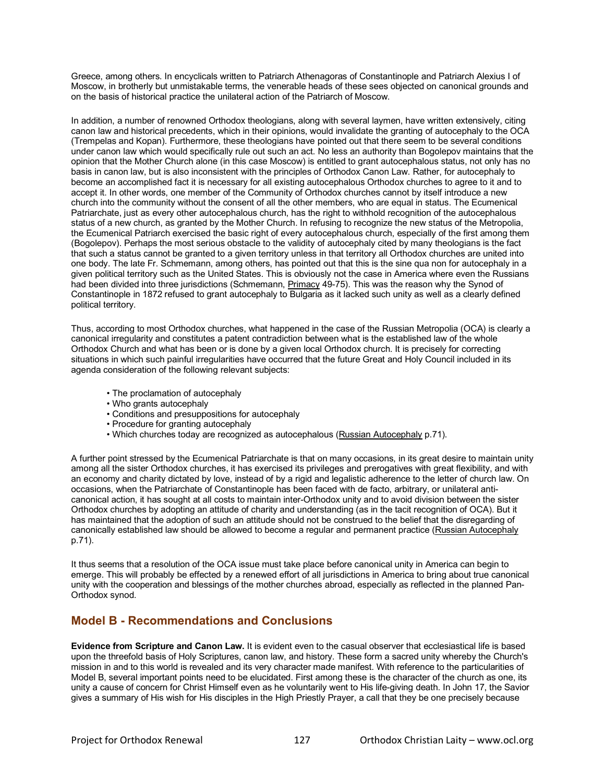Greece, among others. In encyclicals written to Patriarch Athenagoras of Constantinople and Patriarch Alexius I of Moscow, in brotherly but unmistakable terms, the venerable heads of these sees objected on canonical grounds and on the basis of historical practice the unilateral action of the Patriarch of Moscow.

In addition, a number of renowned Orthodox theologians, along with several laymen, have written extensively, citing canon law and historical precedents, which in their opinions, would invalidate the granting of autocephaly to the OCA (Trempelas and Kopan). Furthermore, these theologians have pointed out that there seem to be several conditions under canon law which would specifically rule out such an act. No less an authority than Bogolepov maintains that the opinion that the Mother Church alone (in this case Moscow) is entitled to grant autocephalous status, not only has no basis in canon law, but is also inconsistent with the principles of Orthodox Canon Law. Rather, for autocephaly to become an accomplished fact it is necessary for all existing autocephalous Orthodox churches to agree to it and to accept it. In other words, one member of the Community of Orthodox churches cannot by itself introduce a new church into the community without the consent of all the other members, who are equal in status. The Ecumenical Patriarchate, just as every other autocephalous church, has the right to withhold recognition of the autocephalous status of a new church, as granted by the Mother Church. In refusing to recognize the new status of the Metropolia, the Ecumenical Patriarch exercised the basic right of every autocephalous church, especially of the first among them (Bogolepov). Perhaps the most serious obstacle to the validity of autocephaly cited by many theologians is the fact that such a status cannot be granted to a given territory unless in that territory all Orthodox churches are united into one body. The late Fr. Schmemann, among others, has pointed out that this is the sine qua non for autocephaly in a given political territory such as the United States. This is obviously not the case in America where even the Russians had been divided into three jurisdictions (Schmemann, Primacy 49-75). This was the reason why the Synod of Constantinople in 1872 refused to grant autocephaly to Bulgaria as it lacked such unity as well as a clearly defined political territory.

Thus, according to most Orthodox churches, what happened in the case of the Russian Metropolia (OCA) is clearly a canonical irregularity and constitutes a patent contradiction between what is the established law of the whole Orthodox Church and what has been or is done by a given local Orthodox church. It is precisely for correcting situations in which such painful irregularities have occurred that the future Great and Holy Council included in its agenda consideration of the following relevant subjects:

- The proclamation of autocephaly
- Who grants autocephaly
- Conditions and presuppositions for autocephaly
- Procedure for granting autocephaly
- Which churches today are recognized as autocephalous (Russian Autocephaly p.71).

A further point stressed by the Ecumenical Patriarchate is that on many occasions, in its great desire to maintain unity among all the sister Orthodox churches, it has exercised its privileges and prerogatives with great flexibility, and with an economy and charity dictated by love, instead of by a rigid and legalistic adherence to the letter of church law. On occasions, when the Patriarchate of Constantinople has been faced with de facto, arbitrary, or unilateral anticanonical action, it has sought at all costs to maintain inter-Orthodox unity and to avoid division between the sister Orthodox churches by adopting an attitude of charity and understanding (as in the tacit recognition of OCA). But it has maintained that the adoption of such an attitude should not be construed to the belief that the disregarding of canonically established law should be allowed to become a regular and permanent practice (Russian Autocephaly p.71).

It thus seems that a resolution of the OCA issue must take place before canonical unity in America can begin to emerge. This will probably be effected by a renewed effort of all jurisdictions in America to bring about true canonical unity with the cooperation and blessings of the mother churches abroad, especially as reflected in the planned Pan-Orthodox synod.

# **Model B - Recommendations and Conclusions**

**Evidence from Scripture and Canon Law.** It is evident even to the casual observer that ecclesiastical life is based upon the threefold basis of Holy Scriptures, canon law, and history. These form a sacred unity whereby the Church's mission in and to this world is revealed and its very character made manifest. With reference to the particularities of Model B, several important points need to be elucidated. First among these is the character of the church as one, its unity a cause of concern for Christ Himself even as he voluntarily went to His life-giving death. In John 17, the Savior gives a summary of His wish for His disciples in the High Priestly Prayer, a call that they be one precisely because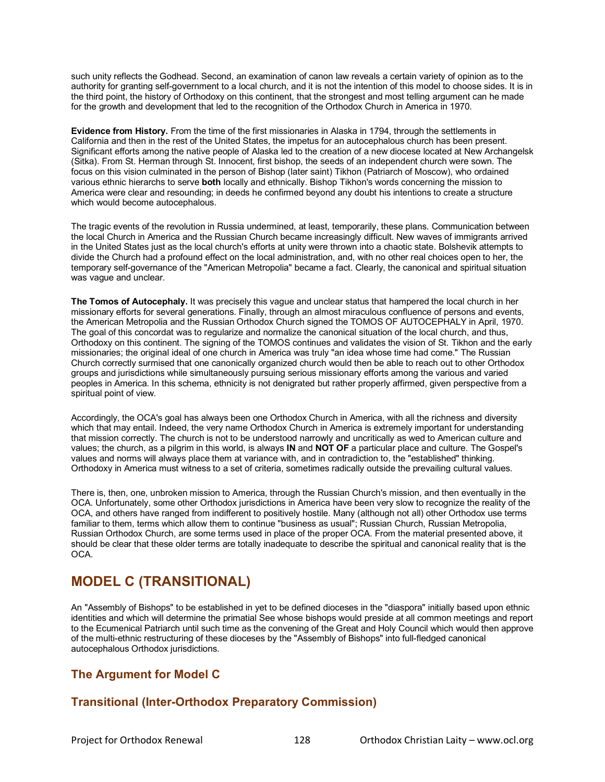such unity reflects the Godhead. Second, an examination of canon law reveals a certain variety of opinion as to the authority for granting self-government to a local church, and it is not the intention of this model to choose sides. It is in the third point, the history of Orthodoxy on this continent, that the strongest and most telling argument can he made for the growth and development that led to the recognition of the Orthodox Church in America in 1970.

**Evidence from History.** From the time of the first missionaries in Alaska in 1794, through the settlements in California and then in the rest of the United States, the impetus for an autocephalous church has been present. Significant efforts among the native people of Alaska led to the creation of a new diocese located at New Archangelsk (Sitka). From St. Herman through St. Innocent, first bishop, the seeds of an independent church were sown. The focus on this vision culminated in the person of Bishop (later saint) Tikhon (Patriarch of Moscow), who ordained various ethnic hierarchs to serve **both** locally and ethnically. Bishop Tikhon's words concerning the mission to America were clear and resounding; in deeds he confirmed beyond any doubt his intentions to create a structure which would become autocephalous.

The tragic events of the revolution in Russia undermined, at least, temporarily, these plans. Communication between the local Church in America and the Russian Church became increasingly difficult. New waves of immigrants arrived in the United States just as the local church's efforts at unity were thrown into a chaotic state. Bolshevik attempts to divide the Church had a profound effect on the local administration, and, with no other real choices open to her, the temporary self-governance of the "American Metropolia" became a fact. Clearly, the canonical and spiritual situation was vague and unclear.

**The Tomos of Autocephaly.** It was precisely this vague and unclear status that hampered the local church in her missionary efforts for several generations. Finally, through an almost miraculous confluence of persons and events, the American Metropolia and the Russian Orthodox Church signed the TOMOS OF AUTOCEPHALY in April, 1970. The goal of this concordat was to regularize and normalize the canonical situation of the local church, and thus, Orthodoxy on this continent. The signing of the TOMOS continues and validates the vision of St. Tikhon and the early missionaries; the original ideal of one church in America was truly "an idea whose time had come." The Russian Church correctly surmised that one canonically organized church would then be able to reach out to other Orthodox groups and jurisdictions while simultaneously pursuing serious missionary efforts among the various and varied peoples in America. In this schema, ethnicity is not denigrated but rather properly affirmed, given perspective from a spiritual point of view.

Accordingly, the OCA's goal has always been one Orthodox Church in America, with all the richness and diversity which that may entail. Indeed, the very name Orthodox Church in America is extremely important for understanding that mission correctly. The church is not to be understood narrowly and uncritically as wed to American culture and values; the church, as a pilgrim in this world, is always **IN** and **NOT OF** a particular place and culture. The Gospel's values and norms will always place them at variance with, and in contradiction to, the "established" thinking. Orthodoxy in America must witness to a set of criteria, sometimes radically outside the prevailing cultural values.

There is, then, one, unbroken mission to America, through the Russian Church's mission, and then eventually in the OCA. Unfortunately, some other Orthodox jurisdictions in America have been very slow to recognize the reality of the OCA, and others have ranged from indifferent to positively hostile. Many (although not all) other Orthodox use terms familiar to them, terms which allow them to continue "business as usual"; Russian Church, Russian Metropolia, Russian Orthodox Church, are some terms used in place of the proper OCA. From the material presented above, it should be clear that these older terms are totally inadequate to describe the spiritual and canonical reality that is the OCA.

# **MODEL C (TRANSITIONAL)**

An "Assembly of Bishops" to be established in yet to be defined dioceses in the "diaspora" initially based upon ethnic identities and which will determine the primatial See whose bishops would preside at all common meetings and report to the Ecumenical Patriarch until such time as the convening of the Great and Holy Council which would then approve of the multi-ethnic restructuring of these dioceses by the "Assembly of Bishops" into full-fledged canonical autocephalous Orthodox jurisdictions.

# **The Argument for Model C**

# **Transitional (Inter-Orthodox Preparatory Commission)**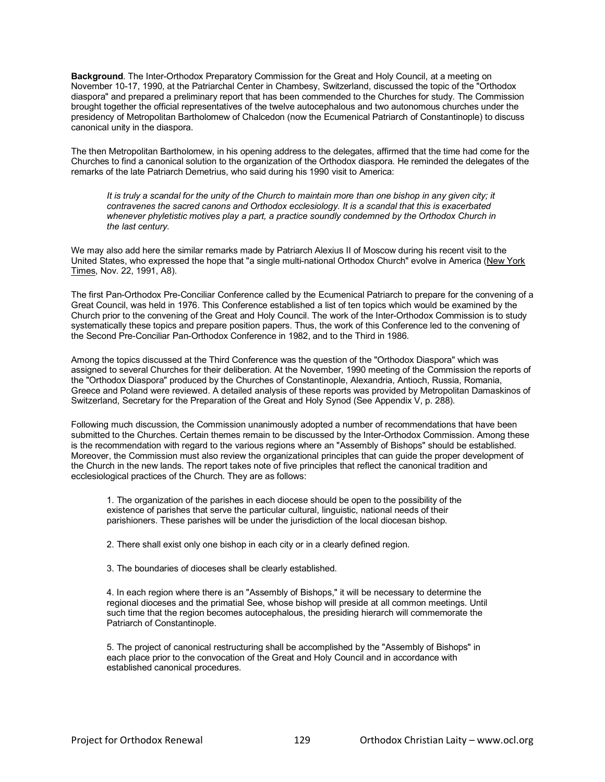**Background**. The Inter-Orthodox Preparatory Commission for the Great and Holy Council, at a meeting on November 10-17, 1990, at the Patriarchal Center in Chambesy, Switzerland, discussed the topic of the "Orthodox diaspora" and prepared a preliminary report that has been commended to the Churches for study. The Commission brought together the official representatives of the twelve autocephalous and two autonomous churches under the presidency of Metropolitan Bartholomew of Chalcedon (now the Ecumenical Patriarch of Constantinople) to discuss canonical unity in the diaspora.

The then Metropolitan Bartholomew, in his opening address to the delegates, affirmed that the time had come for the Churches to find a canonical solution to the organization of the Orthodox diaspora. He reminded the delegates of the remarks of the late Patriarch Demetrius, who said during his 1990 visit to America:

*It is truly a scandal for the unity of the Church to maintain more than one bishop in any given city; it contravenes the sacred canons and Orthodox ecclesiology. It is a scandal that this is exacerbated*  whenever phyletistic motives play a part, a practice soundly condemned by the Orthodox Church in *the last century.* 

We may also add here the similar remarks made by Patriarch Alexius II of Moscow during his recent visit to the United States, who expressed the hope that "a single multi-national Orthodox Church" evolve in America (New York Times, Nov. 22, 1991, A8).

The first Pan-Orthodox Pre-Conciliar Conference called by the Ecumenical Patriarch to prepare for the convening of a Great Council, was held in 1976. This Conference established a list of ten topics which would be examined by the Church prior to the convening of the Great and Holy Council. The work of the Inter-Orthodox Commission is to study systematically these topics and prepare position papers. Thus, the work of this Conference led to the convening of the Second Pre-Conciliar Pan-Orthodox Conference in 1982, and to the Third in 1986.

Among the topics discussed at the Third Conference was the question of the "Orthodox Diaspora" which was assigned to several Churches for their deliberation. At the November, 1990 meeting of the Commission the reports of the "Orthodox Diaspora" produced by the Churches of Constantinople, Alexandria, Antioch, Russia, Romania, Greece and Poland were reviewed. A detailed analysis of these reports was provided by Metropolitan Damaskinos of Switzerland, Secretary for the Preparation of the Great and Holy Synod (See Appendix V, p. 288).

Following much discussion, the Commission unanimously adopted a number of recommendations that have been submitted to the Churches. Certain themes remain to be discussed by the Inter-Orthodox Commission. Among these is the recommendation with regard to the various regions where an "Assembly of Bishops" should be established. Moreover, the Commission must also review the organizational principles that can guide the proper development of the Church in the new lands. The report takes note of five principles that reflect the canonical tradition and ecclesiological practices of the Church. They are as follows:

1. The organization of the parishes in each diocese should be open to the possibility of the existence of parishes that serve the particular cultural, linguistic, national needs of their parishioners. These parishes will be under the jurisdiction of the local diocesan bishop.

2. There shall exist only one bishop in each city or in a clearly defined region.

3. The boundaries of dioceses shall be clearly established.

4. In each region where there is an "Assembly of Bishops," it will be necessary to determine the regional dioceses and the primatial See, whose bishop will preside at all common meetings. Until such time that the region becomes autocephalous, the presiding hierarch will commemorate the Patriarch of Constantinople.

5. The project of canonical restructuring shall be accomplished by the "Assembly of Bishops" in each place prior to the convocation of the Great and Holy Council and in accordance with established canonical procedures.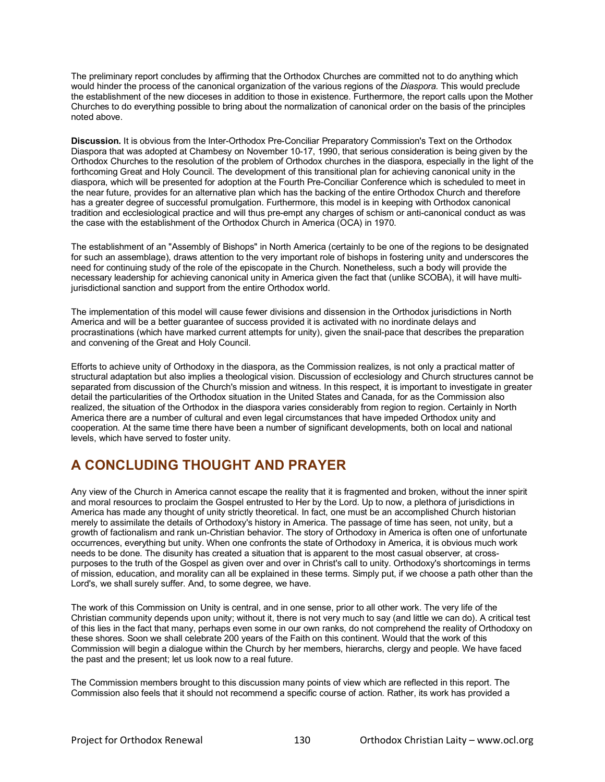The preliminary report concludes by affirming that the Orthodox Churches are committed not to do anything which would hinder the process of the canonical organization of the various regions of the *Diaspora*. This would preclude the establishment of the new dioceses in addition to those in existence. Furthermore, the report calls upon the Mother Churches to do everything possible to bring about the normalization of canonical order on the basis of the principles noted above.

**Discussion.** It is obvious from the Inter-Orthodox Pre-Conciliar Preparatory Commission's Text on the Orthodox Diaspora that was adopted at Chambesy on November 10-17, 1990, that serious consideration is being given by the Orthodox Churches to the resolution of the problem of Orthodox churches in the diaspora, especially in the light of the forthcoming Great and Holy Council. The development of this transitional plan for achieving canonical unity in the diaspora, which will be presented for adoption at the Fourth Pre-Conciliar Conference which is scheduled to meet in the near future, provides for an alternative plan which has the backing of the entire Orthodox Church and therefore has a greater degree of successful promulgation. Furthermore, this model is in keeping with Orthodox canonical tradition and ecclesiological practice and will thus pre-empt any charges of schism or anti-canonical conduct as was the case with the establishment of the Orthodox Church in America (OCA) in 1970.

The establishment of an "Assembly of Bishops" in North America (certainly to be one of the regions to be designated for such an assemblage), draws attention to the very important role of bishops in fostering unity and underscores the need for continuing study of the role of the episcopate in the Church. Nonetheless, such a body will provide the necessary leadership for achieving canonical unity in America given the fact that (unlike SCOBA), it will have multijurisdictional sanction and support from the entire Orthodox world.

The implementation of this model will cause fewer divisions and dissension in the Orthodox jurisdictions in North America and will be a better guarantee of success provided it is activated with no inordinate delays and procrastinations (which have marked current attempts for unity), given the snail-pace that describes the preparation and convening of the Great and Holy Council.

Efforts to achieve unity of Orthodoxy in the diaspora, as the Commission realizes, is not only a practical matter of structural adaptation but also implies a theological vision. Discussion of ecclesiology and Church structures cannot be separated from discussion of the Church's mission and witness. In this respect, it is important to investigate in greater detail the particularities of the Orthodox situation in the United States and Canada, for as the Commission also realized, the situation of the Orthodox in the diaspora varies considerably from region to region. Certainly in North America there are a number of cultural and even legal circumstances that have impeded Orthodox unity and cooperation. At the same time there have been a number of significant developments, both on local and national levels, which have served to foster unity.

# **A CONCLUDING THOUGHT AND PRAYER**

Any view of the Church in America cannot escape the reality that it is fragmented and broken, without the inner spirit and moral resources to proclaim the Gospel entrusted to Her by the Lord. Up to now, a plethora of jurisdictions in America has made any thought of unity strictly theoretical. In fact, one must be an accomplished Church historian merely to assimilate the details of Orthodoxy's history in America. The passage of time has seen, not unity, but a growth of factionalism and rank un-Christian behavior. The story of Orthodoxy in America is often one of unfortunate occurrences, everything but unity. When one confronts the state of Orthodoxy in America, it is obvious much work needs to be done. The disunity has created a situation that is apparent to the most casual observer, at crosspurposes to the truth of the Gospel as given over and over in Christ's call to unity. Orthodoxy's shortcomings in terms of mission, education, and morality can all be explained in these terms. Simply put, if we choose a path other than the Lord's, we shall surely suffer. And, to some degree, we have.

The work of this Commission on Unity is central, and in one sense, prior to all other work. The very life of the Christian community depends upon unity; without it, there is not very much to say (and little we can do). A critical test of this lies in the fact that many, perhaps even some in our own ranks, do not comprehend the reality of Orthodoxy on these shores. Soon we shall celebrate 200 years of the Faith on this continent. Would that the work of this Commission will begin a dialogue within the Church by her members, hierarchs, clergy and people. We have faced the past and the present; let us look now to a real future.

The Commission members brought to this discussion many points of view which are reflected in this report. The Commission also feels that it should not recommend a specific course of action. Rather, its work has provided a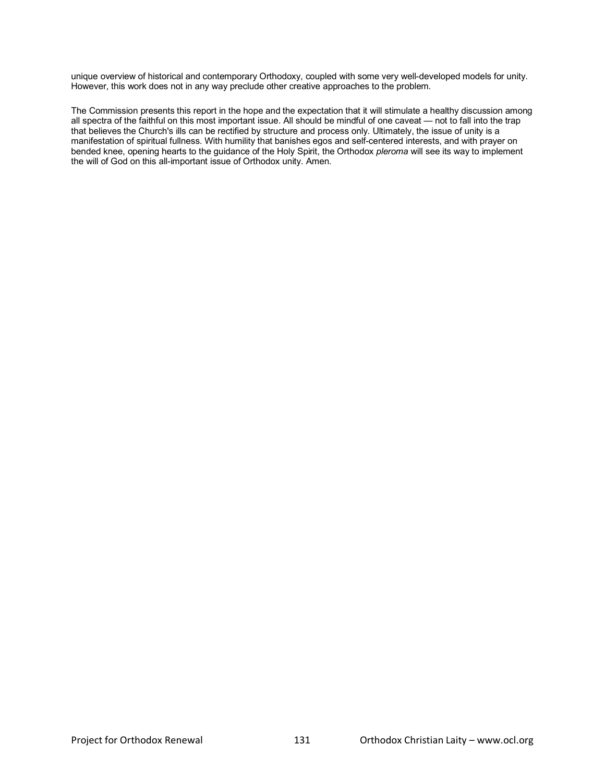unique overview of historical and contemporary Orthodoxy, coupled with some very well-developed models for unity. However, this work does not in any way preclude other creative approaches to the problem.

The Commission presents this report in the hope and the expectation that it will stimulate a healthy discussion among all spectra of the faithful on this most important issue. All should be mindful of one caveat — not to fall into the trap that believes the Church's ills can be rectified by structure and process only. Ultimately, the issue of unity is a manifestation of spiritual fullness. With humility that banishes egos and self-centered interests, and with prayer on bended knee, opening hearts to the guidance of the Holy Spirit, the Orthodox *pleroma* will see its way to implement the will of God on this all-important issue of Orthodox unity. Amen.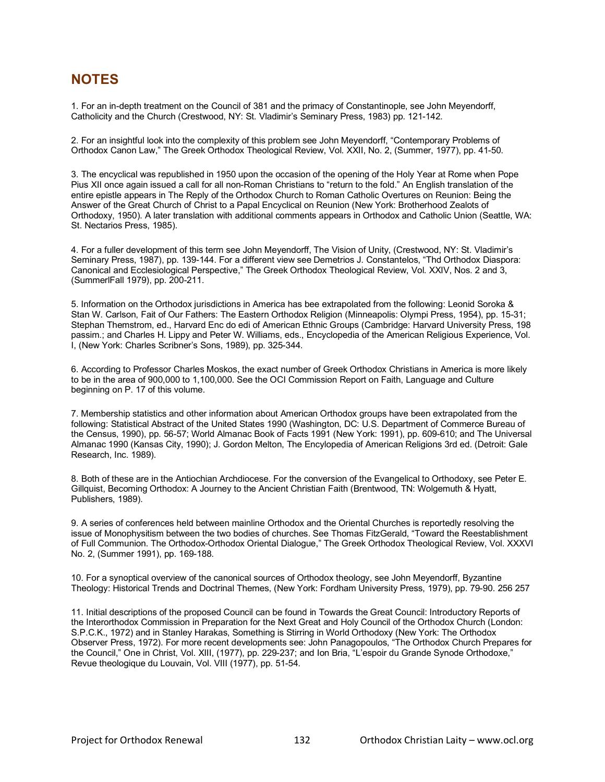# **NOTES**

1. For an in-depth treatment on the Council of 381 and the primacy of Constantinople, see John Meyendorff, Catholicity and the Church (Crestwood, NY: St. Vladimir's Seminary Press, 1983) pp. 121-142.

2. For an insightful look into the complexity of this problem see John Meyendorff, "Contemporary Problems of Orthodox Canon Law," The Greek Orthodox Theological Review, Vol. XXII, No. 2, (Summer, 1977), pp. 41-50.

3. The encyclical was republished in 1950 upon the occasion of the opening of the Holy Year at Rome when Pope Pius XII once again issued a call for all non-Roman Christians to "return to the fold." An English translation of the entire epistle appears in The Reply of the Orthodox Church to Roman Catholic Overtures on Reunion: Being the Answer of the Great Church of Christ to a Papal Encyclical on Reunion (New York: Brotherhood Zealots of Orthodoxy, 1950). A later translation with additional comments appears in Orthodox and Catholic Union (Seattle, WA: St. Nectarios Press, 1985).

4. For a fuller development of this term see John Meyendorff, The Vision of Unity, (Crestwood, NY: St. Vladimir's Seminary Press, 1987), pp. 139-144. For a different view see Demetrios J. Constantelos, "Thd Orthodox Diaspora: Canonical and Ecclesiological Perspective," The Greek Orthodox Theological Review, Vol. XXIV, Nos. 2 and 3, (SummerlFall 1979), pp. 200-211.

5. Information on the Orthodox jurisdictions in America has bee extrapolated from the following: Leonid Soroka & Stan W. Carlson, Fait of Our Fathers: The Eastern Orthodox Religion (Minneapolis: Olympi Press, 1954), pp. 15-31; Stephan Themstrom, ed., Harvard Enc do edi of American Ethnic Groups (Cambridge: Harvard University Press, 198 passim.; and Charles H. Lippy and Peter W. Williams, eds., Encyclopedia of the American Religious Experience, Vol. I, (New York: Charles Scribner's Sons, 1989), pp. 325-344.

6. According to Professor Charles Moskos, the exact number of Greek Orthodox Christians in America is more likely to be in the area of 900,000 to 1,100,000. See the OCI Commission Report on Faith, Language and Culture beginning on P. 17 of this volume.

7. Membership statistics and other information about American Orthodox groups have been extrapolated from the following: Statistical Abstract of the United States 1990 (Washington, DC: U.S. Department of Commerce Bureau of the Census, 1990), pp. 56-57; World Almanac Book of Facts 1991 (New York: 1991), pp. 609-610; and The Universal Almanac 1990 (Kansas City, 1990); J. Gordon Melton, The Encylopedia of American Religions 3rd ed. (Detroit: Gale Research, Inc. 1989).

8. Both of these are in the Antiochian Archdiocese. For the conversion of the Evangelical to Orthodoxy, see Peter E. Gillquist, Becoming Orthodox: A Journey to the Ancient Christian Faith (Brentwood, TN: Wolgemuth & Hyatt, Publishers, 1989).

9. A series of conferences held between mainline Orthodox and the Oriental Churches is reportedly resolving the issue of Monophysitism between the two bodies of churches. See Thomas FitzGerald, "Toward the Reestablishment of Full Communion. The Orthodox-Orthodox Oriental Dialogue," The Greek Orthodox Theological Review, Vol. XXXVI No. 2, (Summer 1991), pp. 169-188.

10. For a synoptical overview of the canonical sources of Orthodox theology, see John Meyendorff, Byzantine Theology: Historical Trends and Doctrinal Themes, (New York: Fordham University Press, 1979), pp. 79-90. 256 257

11. Initial descriptions of the proposed Council can be found in Towards the Great Council: Introductory Reports of the Interorthodox Commission in Preparation for the Next Great and Holy Council of the Orthodox Church (London: S.P.C.K., 1972) and in Stanley Harakas, Something is Stirring in World Orthodoxy (New York: The Orthodox Observer Press, 1972). For more recent developments see: John Panagopoulos, "The Orthodox Church Prepares for the Council," One in Christ, Vol. XIII, (1977), pp. 229-237; and Ion Bria, "L'espoir du Grande Synode Orthodoxe," Revue theologique du Louvain, Vol. VIII (1977), pp. 51-54.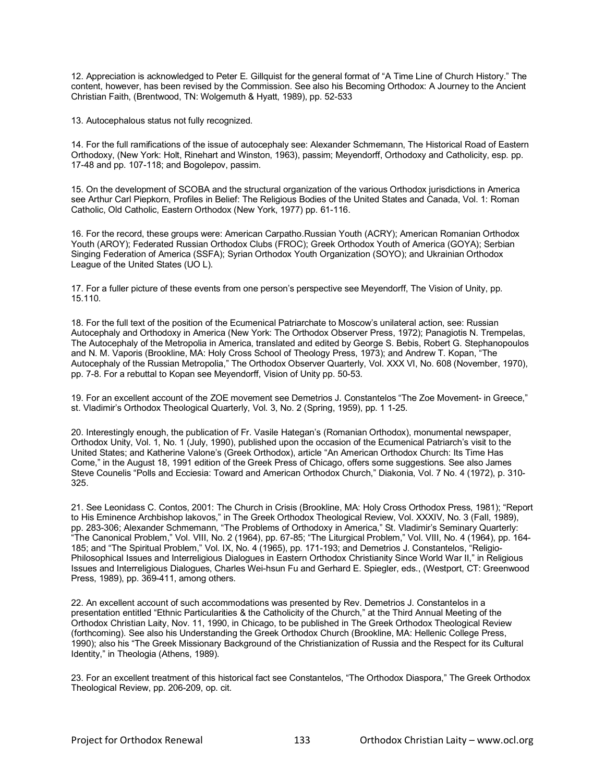12. Appreciation is acknowledged to Peter E. Gillquist for the general format of "A Time Line of Church History." The content, however, has been revised by the Commission. See also his Becoming Orthodox: A Journey to the Ancient Christian Faith, (Brentwood, TN: Wolgemuth & Hyatt, 1989), pp. 52-533

13. Autocephalous status not fully recognized.

14. For the full ramifications of the issue of autocephaly see: Alexander Schmemann, The Historical Road of Eastern Orthodoxy, (New York: Holt, Rinehart and Winston, 1963), passim; Meyendorff, Orthodoxy and Catholicity, esp. pp. 17-48 and pp. 107-118; and Bogolepov, passim.

15. On the development of SCOBA and the structural organization of the various Orthodox jurisdictions in America see Arthur Carl Piepkorn, Profiles in Belief: The Religious Bodies of the United States and Canada, Vol. 1: Roman Catholic, Old Catholic, Eastern Orthodox (New York, 1977) pp. 61-116.

16. For the record, these groups were: American Carpatho.Russian Youth (ACRY); American Romanian Orthodox Youth (AROY); Federated Russian Orthodox Clubs (FROC); Greek Orthodox Youth of America (GOYA); Serbian Singing Federation of America (SSFA); Syrian Orthodox Youth Organization (SOYO); and Ukrainian Orthodox League of the United States (UO L).

17. For a fuller picture of these events from one person's perspective see Meyendorff, The Vision of Unity, pp. 15.110.

18. For the full text of the position of the Ecumenical Patriarchate to Moscow's unilateral action, see: Russian Autocephaly and Orthodoxy in America (New York: The Orthodox Observer Press, 1972); Panagiotis N. Trempelas, The Autocephaly of the Metropolia in America, translated and edited by George S. Bebis, Robert G. Stephanopoulos and N. M. Vaporis (Brookline, MA: Holy Cross School of Theology Press, 1973); and Andrew T. Kopan, "The Autocephaly of the Russian Metropolia," The Orthodox Observer Quarterly, Vol. XXX VI, No. 608 (November, 1970), pp. 7-8. For a rebuttal to Kopan see Meyendorff, Vision of Unity pp. 50-53.

19. For an excellent account of the ZOE movement see Demetrios J. Constantelos "The Zoe Movement- in Greece," st. Vladimir's Orthodox Theological Quarterly, Vol. 3, No. 2 (Spring, 1959), pp. 1 1-25.

20. Interestingly enough, the publication of Fr. Vasile Hategan's (Romanian Orthodox), monumental newspaper, Orthodox Unity, Vol. 1, No. 1 (July, 1990), published upon the occasion of the Ecumenical Patriarch's visit to the United States; and Katherine Valone's (Greek Orthodox), article "An American Orthodox Church: Its Time Has Come," in the August 18, 1991 edition of the Greek Press of Chicago, offers some suggestions. See also James Steve Counelis "Polls and Ecciesia: Toward and American Orthodox Church," Diakonia, Vol. 7 No. 4 (1972), p. 310- 325.

21. See Leonidass C. Contos, 2001: The Church in Crisis (Brookline, MA: Holy Cross Orthodox Press, 1981); "Report to His Eminence Archbishop lakovos," in The Greek Orthodox Theological Review, Vol. XXXIV, No. 3 (FaIl, 1989), pp. 283-306; Alexander Schmemann, "The Problems of Orthodoxy in America," St. Vladimir's Seminary Quarterly: "The Canonical Problem," Vol. VIII, No. 2 (1964), pp. 67-85; "The Liturgical Problem," Vol. VIII, No. 4 (1964), pp. 164- 185; and "The Spiritual Problem," Vol. IX, No. 4 (1965), pp. 171-193; and Demetrios J. Constantelos, "Religio-Philosophical Issues and Interreligious Dialogues in Eastern Orthodox Christianity Since World War II," in Religious Issues and Interreligious Dialogues, Charles Wei-hsun Fu and Gerhard E. Spiegler, eds., (Westport, CT: Greenwood Press, 1989), pp. 369-411, among others.

22. An excellent account of such accommodations was presented by Rev. Demetrios J. Constantelos in a presentation entitled "Ethnic Particularities & the Catholicity of the Church," at the Third Annual Meeting of the Orthodox Christian Laity, Nov. 11, 1990, in Chicago, to be published in The Greek Orthodox Theological Review (forthcoming). See also his Understanding the Greek Orthodox Church (Brookline, MA: Hellenic College Press, 1990); also his "The Greek Missionary Background of the Christianization of Russia and the Respect for its Cultural Identity," in Theologia (Athens, 1989).

23. For an excellent treatment of this historical fact see Constantelos, "The Orthodox Diaspora," The Greek Orthodox Theological Review, pp. 206-209, op. cit.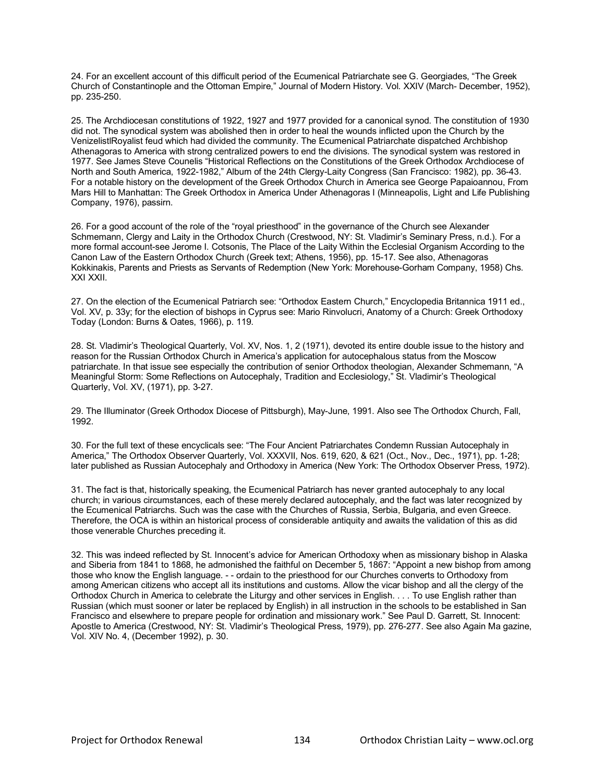24. For an excellent account of this difficult period of the Ecumenical Patriarchate see G. Georgiades, "The Greek Church of Constantinople and the Ottoman Empire," Journal of Modern History. Vol. XXIV (March- December, 1952), pp. 235-250.

25. The Archdiocesan constitutions of 1922, 1927 and 1977 provided for a canonical synod. The constitution of 1930 did not. The synodical system was abolished then in order to heal the wounds inflicted upon the Church by the VenizelistlRoyalist feud which had divided the community. The Ecumenical Patriarchate dispatched Archbishop Athenagoras to America with strong centralized powers to end the divisions. The synodical system was restored in 1977. See James Steve Counelis "Historical Reflections on the Constitutions of the Greek Orthodox Archdiocese of North and South America, 1922-1982," Album of the 24th Clergy-Laity Congress (San Francisco: 1982), pp. 36-43. For a notable history on the development of the Greek Orthodox Church in America see George Papaioannou, From Mars Hill to Manhattan: The Greek Orthodox in America Under Athenagoras I (Minneapolis, Light and Life Publishing Company, 1976), passirn.

26. For a good account of the role of the "royal priesthood" in the governance of the Church see Alexander Schmemann, Clergy and Laity in the Orthodox Church (Crestwood, NY: St. Vladimir's Seminary Press, n.d.). For a more formal account-see Jerome I. Cotsonis, The Place of the Laity Within the Ecclesial Organism According to the Canon Law of the Eastern Orthodox Church (Greek text; Athens, 1956), pp. 15-17. See also, Athenagoras Kokkinakis, Parents and Priests as Servants of Redemption (New York: Morehouse-Gorham Company, 1958) Chs. XXI XXII.

27. On the election of the Ecumenical Patriarch see: "Orthodox Eastern Church," Encyclopedia Britannica 1911 ed., Vol. XV, p. 33y; for the election of bishops in Cyprus see: Mario Rinvolucri, Anatomy of a Church: Greek Orthodoxy Today (London: Burns & Oates, 1966), p. 119.

28. St. Vladimir's Theological Quarterly, Vol. XV, Nos. 1, 2 (1971), devoted its entire double issue to the history and reason for the Russian Orthodox Church in America's application for autocephalous status from the Moscow patriarchate. In that issue see especially the contribution of senior Orthodox theologian, Alexander Schmemann, "A Meaningful Storm: Some Reflections on Autocephaly, Tradition and Ecclesiology," St. Vladimir's Theological Quarterly, Vol. XV, (1971), pp. 3-27.

29. The Illuminator (Greek Orthodox Diocese of Pittsburgh), May-June, 1991. Also see The Orthodox Church, Fall, 1992.

30. For the full text of these encyclicals see: "The Four Ancient Patriarchates Condemn Russian Autocephaly in America," The Orthodox Observer Quarterly, Vol. XXXVII, Nos. 619, 620, & 621 (Oct., Nov., Dec., 1971), pp. 1-28; later published as Russian Autocephaly and Orthodoxy in America (New York: The Orthodox Observer Press, 1972).

31. The fact is that, historically speaking, the Ecumenical Patriarch has never granted autocephaly to any local church; in various circumstances, each of these merely declared autocephaly, and the fact was later recognized by the Ecumenical Patriarchs. Such was the case with the Churches of Russia, Serbia, Bulgaria, and even Greece. Therefore, the OCA is within an historical process of considerable antiquity and awaits the validation of this as did those venerable Churches preceding it.

32. This was indeed reflected by St. Innocent's advice for American Orthodoxy when as missionary bishop in Alaska and Siberia from 1841 to 1868, he admonished the faithful on December 5, 1867: "Appoint a new bishop from among those who know the English language. - - ordain to the priesthood for our Churches converts to Orthodoxy from among American citizens who accept all its institutions and customs. Allow the vicar bishop and all the clergy of the Orthodox Church in America to celebrate the Liturgy and other services in English. . . . To use English rather than Russian (which must sooner or later be replaced by English) in all instruction in the schools to be established in San Francisco and elsewhere to prepare people for ordination and missionary work." See Paul D. Garrett, St. Innocent: Apostle to America (Crestwood, NY: St. Vladimir's Theological Press, 1979), pp. 276-277. See also Again Ma gazine, Vol. XIV No. 4, (December 1992), p. 30.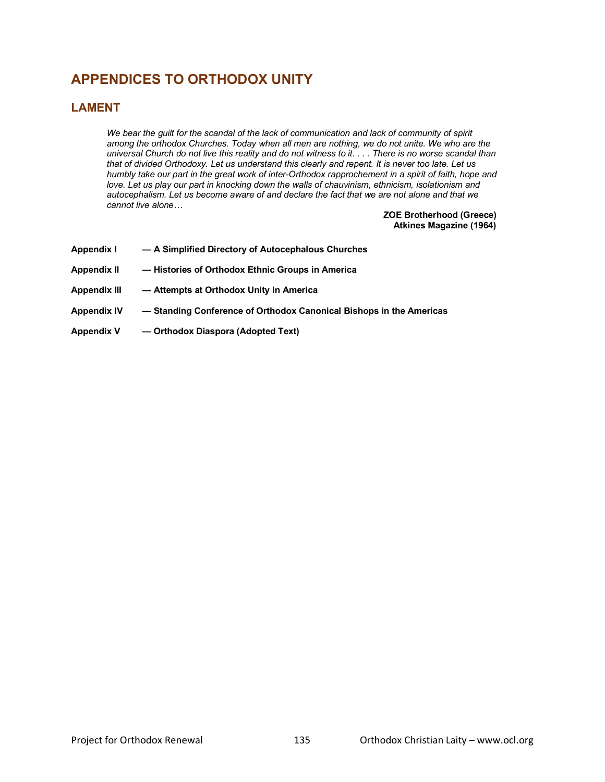# **APPENDICES TO ORTHODOX UNITY**

# **LAMENT**

We bear the quilt for the scandal of the lack of communication and lack of community of spirit *among the orthodox Churches. Today when all men are nothing, we do not unite. We who are the universal Church do not live this reality and do not witness to it. . . . There is no worse scandal than that of divided Orthodoxy. Let us understand this clearly and repent. It is never too late. Let us humbly take our part in the great work of inter-Orthodox rapprochement in a spirit of faith, hope and*  love. Let us play our part in knocking down the walls of chauvinism, ethnicism, isolationism and *autocephalism. Let us become aware of and declare the fact that we are not alone and that we cannot live alone…* 

### **ZOE Brotherhood (Greece) Atkines Magazine (1964)**

| Appendix I          | - A Simplified Directory of Autocephalous Churches                  |
|---------------------|---------------------------------------------------------------------|
| <b>Appendix II</b>  | -Histories of Orthodox Ethnic Groups in America                     |
| <b>Appendix III</b> | - Attempts at Orthodox Unity in America                             |
| <b>Appendix IV</b>  | - Standing Conference of Orthodox Canonical Bishops in the Americas |
| <b>Appendix V</b>   | - Orthodox Diaspora (Adopted Text)                                  |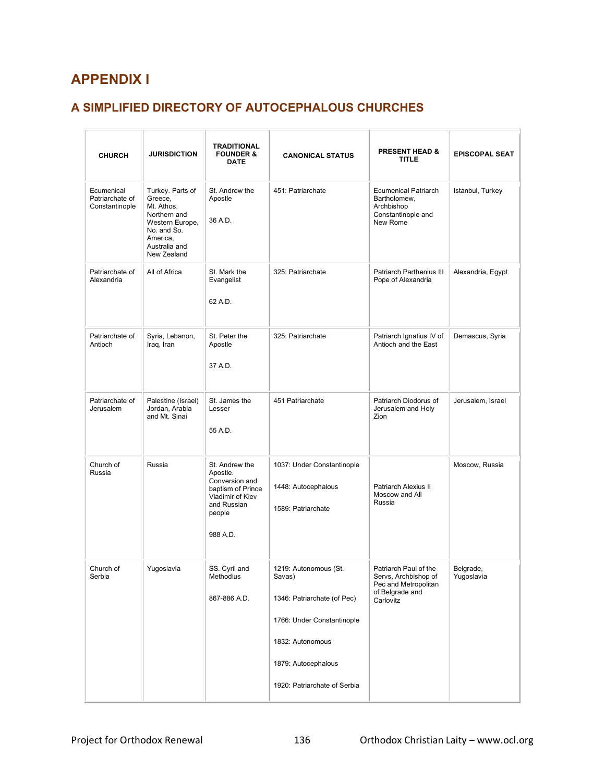# **APPENDIX I**

# **A SIMPLIFIED DIRECTORY OF AUTOCEPHALOUS CHURCHES**

| <b>CHURCH</b>                                   | <b>JURISDICTION</b>                                                                                                                     | TRADITIONAL<br><b>FOUNDER &amp;</b><br><b>DATE</b>                                                                         | <b>CANONICAL STATUS</b>                                                                                                                                                 | <b>PRESENT HEAD &amp;</b><br><b>TITLE</b>                                                             | <b>EPISCOPAL SEAT</b>   |
|-------------------------------------------------|-----------------------------------------------------------------------------------------------------------------------------------------|----------------------------------------------------------------------------------------------------------------------------|-------------------------------------------------------------------------------------------------------------------------------------------------------------------------|-------------------------------------------------------------------------------------------------------|-------------------------|
| Ecumenical<br>Patriarchate of<br>Constantinople | Turkey. Parts of<br>Greece.<br>Mt. Athos,<br>Northern and<br>Western Europe,<br>No. and So.<br>America,<br>Australia and<br>New Zealand | St. Andrew the<br>Apostle<br>36 A.D.                                                                                       | 451: Patriarchate                                                                                                                                                       | <b>Ecumenical Patriarch</b><br>Bartholomew,<br>Archbishop<br>Constantinople and<br>New Rome           | Istanbul, Turkey        |
| Patriarchate of<br>Alexandria                   | All of Africa                                                                                                                           | St. Mark the<br>Evangelist<br>62 A.D.                                                                                      | 325: Patriarchate                                                                                                                                                       | Patriarch Parthenius III<br>Pope of Alexandria                                                        | Alexandria, Egypt       |
| Patriarchate of<br>Antioch                      | Syria, Lebanon,<br>Iraq, Iran                                                                                                           | St. Peter the<br>Apostle<br>37 A.D.                                                                                        | 325: Patriarchate                                                                                                                                                       | Patriarch Ignatius IV of<br>Antioch and the East                                                      | Demascus, Syria         |
| Patriarchate of<br>Jerusalem                    | Palestine (Israel)<br>Jordan, Arabia<br>and Mt. Sinai                                                                                   | St. James the<br>Lesser<br>55 A.D.                                                                                         | 451 Patriarchate                                                                                                                                                        | Patriarch Diodorus of<br>Jerusalem and Holy<br>Zion                                                   | Jerusalem, Israel       |
| Church of<br>Russia                             | Russia                                                                                                                                  | St. Andrew the<br>Apostle.<br>Conversion and<br>baptism of Prince<br>Vladimir of Kiev<br>and Russian<br>people<br>988 A.D. | 1037: Under Constantinople<br>1448: Autocephalous<br>1589: Patriarchate                                                                                                 | Patriarch Alexius II<br>Moscow and All<br>Russia                                                      | Moscow, Russia          |
| Church of<br>Serbia                             | Yugoslavia                                                                                                                              | SS. Cyril and<br>Methodius<br>867-886 A.D.                                                                                 | 1219: Autonomous (St.<br>Savas)<br>1346: Patriarchate (of Pec)<br>1766: Under Constantinople<br>1832: Autonomous<br>1879: Autocephalous<br>1920: Patriarchate of Serbia | Patriarch Paul of the<br>Servs, Archbishop of<br>Pec and Metropolitan<br>of Belgrade and<br>Carlovitz | Belgrade,<br>Yugoslavia |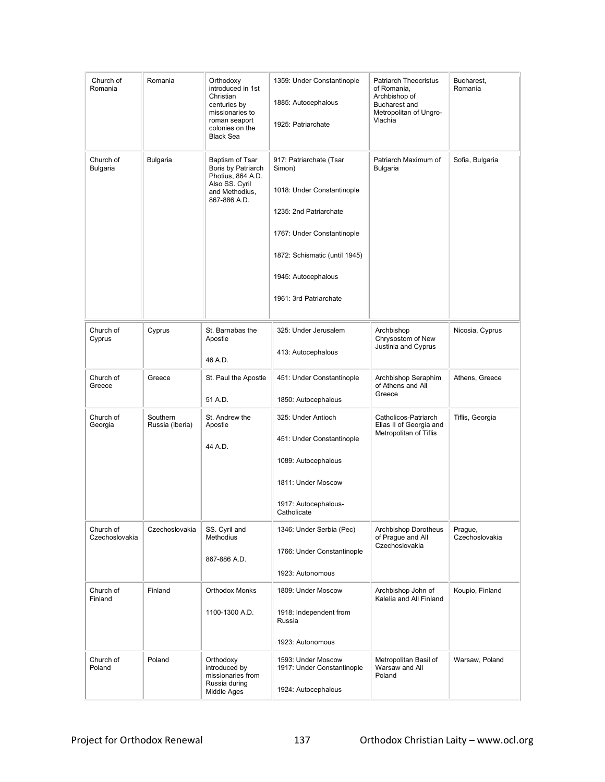| Church of<br>Romania        | Romania                     | Orthodoxy<br>introduced in 1st<br>Christian<br>centuries by<br>missionaries to<br>roman seaport<br>colonies on the<br><b>Black Sea</b> | 1359: Under Constantinople<br>1885: Autocephalous<br>1925: Patriarchate                                                                                                                                   | Patriarch Theocristus<br>of Romania,<br>Archbishop of<br><b>Bucharest and</b><br>Metropolitan of Ungro-<br>Vlachia | Bucharest,<br>Romania     |
|-----------------------------|-----------------------------|----------------------------------------------------------------------------------------------------------------------------------------|-----------------------------------------------------------------------------------------------------------------------------------------------------------------------------------------------------------|--------------------------------------------------------------------------------------------------------------------|---------------------------|
| Church of<br>Bulgaria       | Bulgaria                    | Baptism of Tsar<br>Boris by Patriarch<br>Photius, 864 A.D.<br>Also SS. Cyril<br>and Methodius,<br>867-886 A.D.                         | 917: Patriarchate (Tsar<br>Simon)<br>1018: Under Constantinople<br>1235: 2nd Patriarchate<br>1767: Under Constantinople<br>1872: Schismatic (until 1945)<br>1945: Autocephalous<br>1961: 3rd Patriarchate | Patriarch Maximum of<br>Bulgaria                                                                                   | Sofia, Bulgaria           |
| Church of<br>Cyprus         | Cyprus                      | St. Barnabas the<br>Apostle<br>46 A.D.                                                                                                 | 325: Under Jerusalem<br>413: Autocephalous                                                                                                                                                                | Archbishop<br>Chrysostom of New<br>Justinia and Cyprus                                                             | Nicosia, Cyprus           |
| Church of<br>Greece         | Greece                      | St. Paul the Apostle<br>51 A.D.                                                                                                        | 451: Under Constantinople<br>1850: Autocephalous                                                                                                                                                          | Archbishop Seraphim<br>of Athens and All<br>Greece                                                                 | Athens, Greece            |
| Church of<br>Georgia        | Southern<br>Russia (Iberia) | St. Andrew the<br>Apostle<br>44 A.D.                                                                                                   | 325: Under Antioch<br>451: Under Constantinople<br>1089: Autocephalous<br>1811: Under Moscow<br>1917: Autocephalous-<br>Catholicate                                                                       | Catholicos-Patriarch<br>Elias II of Georgia and<br>Metropolitan of Tiflis                                          | Tiflis, Georgia           |
| Church of<br>Czechoslovakia | Czechoslovakia              | SS. Cyril and<br>Methodius<br>867-886 A.D.                                                                                             | 1346: Under Serbia (Pec)<br>1766: Under Constantinople<br>1923: Autonomous                                                                                                                                | Archbishop Dorotheus<br>of Prague and All<br>Czechoslovakia                                                        | Prague,<br>Czechoslovakia |
| Church of<br>Finland        | Finland                     | <b>Orthodox Monks</b><br>1100-1300 A.D.                                                                                                | 1809: Under Moscow<br>1918: Independent from<br>Russia<br>1923: Autonomous                                                                                                                                | Archbishop John of<br>Kalelia and All Finland                                                                      | Koupio, Finland           |
| Church of<br>Poland         | Poland                      | Orthodoxy<br>introduced by<br>missionaries from<br>Russia during<br>Middle Ages                                                        | 1593: Under Moscow<br>1917: Under Constantinople<br>1924: Autocephalous                                                                                                                                   | Metropolitan Basil of<br>Warsaw and All<br>Poland                                                                  | Warsaw, Poland            |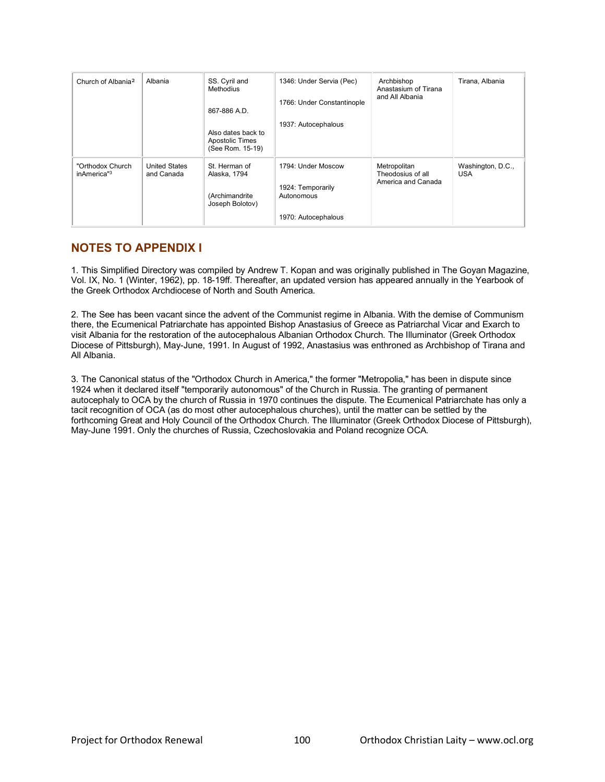| Church of Albania <sup>2</sup>  | Albania                            | SS. Cyril and<br>Methodius<br>867-886 A.D.<br>Also dates back to<br>Apostolic Times<br>(See Rom. 15-19) | 1346: Under Servia (Pec)<br>1766: Under Constantinople<br>1937: Autocephalous | Archbishop<br>Anastasium of Tirana<br>and All Albania   | Tirana, Albania                 |
|---------------------------------|------------------------------------|---------------------------------------------------------------------------------------------------------|-------------------------------------------------------------------------------|---------------------------------------------------------|---------------------------------|
| "Orthodox Church<br>inAmerica"3 | <b>United States</b><br>and Canada | St. Herman of<br>Alaska, 1794<br>(Archimandrite<br>Joseph Bolotov)                                      | 1794: Under Moscow<br>1924: Temporarily<br>Autonomous<br>1970: Autocephalous  | Metropolitan<br>Theodosius of all<br>America and Canada | Washington, D.C.,<br><b>USA</b> |

# **NOTES TO APPENDIX I**

1. This Simplified Directory was compiled by Andrew T. Kopan and was originally published in The Goyan Magazine, Vol. IX, No. 1 (Winter, 1962), pp. 18-19ff. Thereafter, an updated version has appeared annually in the Yearbook of the Greek Orthodox Archdiocese of North and South America.

2. The See has been vacant since the advent of the Communist regime in Albania. With the demise of Communism there, the Ecumenical Patriarchate has appointed Bishop Anastasius of Greece as Patriarchal Vicar and Exarch to visit Albania for the restoration of the autocephalous Albanian Orthodox Church. The Illuminator (Greek Orthodox Diocese of Pittsburgh), May-June, 1991. In August of 1992, Anastasius was enthroned as Archbishop of Tirana and All Albania.

3. The Canonical status of the "Orthodox Church in America," the former "Metropolia," has been in dispute since 1924 when it declared itself "temporarily autonomous" of the Church in Russia. The granting of permanent autocephaly to OCA by the church of Russia in 1970 continues the dispute. The Ecumenical Patriarchate has only a tacit recognition of OCA (as do most other autocephalous churches), until the matter can be settled by the forthcoming Great and Holy Council of the Orthodox Church. The Illuminator (Greek Orthodox Diocese of Pittsburgh), May-June 1991. Only the churches of Russia, Czechoslovakia and Poland recognize OCA.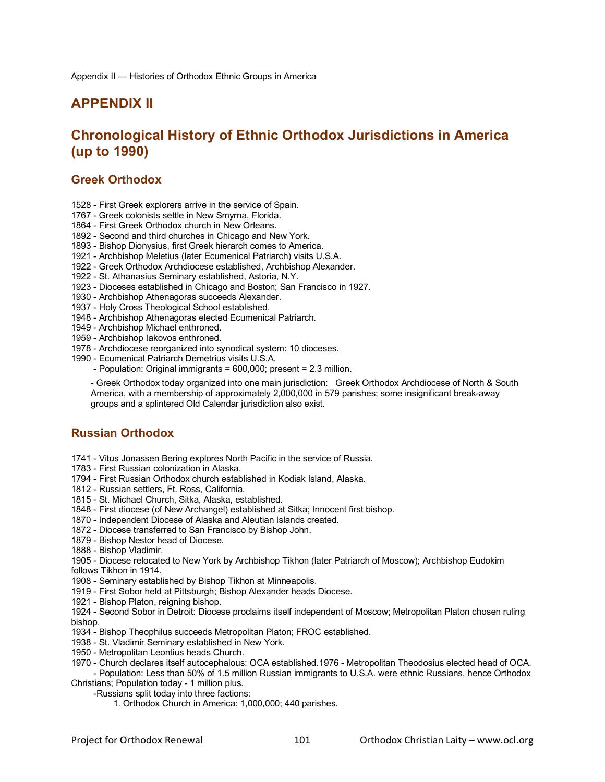# **APPENDIX II**

# **Chronological History of Ethnic Orthodox Jurisdictions in America (up to 1990)**

## **Greek Orthodox**

- 1528 First Greek explorers arrive in the service of Spain.
- 1767 Greek colonists settle in New Smyrna, Florida.
- 1864 First Greek Orthodox church in New Orleans.
- 1892 Second and third churches in Chicago and New York.
- 1893 Bishop Dionysius, first Greek hierarch comes to America.
- 1921 Archbishop Meletius (later Ecumenical Patriarch) visits U.S.A.
- 1922 Greek Orthodox Archdiocese established, Archbishop Alexander.
- 1922 St. Athanasius Seminary established, Astoria, N.Y.
- 1923 Dioceses established in Chicago and Boston; San Francisco in 1927.
- 1930 Archbishop Athenagoras succeeds Alexander.
- 1937 Holy Cross Theological School established.
- 1948 Archbishop Athenagoras elected Ecumenical Patriarch.
- 1949 Archbishop Michael enthroned.
- 1959 Archbishop Iakovos enthroned.
- 1978 Archdiocese reorganized into synodical system: 10 dioceses.
- 1990 Ecumenical Patriarch Demetrius visits U.S.A.
	- Population: Original immigrants = 600,000; present = 2.3 million.

- Greek Orthodox today organized into one main jurisdiction: Greek Orthodox Archdiocese of North & South America, with a membership of approximately 2,000,000 in 579 parishes; some insignificant break-away groups and a splintered Old Calendar jurisdiction also exist.

## **Russian Orthodox**

1741 - Vitus Jonassen Bering explores North Pacific in the service of Russia.

- 1783 First Russian colonization in Alaska.
- 1794 First Russian Orthodox church established in Kodiak Island, Alaska.
- 1812 Russian settlers, Ft. Ross, California.
- 1815 St. Michael Church, Sitka, Alaska, established.
- 1848 First diocese (of New Archangel) established at Sitka; Innocent first bishop.
- 1870 Independent Diocese of Alaska and Aleutian Islands created.
- 1872 Diocese transferred to San Francisco by Bishop John.
- 1879 Bishop Nestor head of Diocese.
- 1888 Bishop Vladimir.
- 1905 Diocese relocated to New York by Archbishop Tikhon (later Patriarch of Moscow); Archbishop Eudokim follows Tikhon in 1914.
- 1908 Seminary established by Bishop Tikhon at Minneapolis.
- 1919 First Sobor held at Pittsburgh; Bishop Alexander heads Diocese.
- 1921 Bishop Platon, reigning bishop.
- 1924 Second Sobor in Detroit: Diocese proclaims itself independent of Moscow; Metropolitan Platon chosen ruling bishop.
- 1934 Bishop Theophilus succeeds Metropolitan Platon; FROC established.
- 1938 St. Vladimir Seminary established in New York.
- 1950 Metropolitan Leontius heads Church.
- 1970 Church declares itself autocephalous: OCA established.1976 Metropolitan Theodosius elected head of OCA.
- Population: Less than 50% of 1.5 million Russian immigrants to U.S.A. were ethnic Russians, hence Orthodox Christians; Population today - 1 million plus.
	- -Russians split today into three factions:
		- 1. Orthodox Church in America: 1,000,000; 440 parishes.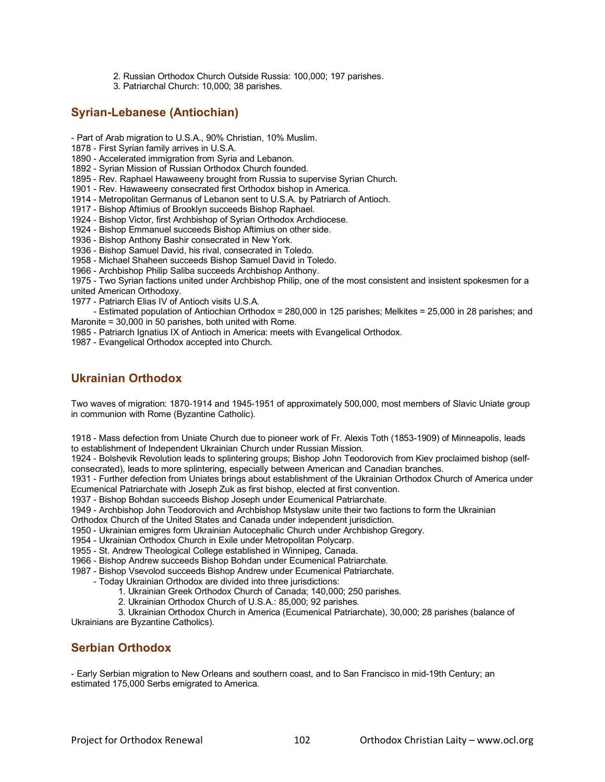- 2. Russian Orthodox Church Outside Russia: 100,000; 197 parishes.
- 3. Patriarchal Church: 10,000; 38 parishes.

# **Syrian-Lebanese (Antiochian)**

- Part of Arab migration to U.S.A., 90% Christian, 10% Muslim.
- 1878 First Syrian family arrives in U.S.A.
- 1890 Accelerated immigration from Syria and Lebanon.
- 1892 Syrian Mission of Russian Orthodox Church founded.
- 1895 Rev. Raphael Hawaweeny brought from Russia to supervise Syrian Church.
- 1901 Rev. Hawaweeny consecrated first Orthodox bishop in America.
- 1914 Metropolitan Germanus of Lebanon sent to U.S.A. by Patriarch of Antioch.
- 1917 Bishop Aftimius of Brooklyn succeeds Bishop Raphael.
- 1924 Bishop Victor, first Archbishop of Syrian Orthodox Archdiocese.
- 1924 Bishop Emmanuel succeeds Bishop Aftimius on other side.
- 1936 Bishop Anthony Bashir consecrated in New York.
- 1936 Bishop Samuel David, his rival, consecrated in Toledo.
- 1958 Michael Shaheen succeeds Bishop Samuel David in Toledo.
- 1966 Archbishop Philip Saliba succeeds Archbishop Anthony.

1975 - Two Syrian factions united under Archbishop Philip, one of the most consistent and insistent spokesmen for a united American Orthodoxy.

1977 - Patriarch Elias IV of Antioch visits U.S.A.

 - Estimated population of Antiochian Orthodox = 280,000 in 125 parishes; Melkites = 25,000 in 28 parishes; and Maronite = 30,000 in 50 parishes, both united with Rome.

- 1985 Patriarch Ignatius IX of Antioch in America: meets with Evangelical Orthodox.
- 1987 Evangelical Orthodox accepted into Church.

# **Ukrainian Orthodox**

Two waves of migration: 1870-1914 and 1945-1951 of approximately 500,000, most members of Slavic Uniate group in communion with Rome (Byzantine Catholic).

1918 - Mass defection from Uniate Church due to pioneer work of Fr. Alexis Toth (1853-1909) of Minneapolis, leads to establishment of Independent Ukrainian Church under Russian Mission.

1924 - Bolshevik Revolution leads to splintering groups; Bishop John Teodorovich from Kiev proclaimed bishop (selfconsecrated), leads to more splintering, especially between American and Canadian branches.

1931 - Further defection from Uniates brings about establishment of the Ukrainian Orthodox Church of America under Ecumenical Patriarchate with Joseph Zuk as first bishop, elected at first convention.

1937 - Bishop Bohdan succeeds Bishop Joseph under Ecumenical Patriarchate.

1949 - Archbishop John Teodorovich and Archbishop Mstyslaw unite their two factions to form the Ukrainian

Orthodox Church of the United States and Canada under independent jurisdiction.

1950 - Ukrainian emigres form Ukrainian Autocephalic Church under Archbishop Gregory.

- 1954 Ukrainian Orthodox Church in Exile under Metropolitan Polycarp.
- 1955 St. Andrew Theological College established in Winnipeg, Canada.
- 1966 Bishop Andrew succeeds Bishop Bohdan under Ecumenical Patriarchate.
- 1987 Bishop Vsevolod succeeds Bishop Andrew under Ecumenical Patriarchate.
	- Today Ukrainian Orthodox are divided into three jurisdictions:
		- 1. Ukrainian Greek Orthodox Church of Canada; 140,000; 250 parishes.
		- 2. Ukrainian Orthodox Church of U.S.A.: 85,000; 92 parishes.

 3. Ukrainian Orthodox Church in America (Ecumenical Patriarchate), 30,000; 28 parishes (balance of Ukrainians are Byzantine Catholics).

# **Serbian Orthodox**

- Early Serbian migration to New Orleans and southern coast, and to San Francisco in mid-19th Century; an estimated 175,000 Serbs emigrated to America.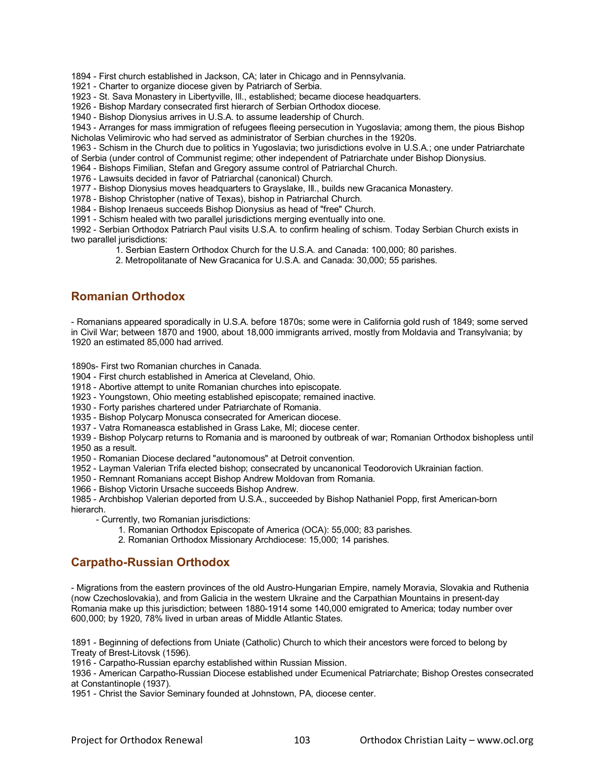1894 - First church established in Jackson, CA; later in Chicago and in Pennsylvania.

1921 - Charter to organize diocese given by Patriarch of Serbia.

1923 - St. Sava Monastery in Libertyville, Ill., established; became diocese headquarters.

1926 - Bishop Mardary consecrated first hierarch of Serbian Orthodox diocese.

1940 - Bishop Dionysius arrives in U.S.A. to assume leadership of Church.

1943 - Arranges for mass immigration of refugees fleeing persecution in Yugoslavia; among them, the pious Bishop Nicholas Velimirovic who had served as administrator of Serbian churches in the 1920s.

1963 - Schism in the Church due to politics in Yugoslavia; two jurisdictions evolve in U.S.A.; one under Patriarchate of Serbia (under control of Communist regime; other independent of Patriarchate under Bishop Dionysius.

1964 - Bishops Fimilian, Stefan and Gregory assume control of Patriarchal Church.

1976 - Lawsuits decided in favor of Patriarchal (canonical) Church.

1977 - Bishop Dionysius moves headquarters to Grayslake, Ill., builds new Gracanica Monastery.

1978 - Bishop Christopher (native of Texas), bishop in Patriarchal Church.

1984 - Bishop Irenaeus succeeds Bishop Dionysius as head of "free" Church.

1991 - Schism healed with two parallel jurisdictions merging eventually into one.

1992 - Serbian Orthodox Patriarch Paul visits U.S.A. to confirm healing of schism. Today Serbian Church exists in two parallel jurisdictions:

1. Serbian Eastern Orthodox Church for the U.S.A. and Canada: 100,000; 80 parishes.

2. Metropolitanate of New Gracanica for U.S.A. and Canada: 30,000; 55 parishes.

## **Romanian Orthodox**

- Romanians appeared sporadically in U.S.A. before 1870s; some were in California gold rush of 1849; some served in Civil War; between 1870 and 1900, about 18,000 immigrants arrived, mostly from Moldavia and Transylvania; by 1920 an estimated 85,000 had arrived.

1890s- First two Romanian churches in Canada.

1904 - First church established in America at Cleveland, Ohio.

1918 - Abortive attempt to unite Romanian churches into episcopate.

1923 - Youngstown, Ohio meeting established episcopate; remained inactive.

1930 - Forty parishes chartered under Patriarchate of Romania.

1935 - Bishop Polycarp Monusca consecrated for American diocese.

1937 - Vatra Romaneasca established in Grass Lake, MI; diocese center.

1939 - Bishop Polycarp returns to Romania and is marooned by outbreak of war; Romanian Orthodox bishopless until 1950 as a result.

1950 - Romanian Diocese declared "autonomous" at Detroit convention.

1952 - Layman Valerian Trifa elected bishop; consecrated by uncanonical Teodorovich Ukrainian faction.

1950 - Remnant Romanians accept Bishop Andrew Moldovan from Romania.

1966 - Bishop Victorin Ursache succeeds Bishop Andrew.

1985 - Archbishop Valerian deported from U.S.A., succeeded by Bishop Nathaniel Popp, first American-born hierarch.

- Currently, two Romanian jurisdictions:

- 1. Romanian Orthodox Episcopate of America (OCA): 55,000; 83 parishes.
- 2. Romanian Orthodox Missionary Archdiocese: 15,000; 14 parishes.

# **Carpatho-Russian Orthodox**

- Migrations from the eastern provinces of the old Austro-Hungarian Empire, namely Moravia, Slovakia and Ruthenia (now Czechoslovakia), and from Galicia in the western Ukraine and the Carpathian Mountains in present-day Romania make up this jurisdiction; between 1880-1914 some 140,000 emigrated to America; today number over 600,000; by 1920, 78% lived in urban areas of Middle Atlantic States.

1891 - Beginning of defections from Uniate (Catholic) Church to which their ancestors were forced to belong by Treaty of Brest-Litovsk (1596).

1916 - Carpatho-Russian eparchy established within Russian Mission.

1936 - American Carpatho-Russian Diocese established under Ecumenical Patriarchate; Bishop Orestes consecrated at Constantinople (1937).

1951 - Christ the Savior Seminary founded at Johnstown, PA, diocese center.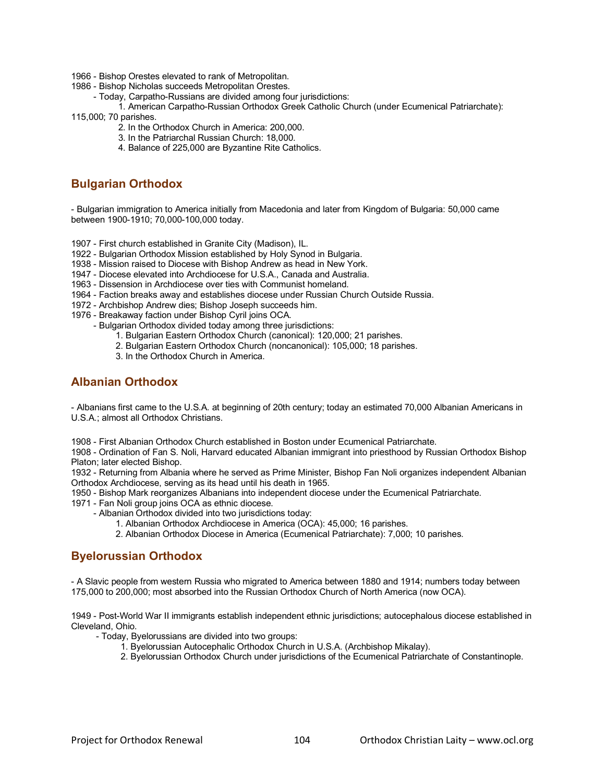- 1966 Bishop Orestes elevated to rank of Metropolitan.
- 1986 Bishop Nicholas succeeds Metropolitan Orestes.
	- Today, Carpatho-Russians are divided among four jurisdictions:
- 1. American Carpatho-Russian Orthodox Greek Catholic Church (under Ecumenical Patriarchate): 115,000; 70 parishes.
	- 2. In the Orthodox Church in America: 200,000.
		- 3. In the Patriarchal Russian Church: 18,000.
		- 4. Balance of 225,000 are Byzantine Rite Catholics.

## **Bulgarian Orthodox**

- Bulgarian immigration to America initially from Macedonia and later from Kingdom of Bulgaria: 50,000 came between 1900-1910; 70,000-100,000 today.

1907 - First church established in Granite City (Madison), IL.

- 1922 Bulgarian Orthodox Mission established by Holy Synod in Bulgaria.
- 1938 Mission raised to Diocese with Bishop Andrew as head in New York.
- 1947 Diocese elevated into Archdiocese for U.S.A., Canada and Australia.
- 1963 Dissension in Archdiocese over ties with Communist homeland.
- 1964 Faction breaks away and establishes diocese under Russian Church Outside Russia.
- 1972 Archbishop Andrew dies; Bishop Joseph succeeds him.
- 1976 Breakaway faction under Bishop Cyril joins OCA.
	- Bulgarian Orthodox divided today among three jurisdictions:
		- 1. Bulgarian Eastern Orthodox Church (canonical): 120,000; 21 parishes.
		- 2. Bulgarian Eastern Orthodox Church (noncanonical): 105,000; 18 parishes.
		- 3. In the Orthodox Church in America.

## **Albanian Orthodox**

- Albanians first came to the U.S.A. at beginning of 20th century; today an estimated 70,000 Albanian Americans in U.S.A.; almost all Orthodox Christians.

1908 - First Albanian Orthodox Church established in Boston under Ecumenical Patriarchate.

1908 - Ordination of Fan S. Noli, Harvard educated Albanian immigrant into priesthood by Russian Orthodox Bishop Platon; later elected Bishop.

1932 - Returning from Albania where he served as Prime Minister, Bishop Fan Noli organizes independent Albanian Orthodox Archdiocese, serving as its head until his death in 1965.

1950 - Bishop Mark reorganizes Albanians into independent diocese under the Ecumenical Patriarchate.

- 1971 Fan Noli group joins OCA as ethnic diocese.
	- Albanian Orthodox divided into two jurisdictions today:
		- 1. Albanian Orthodox Archdiocese in America (OCA): 45,000; 16 parishes.
		- 2. Albanian Orthodox Diocese in America (Ecumenical Patriarchate): 7,000; 10 parishes.

## **Byelorussian Orthodox**

- A Slavic people from western Russia who migrated to America between 1880 and 1914; numbers today between 175,000 to 200,000; most absorbed into the Russian Orthodox Church of North America (now OCA).

1949 - Post-World War II immigrants establish independent ethnic jurisdictions; autocephalous diocese established in Cleveland, Ohio.

- Today, Byelorussians are divided into two groups:

- 1. Byelorussian Autocephalic Orthodox Church in U.S.A. (Archbishop Mikalay).
- 2. Byelorussian Orthodox Church under jurisdictions of the Ecumenical Patriarchate of Constantinople.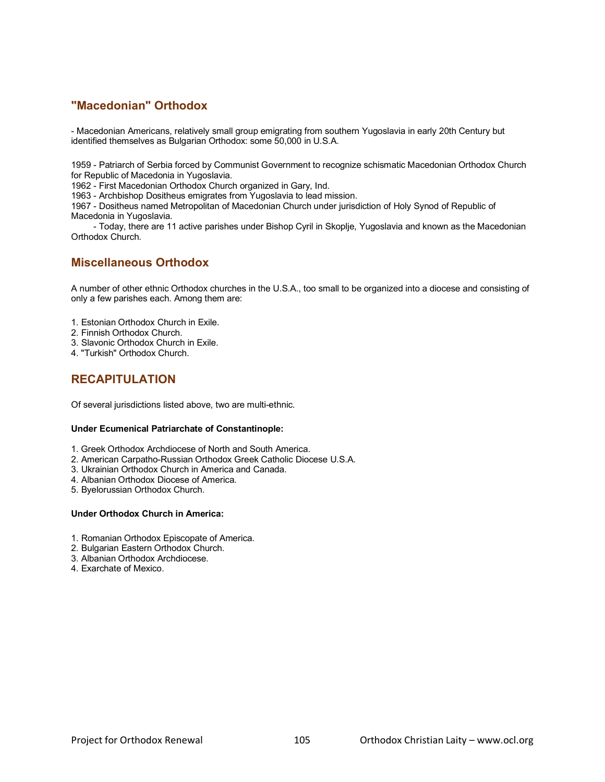## **"Macedonian" Orthodox**

- Macedonian Americans, relatively small group emigrating from southern Yugoslavia in early 20th Century but identified themselves as Bulgarian Orthodox: some 50,000 in U.S.A.

1959 - Patriarch of Serbia forced by Communist Government to recognize schismatic Macedonian Orthodox Church for Republic of Macedonia in Yugoslavia.

1962 - First Macedonian Orthodox Church organized in Gary, Ind.

1963 - Archbishop Dositheus emigrates from Yugoslavia to lead mission.

1967 - Dositheus named Metropolitan of Macedonian Church under jurisdiction of Holy Synod of Republic of Macedonia in Yugoslavia.

 - Today, there are 11 active parishes under Bishop Cyril in Skoplje, Yugoslavia and known as the Macedonian Orthodox Church.

## **Miscellaneous Orthodox**

A number of other ethnic Orthodox churches in the U.S.A., too small to be organized into a diocese and consisting of only a few parishes each. Among them are:

1. Estonian Orthodox Church in Exile.

- 2. Finnish Orthodox Church.
- 3. Slavonic Orthodox Church in Exile.
- 4. "Turkish" Orthodox Church.

# **RECAPITULATION**

Of several jurisdictions listed above, two are multi-ethnic.

### **Under Ecumenical Patriarchate of Constantinople:**

- 1. Greek Orthodox Archdiocese of North and South America.
- 2. American Carpatho-Russian Orthodox Greek Catholic Diocese U.S.A.
- 3. Ukrainian Orthodox Church in America and Canada.
- 4. Albanian Orthodox Diocese of America.
- 5. Byelorussian Orthodox Church.

## **Under Orthodox Church in America:**

- 1. Romanian Orthodox Episcopate of America.
- 2. Bulgarian Eastern Orthodox Church.
- 3. Albanian Orthodox Archdiocese.
- 4. Exarchate of Mexico.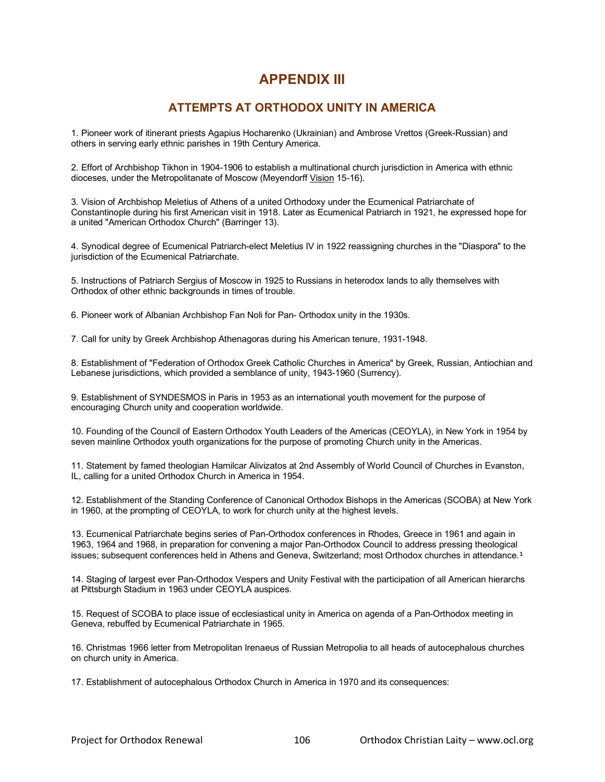# **APPENDIX III**

# **ATTEMPTS AT ORTHODOX UNITY IN AMERICA**

1. Pioneer work of itinerant priests Agapius Hocharenko (Ukrainian) and Ambrose Vrettos (Greek-Russian) and others in serving early ethnic parishes in 19th Century America.

2. Effort of Archbishop Tikhon in 1904-1906 to establish a multinational church jurisdiction in America with ethnic dioceses, under the Metropolitanate of Moscow (Meyendorff Vision 15-16).

3. Vision of Archbishop Meletius of Athens of a united Orthodoxy under the Ecumenical Patriarchate of Constantinople during his first American visit in 1918. Later as Ecumenical Patriarch in 1921, he expressed hope for a united "American Orthodox Church" (Barringer 13).

4. Synodical degree of Ecumenical Patriarch-elect Meletius IV in 1922 reassigning churches in the "Diaspora" to the jurisdiction of the Ecumenical Patriarchate.

5. Instructions of Patriarch Sergius of Moscow in 1925 to Russians in heterodox lands to ally themselves with Orthodox of other ethnic backgrounds in times of trouble.

6. Pioneer work of Albanian Archbishop Fan Noli for Pan- Orthodox unity in the 1930s.

7. Call for unity by Greek Archbishop Athenagoras during his American tenure, 1931-1948.

8. Establishment of "Federation of Orthodox Greek Catholic Churches in America" by Greek, Russian, Antiochian and Lebanese jurisdictions, which provided a semblance of unity, 1943-1960 (Surrency).

9. Establishment of SYNDESMOS in Paris in 1953 as an international youth movement for the purpose of encouraging Church unity and cooperation worldwide.

10. Founding of the Council of Eastern Orthodox Youth Leaders of the Americas (CEOYLA), in New York in 1954 by seven mainline Orthodox youth organizations for the purpose of promoting Church unity in the Americas.

11. Statement by famed theologian Hamilcar Alivizatos at 2nd Assembly of World Council of Churches in Evanston, IL, calling for a united Orthodox Church in America in 1954.

12. Establishment of the Standing Conference of Canonical Orthodox Bishops in the Americas (SCOBA) at New York in 1960, at the prompting of CEOYLA, to work for church unity at the highest levels.

13. Ecumenical Patriarchate begins series of Pan-Orthodox conferences in Rhodes, Greece in 1961 and again in 1963, 1964 and 1968, in preparation for convening a major Pan-Orthodox Council to address pressing theological issues; subsequent conferences held in Athens and Geneva, Switzerland; most Orthodox churches in attendance.<sup>1</sup>

14. Staging of largest ever Pan-Orthodox Vespers and Unity Festival with the participation of all American hierarchs at Pittsburgh Stadium in 1963 under CEOYLA auspices.

15. Request of SCOBA to place issue of ecclesiastical unity in America on agenda of a Pan-Orthodox meeting in Geneva, rebuffed by Ecumenical Patriarchate in 1965.

16. Christmas 1966 letter from Metropolitan Irenaeus of Russian Metropolia to all heads of autocephalous churches on church unity in America.

17. Establishment of autocephalous Orthodox Church in America in 1970 and its consequences: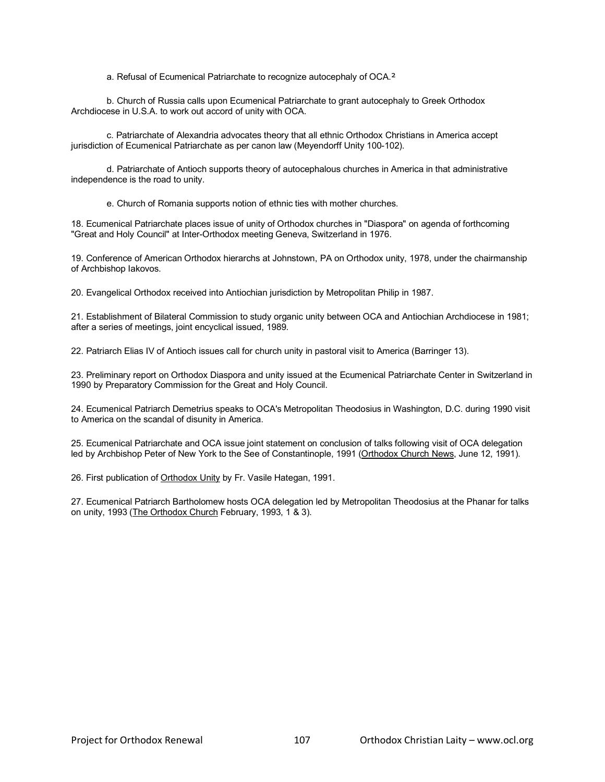a. Refusal of Ecumenical Patriarchate to recognize autocephaly of OCA.²

b. Church of Russia calls upon Ecumenical Patriarchate to grant autocephaly to Greek Orthodox Archdiocese in U.S.A. to work out accord of unity with OCA.

c. Patriarchate of Alexandria advocates theory that all ethnic Orthodox Christians in America accept jurisdiction of Ecumenical Patriarchate as per canon law (Meyendorff Unity 100-102).

d. Patriarchate of Antioch supports theory of autocephalous churches in America in that administrative independence is the road to unity.

e. Church of Romania supports notion of ethnic ties with mother churches.

18. Ecumenical Patriarchate places issue of unity of Orthodox churches in "Diaspora" on agenda of forthcoming "Great and Holy Council" at Inter-Orthodox meeting Geneva, Switzerland in 1976.

19. Conference of American Orthodox hierarchs at Johnstown, PA on Orthodox unity, 1978, under the chairmanship of Archbishop Iakovos.

20. Evangelical Orthodox received into Antiochian jurisdiction by Metropolitan Philip in 1987.

21. Establishment of Bilateral Commission to study organic unity between OCA and Antiochian Archdiocese in 1981; after a series of meetings, joint encyclical issued, 1989.

22. Patriarch Elias IV of Antioch issues call for church unity in pastoral visit to America (Barringer 13).

23. Preliminary report on Orthodox Diaspora and unity issued at the Ecumenical Patriarchate Center in Switzerland in 1990 by Preparatory Commission for the Great and Holy Council.

24. Ecumenical Patriarch Demetrius speaks to OCA's Metropolitan Theodosius in Washington, D.C. during 1990 visit to America on the scandal of disunity in America.

25. Ecumenical Patriarchate and OCA issue joint statement on conclusion of talks following visit of OCA delegation led by Archbishop Peter of New York to the See of Constantinople, 1991 (Orthodox Church News, June 12, 1991).

26. First publication of Orthodox Unity by Fr. Vasile Hategan, 1991.

27. Ecumenical Patriarch Bartholomew hosts OCA delegation led by Metropolitan Theodosius at the Phanar for talks on unity, 1993 (The Orthodox Church February, 1993, 1 & 3).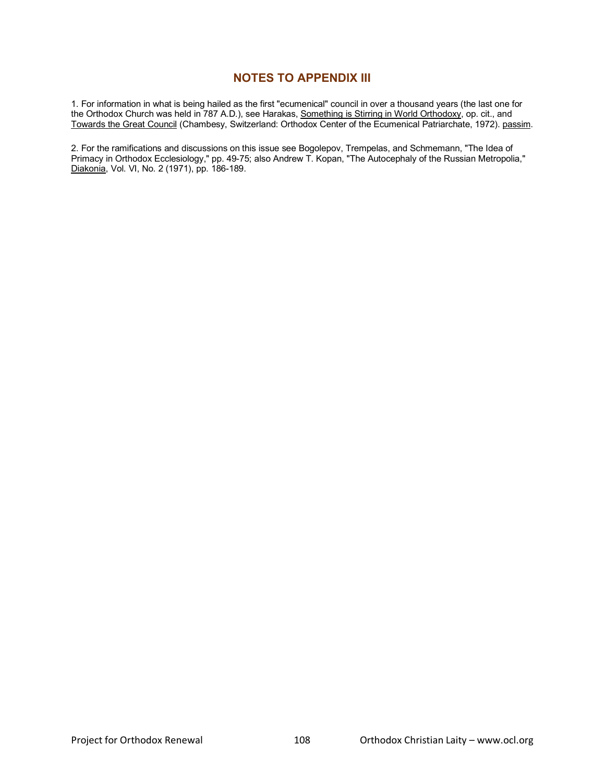# **NOTES TO APPENDIX III**

1. For information in what is being hailed as the first "ecumenical" council in over a thousand years (the last one for the Orthodox Church was held in 787 A.D.), see Harakas, Something is Stirring in World Orthodoxy, op. cit., and Towards the Great Council (Chambesy, Switzerland: Orthodox Center of the Ecumenical Patriarchate, 1972). passim.

2. For the ramifications and discussions on this issue see Bogolepov, Trempelas, and Schmemann, "The Idea of Primacy in Orthodox Ecclesiology," pp. 49-75; also Andrew T. Kopan, "The Autocephaly of the Russian Metropolia," Diakonia, Vol. VI, No. 2 (1971), pp. 186-189.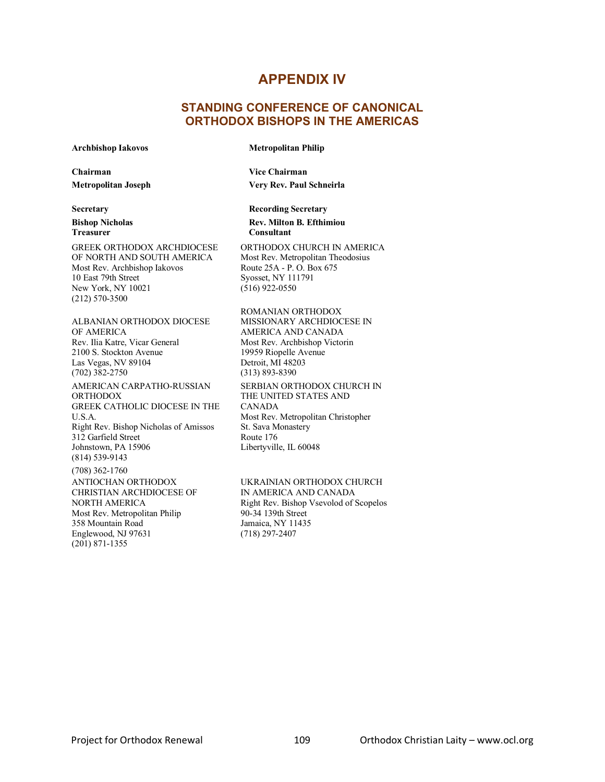## **APPENDIX IV**

## **STANDING CONFERENCE OF CANONICAL ORTHODOX BISHOPS IN THE AMERICAS**

### **Archbishop Iakovos**

#### **Metropolitan Philip**

**Chairman Metropolitan Joseph**

**Secretary Bishop Nicholas Treasurer**

GREEK ORTHODOX ARCHDIOCESE OF NORTH AND SOUTH AMERICA Most Rev. Archbishop Iakovos 10 East 79th Street New York, NY 10021 (212) 570-3500

ALBANIAN ORTHODOX DIOCESE OF AMERICA Rev. Ilia Katre, Vicar General 2100 S. Stockton Avenue Las Vegas, NV 89104 (702) 382-2750 AMERICAN CARPATHO-RUSSIAN ORTHODOX GREEK CATHOLIC DIOCESE IN THE U.S.A. Right Rev. Bishop Nicholas of Amissos 312 Garfield Street Johnstown, PA 15906 (814) 539-9143 (708) 362-1760 ANTIOCHAN ORTHODOX CHRISTIAN ARCHDIOCESE OF NORTH AMERICA

Most Rev. Metropolitan Philip 358 Mountain Road Englewood, NJ 97631 (201) 871-1355

**Vice Chairman Very Rev. Paul Schneirla**

**Recording Secretary Rev. Milton B. Efthimiou Consultant**

ORTHODOX CHURCH IN AMERICA Most Rev. Metropolitan Theodosius Route 25A - P. O. Box 675 Syosset, NY 111791 (516) 922-0550

ROMANIAN ORTHODOX MISSIONARY ARCHDIOCESE IN AMERICA AND CANADA Most Rev. Archbishop Victorin 19959 Riopelle Avenue Detroit, MI 48203 (313) 893-8390 SERBIAN ORTHODOX CHURCH IN THE UNITED STATES AND CANADA Most Rev. Metropolitan Christopher St. Sava Monastery Route 176 Libertyville, IL 60048

UKRAINIAN ORTHODOX CHURCH IN AMERICA AND CANADA Right Rev. Bishop Vsevolod of Scopelos 90-34 139th Street Jamaica, NY 11435 (718) 297-2407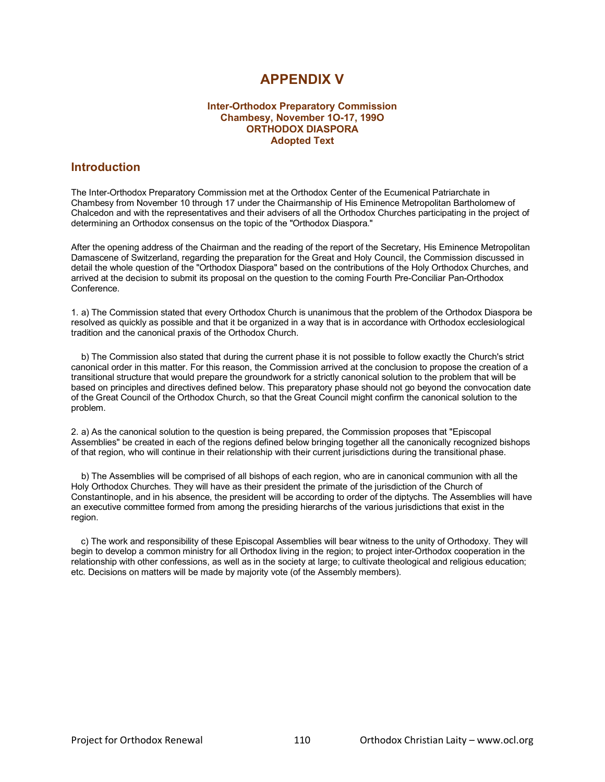# **APPENDIX V**

## **Inter-Orthodox Preparatory Commission Chambesy, November 1O-17, 199O ORTHODOX DIASPORA Adopted Text**

## **Introduction**

The Inter-Orthodox Preparatory Commission met at the Orthodox Center of the Ecumenical Patriarchate in Chambesy from November 10 through 17 under the Chairmanship of His Eminence Metropolitan Bartholomew of Chalcedon and with the representatives and their advisers of all the Orthodox Churches participating in the project of determining an Orthodox consensus on the topic of the "Orthodox Diaspora."

After the opening address of the Chairman and the reading of the report of the Secretary, His Eminence Metropolitan Damascene of Switzerland, regarding the preparation for the Great and Holy Council, the Commission discussed in detail the whole question of the "Orthodox Diaspora" based on the contributions of the Holy Orthodox Churches, and arrived at the decision to submit its proposal on the question to the coming Fourth Pre-Conciliar Pan-Orthodox Conference.

1. a) The Commission stated that every Orthodox Church is unanimous that the problem of the Orthodox Diaspora be resolved as quickly as possible and that it be organized in a way that is in accordance with Orthodox ecclesiological tradition and the canonical praxis of the Orthodox Church.

 b) The Commission also stated that during the current phase it is not possible to follow exactly the Church's strict canonical order in this matter. For this reason, the Commission arrived at the conclusion to propose the creation of a transitional structure that would prepare the groundwork for a strictly canonical solution to the problem that will be based on principles and directives defined below. This preparatory phase should not go beyond the convocation date of the Great Council of the Orthodox Church, so that the Great Council might confirm the canonical solution to the problem.

2. a) As the canonical solution to the question is being prepared, the Commission proposes that "Episcopal Assemblies" be created in each of the regions defined below bringing together all the canonically recognized bishops of that region, who will continue in their relationship with their current jurisdictions during the transitional phase.

 b) The Assemblies will be comprised of all bishops of each region, who are in canonical communion with all the Holy Orthodox Churches. They will have as their president the primate of the jurisdiction of the Church of Constantinople, and in his absence, the president will be according to order of the diptychs. The Assemblies will have an executive committee formed from among the presiding hierarchs of the various jurisdictions that exist in the region.

 c) The work and responsibility of these Episcopal Assemblies will bear witness to the unity of Orthodoxy. They will begin to develop a common ministry for all Orthodox living in the region; to project inter-Orthodox cooperation in the relationship with other confessions, as well as in the society at large; to cultivate theological and religious education; etc. Decisions on matters will be made by majority vote (of the Assembly members).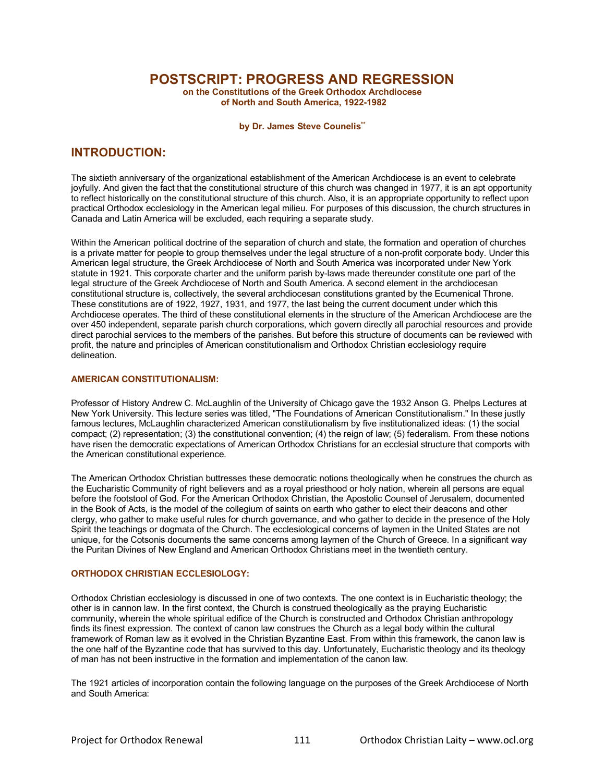**POSTSCRIPT: PROGRESS AND REGRESSION**

**on the Constitutions of the Greek Orthodox Archdiocese of North and South America, 1922-1982**

**by Dr. James Steve Counelis\*\***

## **INTRODUCTION:**

The sixtieth anniversary of the organizational establishment of the American Archdiocese is an event to celebrate joyfully. And given the fact that the constitutional structure of this church was changed in 1977, it is an apt opportunity to reflect historically on the constitutional structure of this church. Also, it is an appropriate opportunity to reflect upon practical Orthodox ecclesiology in the American legal milieu. For purposes of this discussion, the church structures in Canada and Latin America will be excluded, each requiring a separate study.

Within the American political doctrine of the separation of church and state, the formation and operation of churches is a private matter for people to group themselves under the legal structure of a non-profit corporate body. Under this American legal structure, the Greek Archdiocese of North and South America was incorporated under New York statute in 1921. This corporate charter and the uniform parish by-laws made thereunder constitute one part of the legal structure of the Greek Archdiocese of North and South America. A second element in the archdiocesan constitutional structure is, collectively, the several archdiocesan constitutions granted by the Ecumenical Throne. These constitutions are of 1922, 1927, 1931, and 1977, the last being the current document under which this Archdiocese operates. The third of these constitutional elements in the structure of the American Archdiocese are the over 450 independent, separate parish church corporations, which govern directly all parochial resources and provide direct parochial services to the members of the parishes. But before this structure of documents can be reviewed with profit, the nature and principles of American constitutionalism and Orthodox Christian ecclesiology require delineation.

### **AMERICAN CONSTITUTIONALISM:**

Professor of History Andrew C. McLaughlin of the University of Chicago gave the 1932 Anson G. Phelps Lectures at New York University. This lecture series was titled, "The Foundations of American Constitutionalism." In these justly famous lectures, McLaughlin characterized American constitutionalism by five institutionalized ideas: (1) the social compact; (2) representation; (3) the constitutional convention; (4) the reign of law; (5) federalism. From these notions have risen the democratic expectations of American Orthodox Christians for an ecclesial structure that comports with the American constitutional experience.

The American Orthodox Christian buttresses these democratic notions theologically when he construes the church as the Eucharistic Community of right believers and as a royal priesthood or holy nation, wherein all persons are equal before the footstool of God. For the American Orthodox Christian, the Apostolic Counsel of Jerusalem, documented in the Book of Acts, is the model of the collegium of saints on earth who gather to elect their deacons and other clergy, who gather to make useful rules for church governance, and who gather to decide in the presence of the Holy Spirit the teachings or dogmata of the Church. The ecclesiological concerns of laymen in the United States are not unique, for the Cotsonis documents the same concerns among laymen of the Church of Greece. In a significant way the Puritan Divines of New England and American Orthodox Christians meet in the twentieth century.

## **ORTHODOX CHRISTIAN ECCLESIOLOGY:**

Orthodox Christian ecclesiology is discussed in one of two contexts. The one context is in Eucharistic theology; the other is in cannon law. In the first context, the Church is construed theologically as the praying Eucharistic community, wherein the whole spiritual edifice of the Church is constructed and Orthodox Christian anthropology finds its finest expression. The context of canon law construes the Church as a legal body within the cultural framework of Roman law as it evolved in the Christian Byzantine East. From within this framework, the canon law is the one half of the Byzantine code that has survived to this day. Unfortunately, Eucharistic theology and its theology of man has not been instructive in the formation and implementation of the canon law.

The 1921 articles of incorporation contain the following language on the purposes of the Greek Archdiocese of North and South America: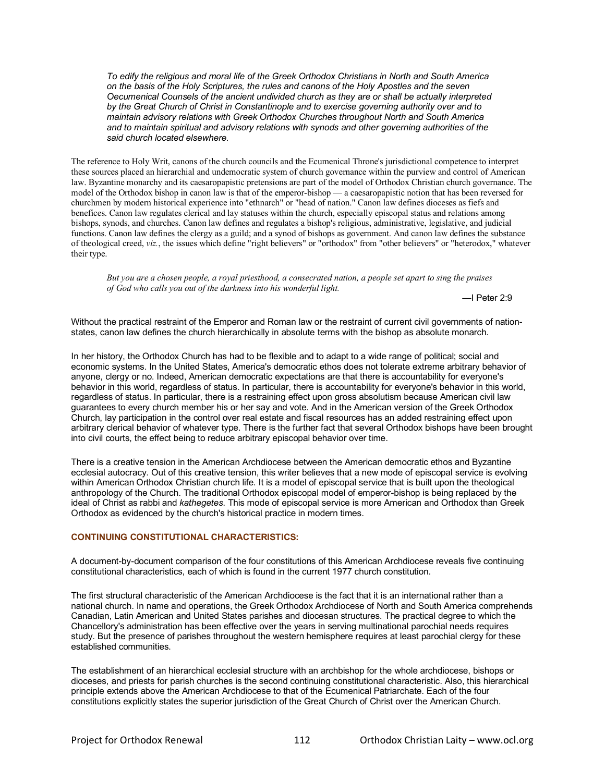*To edify the religious and moral life of the Greek Orthodox Christians in North and South America on the basis of the Holy Scriptures, the rules and canons of the Holy Apostles and the seven Oecumenical Counsels of the ancient undivided church as they are or shall be actually interpreted by the Great Church of Christ in Constantinople and to exercise governing authority over and to maintain advisory relations with Greek Orthodox Churches throughout North and South America and to maintain spiritual and advisory relations with synods and other governing authorities of the said church located elsewhere.*

The reference to Holy Writ, canons of the church councils and the Ecumenical Throne's jurisdictional competence to interpret these sources placed an hierarchial and undemocratic system of church governance within the purview and control of American law. Byzantine monarchy and its caesaropapistic pretensions are part of the model of Orthodox Christian church governance. The model of the Orthodox bishop in canon law is that of the emperor-bishop — a caesaropapistic notion that has been reversed for churchmen by modern historical experience into "ethnarch" or "head of nation." Canon law defines dioceses as fiefs and benefices. Canon law regulates clerical and lay statuses within the church, especially episcopal status and relations among bishops, synods, and churches. Canon law defines and regulates a bishop's religious, administrative, legislative, and judicial functions. Canon law defines the clergy as a guild; and a synod of bishops as government. And canon law defines the substance of theological creed, *viz.*, the issues which define "right believers" or "orthodox" from "other believers" or "heterodox," whatever their type.

*But you are a chosen people, a royal priesthood, a consecrated nation, a people set apart to sing the praises of God who calls you out of the darkness into his wonderful light.*

—I Peter 2:9

Without the practical restraint of the Emperor and Roman law or the restraint of current civil governments of nationstates, canon law defines the church hierarchically in absolute terms with the bishop as absolute monarch.

In her history, the Orthodox Church has had to be flexible and to adapt to a wide range of political; social and economic systems. In the United States, America's democratic ethos does not tolerate extreme arbitrary behavior of anyone, clergy or no. Indeed, American democratic expectations are that there is accountability for everyone's behavior in this world, regardless of status. In particular, there is accountability for everyone's behavior in this world, regardless of status. In particular, there is a restraining effect upon gross absolutism because American civil law guarantees to every church member his or her say and vote. And in the American version of the Greek Orthodox Church, lay participation in the control over real estate and fiscal resources has an added restraining effect upon arbitrary clerical behavior of whatever type. There is the further fact that several Orthodox bishops have been brought into civil courts, the effect being to reduce arbitrary episcopal behavior over time.

There is a creative tension in the American Archdiocese between the American democratic ethos and Byzantine ecclesial autocracy. Out of this creative tension, this writer believes that a new mode of episcopal service is evolving within American Orthodox Christian church life. It is a model of episcopal service that is built upon the theological anthropology of the Church. The traditional Orthodox episcopal model of emperor-bishop is being replaced by the ideal of Christ as rabbi and *kathegetes*. This mode of episcopal service is more American and Orthodox than Greek Orthodox as evidenced by the church's historical practice in modern times.

### **CONTINUING CONSTITUTIONAL CHARACTERISTICS:**

A document-by-document comparison of the four constitutions of this American Archdiocese reveals five continuing constitutional characteristics, each of which is found in the current 1977 church constitution.

The first structural characteristic of the American Archdiocese is the fact that it is an international rather than a national church. In name and operations, the Greek Orthodox Archdiocese of North and South America comprehends Canadian, Latin American and United States parishes and diocesan structures. The practical degree to which the Chancellory's administration has been effective over the years in serving multinational parochial needs requires study. But the presence of parishes throughout the western hemisphere requires at least parochial clergy for these established communities.

The establishment of an hierarchical ecclesial structure with an archbishop for the whole archdiocese, bishops or dioceses, and priests for parish churches is the second continuing constitutional characteristic. Also, this hierarchical principle extends above the American Archdiocese to that of the Ecumenical Patriarchate. Each of the four constitutions explicitly states the superior jurisdiction of the Great Church of Christ over the American Church.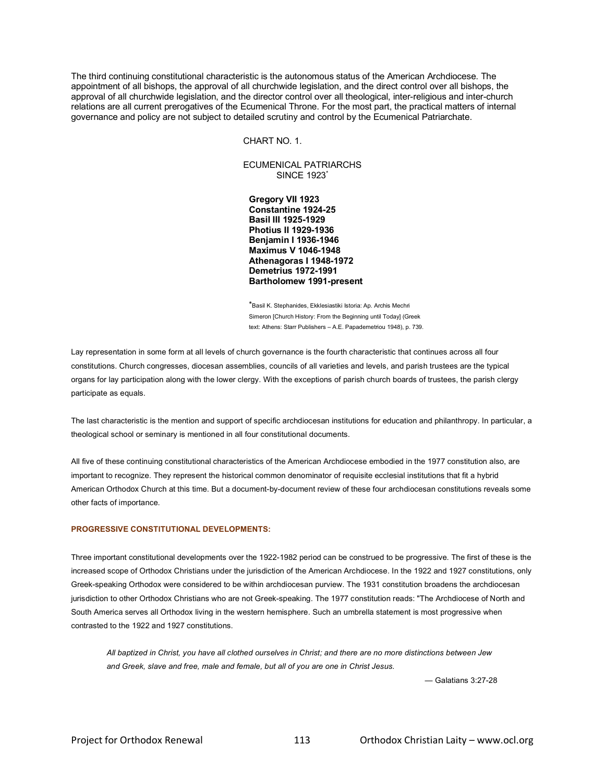The third continuing constitutional characteristic is the autonomous status of the American Archdiocese. The appointment of all bishops, the approval of all churchwide legislation, and the direct control over all bishops, the approval of all churchwide legislation, and the director control over all theological, inter-religious and inter-church relations are all current prerogatives of the Ecumenical Throne. For the most part, the practical matters of internal governance and policy are not subject to detailed scrutiny and control by the Ecumenical Patriarchate.

CHART NO. 1.

ECUMENICAL PATRIARCHS SINCE 1923\*

**Gregory VII 1923 Constantine 1924-25 Basil III 1925-1929 Photius II 1929-1936 Benjamin I 1936-1946 Maximus V 1046-1948 Athenagoras I 1948-1972 Demetrius 1972-1991 Bartholomew 1991-present**

\*Basil K. Stephanides, Ekklesiastiki Istoria: Ap. Archis Mechri Simeron [Church History: From the Beginning until Today] (Greek text: Athens: Starr Publishers – A.E. Papademetriou 1948), p. 739.

Lay representation in some form at all levels of church governance is the fourth characteristic that continues across all four constitutions. Church congresses, diocesan assemblies, councils of all varieties and levels, and parish trustees are the typical organs for lay participation along with the lower clergy. With the exceptions of parish church boards of trustees, the parish clergy participate as equals.

The last characteristic is the mention and support of specific archdiocesan institutions for education and philanthropy. In particular, a theological school or seminary is mentioned in all four constitutional documents.

All five of these continuing constitutional characteristics of the American Archdiocese embodied in the 1977 constitution also, are important to recognize. They represent the historical common denominator of requisite ecclesial institutions that fit a hybrid American Orthodox Church at this time. But a document-by-document review of these four archdiocesan constitutions reveals some other facts of importance.

### **PROGRESSIVE CONSTITUTIONAL DEVELOPMENTS:**

Three important constitutional developments over the 1922-1982 period can be construed to be progressive. The first of these is the increased scope of Orthodox Christians under the jurisdiction of the American Archdiocese. In the 1922 and 1927 constitutions, only Greek-speaking Orthodox were considered to be within archdiocesan purview. The 1931 constitution broadens the archdiocesan jurisdiction to other Orthodox Christians who are not Greek-speaking. The 1977 constitution reads: "The Archdiocese of North and South America serves all Orthodox living in the western hemisphere. Such an umbrella statement is most progressive when contrasted to the 1922 and 1927 constitutions.

*All baptized in Christ, you have all clothed ourselves in Christ; and there are no more distinctions between Jew and Greek, slave and free, male and female, but all of you are one in Christ Jesus.*

— Galatians 3:27-28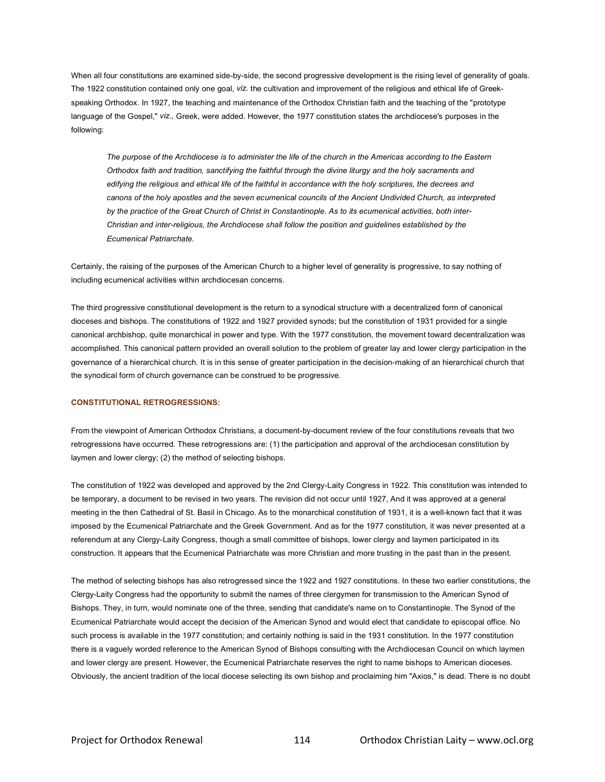When all four constitutions are examined side-by-side, the second progressive development is the rising level of generality of goals. The 1922 constitution contained only one goal, *viz.* the cultivation and improvement of the religious and ethical life of Greekspeaking Orthodox. In 1927, the teaching and maintenance of the Orthodox Christian faith and the teaching of the "prototype language of the Gospel," *viz.,* Greek, were added. However, the 1977 constitution states the archdiocese's purposes in the following:

*The purpose of the Archdiocese is to administer the life of the church in the Americas according to the Eastern Orthodox faith and tradition, sanctifying the faithful through the divine liturgy and the holy sacraments and*  edifying the religious and ethical life of the faithful in accordance with the holy scriptures, the decrees and *canons of the holy apostles and the seven ecumenical councils of the Ancient Undivided Church, as interpreted by the practice of the Great Church of Christ in Constantinople. As to its ecumenical activities, both inter-Christian and inter-religious, the Archdiocese shall follow the position and guidelines established by the Ecumenical Patriarchate.*

Certainly, the raising of the purposes of the American Church to a higher level of generality is progressive, to say nothing of including ecumenical activities within archdiocesan concerns.

The third progressive constitutional development is the return to a synodical structure with a decentralized form of canonical dioceses and bishops. The constitutions of 1922 and 1927 provided synods; but the constitution of 1931 provided for a single canonical archbishop, quite monarchical in power and type. With the 1977 constitution, the movement toward decentralization was accomplished. This canonical pattern provided an overall solution to the problem of greater lay and lower clergy participation in the governance of a hierarchical church. It is in this sense of greater participation in the decision-making of an hierarchical church that the synodical form of church governance can be construed to be progressive.

### **CONSTITUTIONAL RETROGRESSIONS:**

From the viewpoint of American Orthodox Christians, a document-by-document review of the four constitutions reveals that two retrogressions have occurred. These retrogressions are: (1) the participation and approval of the archdiocesan constitution by laymen and lower clergy; (2) the method of selecting bishops.

The constitution of 1922 was developed and approved by the 2nd Clergy-Laity Congress in 1922. This constitution was intended to be temporary, a document to be revised in two years. The revision did not occur until 1927, And it was approved at a general meeting in the then Cathedral of St. Basil in Chicago. As to the monarchical constitution of 1931, it is a well-known fact that it was imposed by the Ecumenical Patriarchate and the Greek Government. And as for the 1977 constitution, it was never presented at a referendum at any Clergy-Laity Congress, though a small committee of bishops, lower clergy and laymen participated in its construction. It appears that the Ecumenical Patriarchate was more Christian and more trusting in the past than in the present.

The method of selecting bishops has also retrogressed since the 1922 and 1927 constitutions. In these two earlier constitutions, the Clergy-Laity Congress had the opportunity to submit the names of three clergymen for transmission to the American Synod of Bishops. They, in turn, would nominate one of the three, sending that candidate's name on to Constantinople. The Synod of the Ecumenical Patriarchate would accept the decision of the American Synod and would elect that candidate to episcopal office. No such process is available in the 1977 constitution; and certainly nothing is said in the 1931 constitution. In the 1977 constitution there is a vaguely worded reference to the American Synod of Bishops consulting with the Archdiocesan Council on which laymen and lower clergy are present. However, the Ecumenical Patriarchate reserves the right to name bishops to American dioceses. Obviously, the ancient tradition of the local diocese selecting its own bishop and proclaiming him "Axios," is dead. There is no doubt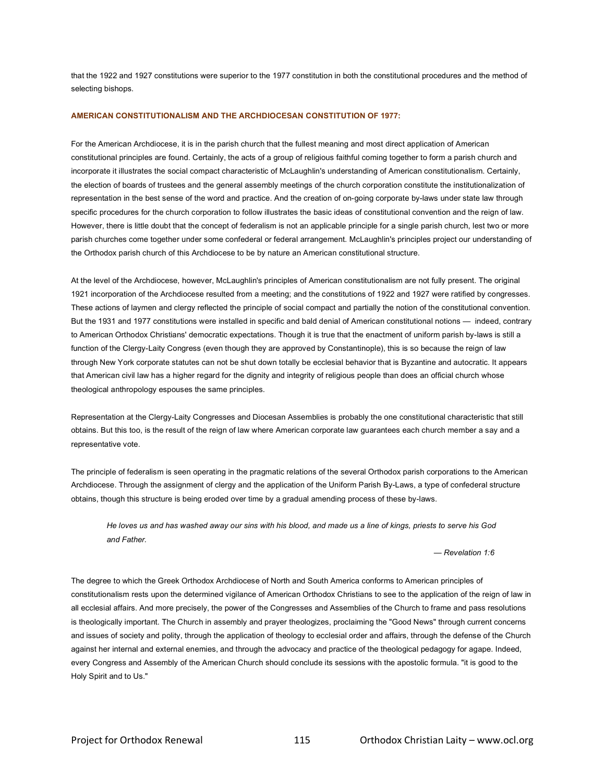that the 1922 and 1927 constitutions were superior to the 1977 constitution in both the constitutional procedures and the method of selecting bishops.

#### **AMERICAN CONSTITUTIONALISM AND THE ARCHDIOCESAN CONSTITUTION OF 1977:**

For the American Archdiocese, it is in the parish church that the fullest meaning and most direct application of American constitutional principles are found. Certainly, the acts of a group of religious faithful coming together to form a parish church and incorporate it illustrates the social compact characteristic of McLaughlin's understanding of American constitutionalism. Certainly, the election of boards of trustees and the general assembly meetings of the church corporation constitute the institutionalization of representation in the best sense of the word and practice. And the creation of on-going corporate by-laws under state law through specific procedures for the church corporation to follow illustrates the basic ideas of constitutional convention and the reign of law. However, there is little doubt that the concept of federalism is not an applicable principle for a single parish church, lest two or more parish churches come together under some confederal or federal arrangement. McLaughlin's principles project our understanding of the Orthodox parish church of this Archdiocese to be by nature an American constitutional structure.

At the level of the Archdiocese, however, McLaughlin's principles of American constitutionalism are not fully present. The original 1921 incorporation of the Archdiocese resulted from a meeting; and the constitutions of 1922 and 1927 were ratified by congresses. These actions of laymen and clergy reflected the principle of social compact and partially the notion of the constitutional convention. But the 1931 and 1977 constitutions were installed in specific and bald denial of American constitutional notions — indeed, contrary to American Orthodox Christians' democratic expectations. Though it is true that the enactment of uniform parish by-laws is still a function of the Clergy-Laity Congress (even though they are approved by Constantinople), this is so because the reign of law through New York corporate statutes can not be shut down totally be ecclesial behavior that is Byzantine and autocratic. It appears that American civil law has a higher regard for the dignity and integrity of religious people than does an official church whose theological anthropology espouses the same principles.

Representation at the Clergy-Laity Congresses and Diocesan Assemblies is probably the one constitutional characteristic that still obtains. But this too, is the result of the reign of law where American corporate law guarantees each church member a say and a representative vote.

The principle of federalism is seen operating in the pragmatic relations of the several Orthodox parish corporations to the American Archdiocese. Through the assignment of clergy and the application of the Uniform Parish By-Laws, a type of confederal structure obtains, though this structure is being eroded over time by a gradual amending process of these by-laws.

*He loves us and has washed away our sins with his blood, and made us a line of kings, priests to serve his God and Father.*

 *— Revelation 1:6*

The degree to which the Greek Orthodox Archdiocese of North and South America conforms to American principles of constitutionalism rests upon the determined vigilance of American Orthodox Christians to see to the application of the reign of law in all ecclesial affairs. And more precisely, the power of the Congresses and Assemblies of the Church to frame and pass resolutions is theologically important. The Church in assembly and prayer theologizes, proclaiming the "Good News" through current concerns and issues of society and polity, through the application of theology to ecclesial order and affairs, through the defense of the Church against her internal and external enemies, and through the advocacy and practice of the theological pedagogy for agape. Indeed, every Congress and Assembly of the American Church should conclude its sessions with the apostolic formula. "it is good to the Holy Spirit and to Us."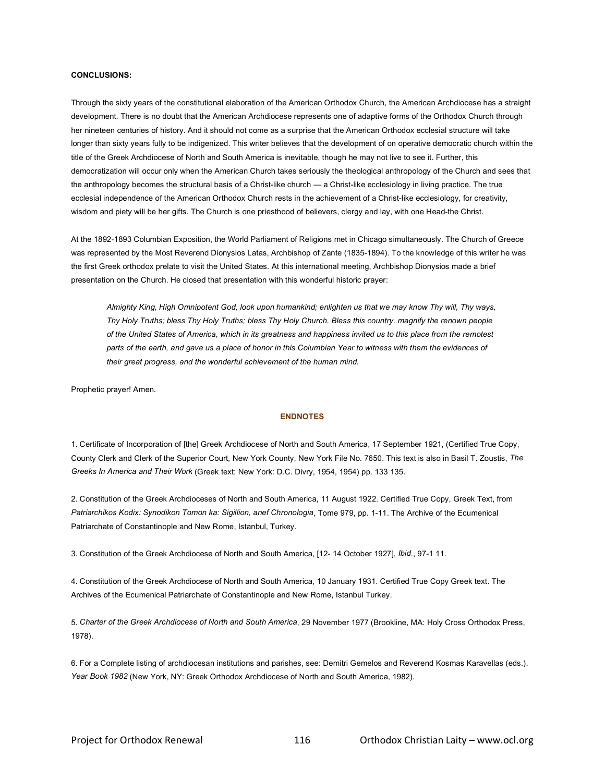#### **CONCLUSIONS:**

Through the sixty years of the constitutional elaboration of the American Orthodox Church, the American Archdiocese has a straight development. There is no doubt that the American Archdiocese represents one of adaptive forms of the Orthodox Church through her nineteen centuries of history. And it should not come as a surprise that the American Orthodox ecclesial structure will take longer than sixty years fully to be indigenized. This writer believes that the development of on operative democratic church within the title of the Greek Archdiocese of North and South America is inevitable, though he may not live to see it. Further, this democratization will occur only when the American Church takes seriously the theological anthropology of the Church and sees that the anthropology becomes the structural basis of a Christ-like church — a Christ-like ecclesiology in living practice. The true ecclesial independence of the American Orthodox Church rests in the achievement of a Christ-like ecclesiology, for creativity, wisdom and piety will be her gifts. The Church is one priesthood of believers, clergy and lay, with one Head-the Christ.

At the 1892-1893 Columbian Exposition, the World Parliament of Religions met in Chicago simultaneously. The Church of Greece was represented by the Most Reverend Dionysios Latas, Archbishop of Zante (1835-1894). To the knowledge of this writer he was the first Greek orthodox prelate to visit the United States. At this international meeting, Archbishop Dionysios made a brief presentation on the Church. He closed that presentation with this wonderful historic prayer:

*Almighty King, High Omnipotent God, look upon humankind; enlighten us that we may know Thy will, Thy ways, Thy Holy Truths; bless Thy Holy Truths; bless Thy Holy Church. Bless this country. magnify the renown people of the United States of America, which in its greatness and happiness invited us to this place from the remotest parts of the earth, and gave us a place of honor in this Columbian Year to witness with them the evidences of their great progress, and the wonderful achievement of the human mind.*

Prophetic prayer! Amen.

#### **ENDNOTES**

1. Certificate of Incorporation of [the] Greek Archdiocese of North and South America, 17 September 1921, (Certified True Copy, County Clerk and Clerk of the Superior Court, New York County, New York File No. 7650. This text is also in Basil T. Zoustis, *The Greeks In America and Their Work* (Greek text: New York: D.C. Divry, 1954, 1954) pp. 133 135.

2. Constitution of the Greek Archdioceses of North and South America, 11 August 1922. Certified True Copy, Greek Text, from *Patriarchikos Kodix: Synodikon Tomon ka: Sigillion, anef Chronologia*, Tome 979, pp. 1-11. The Archive of the Ecumenical Patriarchate of Constantinople and New Rome, Istanbul, Turkey.

3. Constitution of the Greek Archdiocese of North and South America, [12- 14 October 1927], *Ibid*., 97-1 11.

4. Constitution of the Greek Archdiocese of North and South America, 10 January 1931. Certified True Copy Greek text. The Archives of the Ecumenical Patriarchate of Constantinople and New Rome, Istanbul Turkey.

5. *Charter of the Greek Archdiocese of North and South America*, 29 November 1977 (Brookline, MA: Holy Cross Orthodox Press, 1978).

6. For a Complete listing of archdiocesan institutions and parishes, see: Demitri Gemelos and Reverend Kosmas Karavellas (eds.), *Year Book 1982* (New York, NY: Greek Orthodox Archdiocese of North and South America, 1982).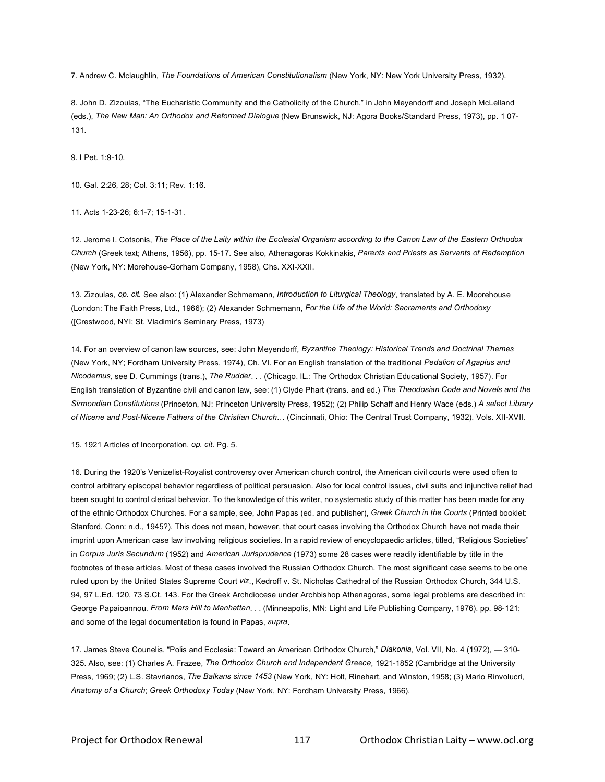7. Andrew C. Mclaughlin, *The Foundations of American Constitutionalism* (New York, NY: New York University Press, 1932).

8. John D. Zizoulas, "The Eucharistic Community and the Catholicity of the Church," in John Meyendorff and Joseph McLelland (eds.), *The New Man: An Orthodox and Reformed Dialogue* (New Brunswick, NJ: Agora Books/Standard Press, 1973), pp. 1 07- 131.

9. I Pet. 1:9-10.

10. Gal. 2:26, 28; Col. 3:11; Rev. 1:16.

11. Acts 1-23-26; 6:1-7; 15-1-31.

12. Jerome I. Cotsonis, *The Place of the Laity within the Ecclesial Organism according to the Canon Law of the Eastern Orthodox Church* (Greek text; Athens, 1956), pp. 15-17. See also, Athenagoras Kokkinakis, *Parents and Priests as Servants of Redemption* (New York, NY: Morehouse-Gorham Company, 1958), Chs. XXI-XXII.

13. Zizoulas, *op. cit.* See also: (1) Alexander Schmemann, *Introduction to Liturgical Theology*, translated by A. E. Moorehouse (London: The Faith Press, Ltd., 1966); (2) Alexander Schmemann, *For the Life of the World: Sacraments and Orthodoxy* ([Crestwood, NYI; St. Vladimir's Seminary Press, 1973)

14. For an overview of canon law sources, see: John Meyendorff, *Byzantine Theology: Historical Trends and Doctrinal Themes* (New York, NY; Fordham University Press, 1974), Ch. VI. For an English translation of the traditional *Pedalion of Agapius and Nicodemus*, see D. Cummings (trans.), *The Rudder*. . . (Chicago, IL.: The Orthodox Christian Educational Society, 1957). For English translation of Byzantine civil and canon law, see: (1) Clyde Phart (trans. and ed.) *The Theodosian Code and Novels and the Sirmondian Constitutions* (Princeton, NJ: Princeton University Press, 1952); (2) Philip Schaff and Henry Wace (eds.) *A select Library of Nicene and Post-Nicene Fathers of the Christian Church*… (Cincinnati, Ohio: The Central Trust Company, 1932). Vols. XII-XVII.

15. 1921 Articles of Incorporation. *op. cit.* Pg. 5.

16. During the 1920's Venizelist-Royalist controversy over American church control, the American civil courts were used often to control arbitrary episcopal behavior regardless of political persuasion. Also for local control issues, civil suits and injunctive relief had been sought to control clerical behavior. To the knowledge of this writer, no systematic study of this matter has been made for any of the ethnic Orthodox Churches. For a sample, see, John Papas (ed. and publisher), *Greek Church in the Courts* (Printed booklet: Stanford, Conn: n.d., 1945?). This does not mean, however, that court cases involving the Orthodox Church have not made their imprint upon American case law involving religious societies. In a rapid review of encyclopaedic articles, titled, "Religious Societies" in *Corpus Juris Secundum* (1952) and *American Jurisprudence* (1973) some 28 cases were readily identifiable by title in the footnotes of these articles. Most of these cases involved the Russian Orthodox Church. The most significant case seems to be one ruled upon by the United States Supreme Court *viz*., Kedroff v. St. Nicholas Cathedral of the Russian Orthodox Church, 344 U.S. 94, 97 L.Ed. 120, 73 S.Ct. 143. For the Greek Archdiocese under Archbishop Athenagoras, some legal problems are described in: George Papaioannou. *From Mars Hill to Manhattan*. . . (Minneapolis, MN: Light and Life Publishing Company, 1976). pp. 98-121; and some of the legal documentation is found in Papas, *supra*.

17. James Steve Counelis, "Polis and Ecclesia: Toward an American Orthodox Church," *Diakonia*, Vol. VII, No. 4 (1972), — 310- 325. Also, see: (1) Charles A. Frazee, *The Orthodox Church and Independent Greece*, 1921-1852 (Cambridge at the University Press, 1969; (2) L.S. Stavrianos, *The Balkans since 1453* (New York, NY: Holt, Rinehart, and Winston, 1958; (3) Mario Rinvolucri, *Anatomy of a Church*; *Greek Orthodoxy Today* (New York, NY: Fordham University Press, 1966).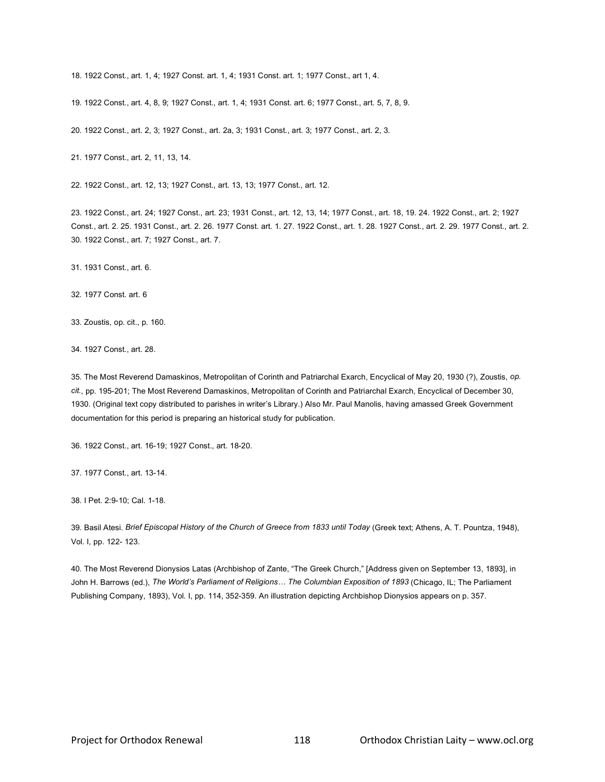18. 1922 Const., art. 1, 4; 1927 Const. art. 1, 4; 1931 Const. art. 1; 1977 Const., art 1, 4.

19. 1922 Const., art. 4, 8, 9; 1927 Const., art. 1, 4; 1931 Const. art. 6; 1977 Const., art. 5, 7, 8, 9.

20. 1922 Const., art. 2, 3; 1927 Const., art. 2a, 3; 1931 Const., art. 3; 1977 Const., art. 2, 3.

21. 1977 Const., art. 2, 11, 13, 14.

22. 1922 Const., art. 12, 13; 1927 Const., art. 13, 13; 1977 Const., art. 12.

23. 1922 Const., art. 24; 1927 Const., art. 23; 1931 Const., art. 12, 13, 14; 1977 Const., art. 18, 19. 24. 1922 Const., art. 2; 1927 Const., art. 2. 25. 1931 Const., art. 2. 26. 1977 Const. art. 1. 27. 1922 Const., art. 1. 28. 1927 Const., art. 2. 29. 1977 Const., art. 2. 30. 1922 Const., art. 7; 1927 Const., art. 7.

31. 1931 Const., art. 6.

32. 1977 Const. art. 6

33. Zoustis, op. cit., p. 160.

34. 1927 Const., art. 28.

35. The Most Reverend Damaskinos, Metropolitan of Corinth and Patriarchal Exarch, Encyclical of May 20, 1930 (?), Zoustis, *op. cit.*, pp. 195-201; The Most Reverend Damaskinos, Metropolitan of Corinth and Patriarchal Exarch, Encyclical of December 30, 1930. (Original text copy distributed to parishes in writer's Library.) Also Mr. Paul Manolis, having amassed Greek Government documentation for this period is preparing an historical study for publication.

36. 1922 Const., art. 16-19; 1927 Const., art. 18-20.

37. 1977 Const., art. 13-14.

38. I Pet. 2:9-10; Cal. 1-18.

39. Basil Atesi. *Brief Episcopal History of the Church of Greece from 1833 until Today* (Greek text; Athens, A. T. Pountza, 1948), Vol. I, pp. 122- 123.

40. The Most Reverend Dionysios Latas (Archbishop of Zante, "The Greek Church," [Address given on September 13, 1893], in John H. Barrows (ed.), *The World's Parliament of Religions… The Columbian Exposition of 1893* (Chicago, IL; The Parliament Publishing Company, 1893), Vol. I, pp. 114, 352-359. An illustration depicting Archbishop Dionysios appears on p. 357.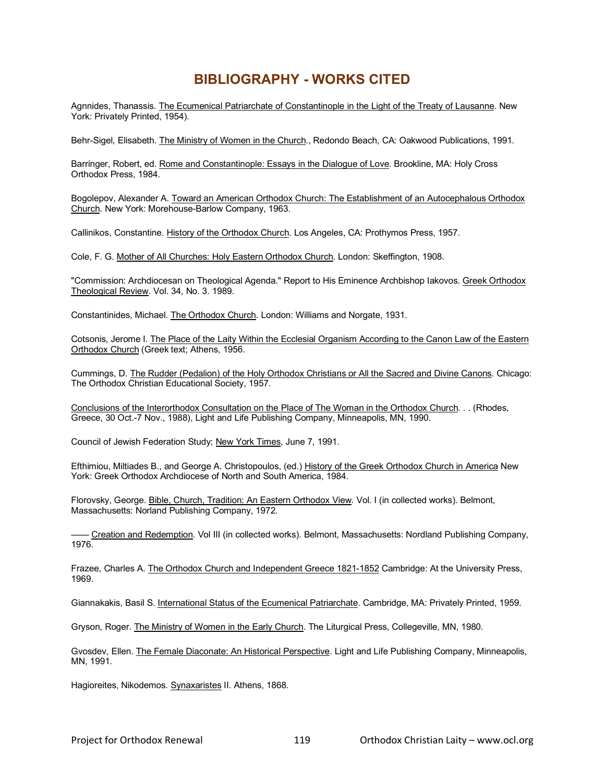# **BIBLIOGRAPHY - WORKS CITED**

Agnnides, Thanassis. The Ecumenical Patriarchate of Constantinople in the Light of the Treaty of Lausanne. New York: Privately Printed, 1954).

Behr-Sigel, Elisabeth. The Ministry of Women in the Church., Redondo Beach, CA: Oakwood Publications, 1991.

Barringer, Robert, ed. Rome and Constantinople: Essays in the Dialogue of Love. Brookline, MA: Holy Cross Orthodox Press, 1984.

Bogolepov, Alexander A. Toward an American Orthodox Church: The Establishment of an Autocephalous Orthodox Church. New York: Morehouse-Barlow Company, 1963.

Callinikos, Constantine. History of the Orthodox Church. Los Angeles, CA: Prothymos Press, 1957.

Cole, F. G. Mother of All Churches: Holy Eastern Orthodox Church. London: Skeffington, 1908.

"Commission: Archdiocesan on Theological Agenda." Report to His Eminence Archbishop Iakovos. Greek Orthodox Theological Review. Vol. 34, No. 3. 1989.

Constantinides, Michael. The Orthodox Church. London: Williams and Norgate, 1931.

Cotsonis, Jerome I. The Place of the Laity Within the Ecclesial Organism According to the Canon Law of the Eastern Orthodox Church (Greek text; Athens, 1956.

Cummings, D. The Rudder (Pedalion) of the Holy Orthodox Christians or All the Sacred and Divine Canons. Chicago: The Orthodox Christian Educational Society, 1957.

Conclusions of the Interorthodox Consultation on the Place of The Woman in the Orthodox Church. . . (Rhodes, Greece, 30 Oct.-7 Nov., 1988), Light and Life Publishing Company, Minneapolis, MN, 1990.

Council of Jewish Federation Study; New York Times, June 7, 1991.

Efthimiou, Miltiades B., and George A. Christopoulos, (ed.) History of the Greek Orthodox Church in America New York: Greek Orthodox Archdiocese of North and South America, 1984.

Florovsky, George. Bible, Church, Tradition: An Eastern Orthodox View. Vol. I (in collected works). Belmont, Massachusetts: Norland Publishing Company, 1972.

—— Creation and Redemption. Vol III (in collected works). Belmont, Massachusetts: Nordland Publishing Company, 1976.

Frazee, Charles A. The Orthodox Church and Independent Greece 1821-1852 Cambridge: At the University Press, 1969.

Giannakakis, Basil S. International Status of the Ecumenical Patriarchate. Cambridge, MA: Privately Printed, 1959.

Gryson, Roger. The Ministry of Women in the Early Church. The Liturgical Press, Collegeville, MN, 1980.

Gvosdev, Ellen. The Female Diaconate: An Historical Perspective. Light and Life Publishing Company, Minneapolis, MN, 1991.

Hagioreites, Nikodemos. Synaxaristes II. Athens, 1868.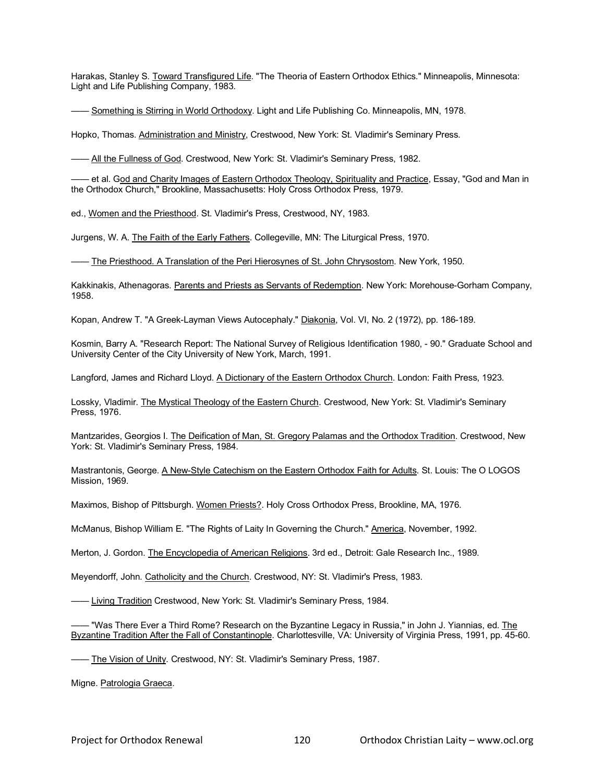Harakas, Stanley S. Toward Transfigured Life. "The Theoria of Eastern Orthodox Ethics." Minneapolis, Minnesota: Light and Life Publishing Company, 1983.

—— Something is Stirring in World Orthodoxy. Light and Life Publishing Co. Minneapolis, MN, 1978.

Hopko, Thomas. Administration and Ministry, Crestwood, New York: St. Vladimir's Seminary Press.

- All the Fullness of God. Crestwood, New York: St. Vladimir's Seminary Press, 1982.

— et al. G<u>od and Charity Images of Eastern Orthodox Theology, Spirituality and Practice, Essay, "God and Man in</u> the Orthodox Church," Brookline, Massachusetts: Holy Cross Orthodox Press, 1979.

ed., Women and the Priesthood. St. Vladimir's Press, Crestwood, NY, 1983.

Jurgens, W. A. The Faith of the Early Fathers. Collegeville, MN: The Liturgical Press, 1970.

- The Priesthood. A Translation of the Peri Hierosynes of St. John Chrysostom. New York, 1950.

Kakkinakis, Athenagoras. Parents and Priests as Servants of Redemption. New York: Morehouse-Gorham Company, 1958.

Kopan, Andrew T. "A Greek-Layman Views Autocephaly." Diakonia, Vol. VI, No. 2 (1972), pp. 186-189.

Kosmin, Barry A. "Research Report: The National Survey of Religious Identification 1980, - 90." Graduate School and University Center of the City University of New York, March, 1991.

Langford, James and Richard Lloyd. A Dictionary of the Eastern Orthodox Church. London: Faith Press, 1923.

Lossky, Vladimir. The Mystical Theology of the Eastern Church. Crestwood, New York: St. Vladimir's Seminary Press, 1976.

Mantzarides, Georgios I. The Deification of Man, St. Gregory Palamas and the Orthodox Tradition. Crestwood, New York: St. Vladimir's Seminary Press, 1984.

Mastrantonis, George. A New-Style Catechism on the Eastern Orthodox Faith for Adults. St. Louis: The O LOGOS Mission, 1969.

Maximos, Bishop of Pittsburgh. Women Priests?. Holy Cross Orthodox Press, Brookline, MA, 1976.

McManus, Bishop William E. "The Rights of Laity In Governing the Church." America, November, 1992.

Merton, J. Gordon. The Encyclopedia of American Religions. 3rd ed., Detroit: Gale Research Inc., 1989.

Meyendorff, John. Catholicity and the Church. Crestwood, NY: St. Vladimir's Press, 1983.

**-** Living Tradition Crestwood, New York: St. Vladimir's Seminary Press, 1984.

– "Was There Ever a Third Rome? Research on the Byzantine Legacy in Russia," in John J. Yiannias, ed. <u>The</u> Byzantine Tradition After the Fall of Constantinople. Charlottesville, VA: University of Virginia Press, 1991, pp. 45-60.

—— The Vision of Unity. Crestwood, NY: St. Vladimir's Seminary Press, 1987.

Migne. Patrologia Graeca.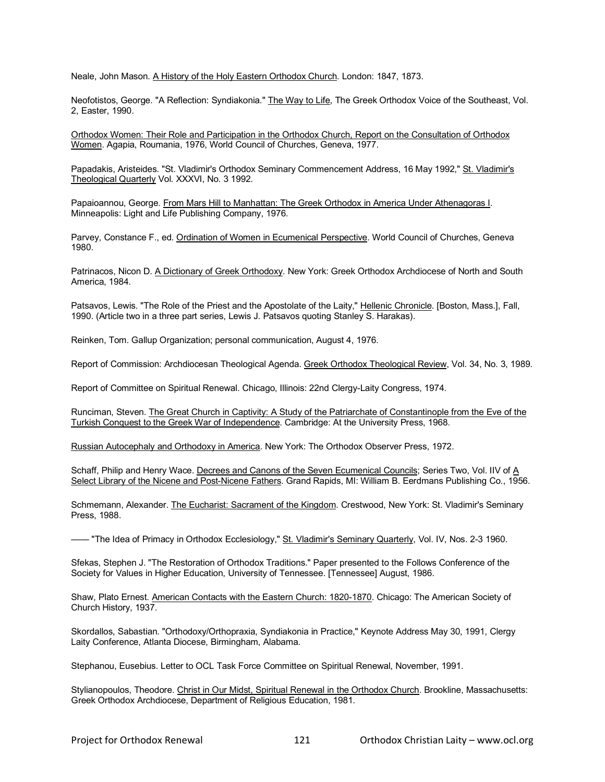Neale, John Mason. A History of the Holy Eastern Orthodox Church. London: 1847, 1873.

Neofotistos, George. "A Reflection: Syndiakonia." The Way to Life, The Greek Orthodox Voice of the Southeast, Vol. 2, Easter, 1990.

Orthodox Women: Their Role and Participation in the Orthodox Church, Report on the Consultation of Orthodox Women. Agapia, Roumania, 1976, World Council of Churches, Geneva, 1977.

Papadakis, Aristeides. "St. Vladimir's Orthodox Seminary Commencement Address, 16 May 1992," St. Vladimir's Theological Quarterly Vol. XXXVI, No. 3 1992.

Papaioannou, George. From Mars Hill to Manhattan: The Greek Orthodox in America Under Athenagoras I. Minneapolis: Light and Life Publishing Company, 1976.

Parvey, Constance F., ed. Ordination of Women in Ecumenical Perspective. World Council of Churches, Geneva 1980.

Patrinacos, Nicon D. A Dictionary of Greek Orthodoxy. New York: Greek Orthodox Archdiocese of North and South America, 1984.

Patsavos. Lewis. "The Role of the Priest and the Apostolate of the Laity," Hellenic Chronicle. [Boston, Mass.], Fall, 1990. (Article two in a three part series, Lewis J. Patsavos quoting Stanley S. Harakas).

Reinken, Tom. Gallup Organization; personal communication, August 4, 1976.

Report of Commission: Archdiocesan Theological Agenda. Greek Orthodox Theological Review, Vol. 34, No. 3, 1989.

Report of Committee on Spiritual Renewal. Chicago, Illinois: 22nd Clergy-Laity Congress, 1974.

Runciman, Steven. The Great Church in Captivity: A Study of the Patriarchate of Constantinople from the Eve of the Turkish Conquest to the Greek War of Independence. Cambridge: At the University Press, 1968.

Russian Autocephaly and Orthodoxy in America. New York: The Orthodox Observer Press, 1972.

Schaff, Philip and Henry Wace. Decrees and Canons of the Seven Ecumenical Councils; Series Two, Vol. IIV of A Select Library of the Nicene and Post-Nicene Fathers. Grand Rapids, MI: William B. Eerdmans Publishing Co., 1956.

Schmemann, Alexander. The Eucharist: Sacrament of the Kingdom. Crestwood, New York: St. Vladimir's Seminary Press, 1988.

—— "The Idea of Primacy in Orthodox Ecclesiology," St. Vladimir's Seminary Quarterly, Vol. IV, Nos. 2-3 1960.

Sfekas, Stephen J. "The Restoration of Orthodox Traditions." Paper presented to the Follows Conference of the Society for Values in Higher Education, University of Tennessee. [Tennessee] August, 1986.

Shaw, Plato Ernest. American Contacts with the Eastern Church: 1820-1870. Chicago: The American Society of Church History, 1937.

Skordallos, Sabastian. "Orthodoxy/Orthopraxia, Syndiakonia in Practice," Keynote Address May 30, 1991, Clergy Laity Conference, Atlanta Diocese, Birmingham, Alabama.

Stephanou, Eusebius. Letter to OCL Task Force Committee on Spiritual Renewal, November, 1991.

Stylianopoulos, Theodore. Christ in Our Midst, Spiritual Renewal in the Orthodox Church. Brookline, Massachusetts: Greek Orthodox Archdiocese, Department of Religious Education, 1981.